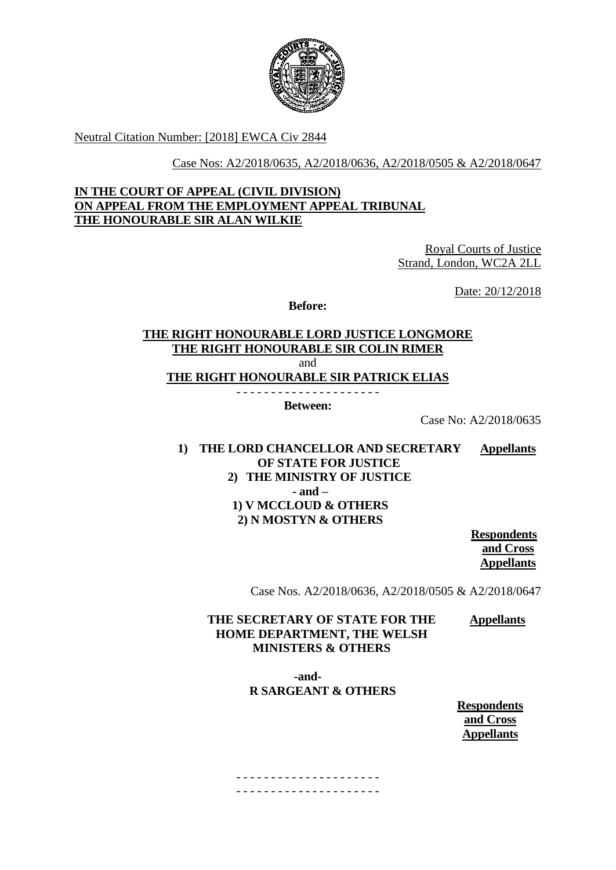

Neutral Citation Number: [2018] EWCA Civ 2844

Case Nos: A2/2018/0635, A2/2018/0636, A2/2018/0505 & A2/2018/0647

## **IN THE COURT OF APPEAL (CIVIL DIVISION) ON APPEAL FROM THE EMPLOYMENT APPEAL TRIBUNAL THE HONOURABLE SIR ALAN WILKIE**

Royal Courts of Justice Strand, London, WC2A 2LL

Date: 20/12/2018

**Before:**

## **THE RIGHT HONOURABLE LORD JUSTICE LONGMORE THE RIGHT HONOURABLE SIR COLIN RIMER** and **THE RIGHT HONOURABLE SIR PATRICK ELIAS** - - - - - - - - - - - - - - - - - - - - -

**Between:**

Case No: A2/2018/0635

#### **1) THE LORD CHANCELLOR AND SECRETARY OF STATE FOR JUSTICE Appellants**

## **2) THE MINISTRY OF JUSTICE - and – 1) V MCCLOUD & OTHERS 2) N MOSTYN & OTHERS**

**Respondents and Cross Appellants**

Case Nos. A2/2018/0636, A2/2018/0505 & A2/2018/0647

#### **THE SECRETARY OF STATE FOR THE HOME DEPARTMENT, THE WELSH MINISTERS & OTHERS Appellants**

 **-and-R SARGEANT & OTHERS**

> **Respondents and Cross Appellants**

- - - - - - - - - - - - - - - - - - - - - - - - - - - - - - - - - - - - - - - - - -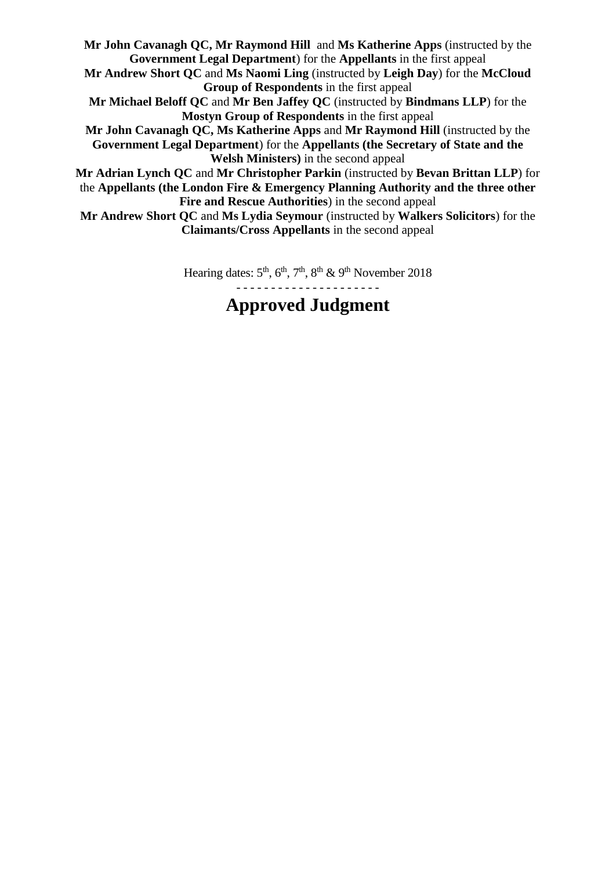**Mr John Cavanagh QC, Mr Raymond Hill** and **Ms Katherine Apps** (instructed by the **Government Legal Department**) for the **Appellants** in the first appeal **Mr Andrew Short QC** and **Ms Naomi Ling** (instructed by **Leigh Day**) for the **McCloud Group of Respondents** in the first appeal **Mr Michael Beloff QC** and **Mr Ben Jaffey QC** (instructed by **Bindmans LLP**) for the **Mostyn Group of Respondents** in the first appeal **Mr John Cavanagh QC, Ms Katherine Apps** and **Mr Raymond Hill** (instructed by the **Government Legal Department**) for the **Appellants (the Secretary of State and the Welsh Ministers)** in the second appeal **Mr Adrian Lynch QC** and **Mr Christopher Parkin** (instructed by **Bevan Brittan LLP**) for the **Appellants (the London Fire & Emergency Planning Authority and the three other Fire and Rescue Authorities**) in the second appeal **Mr Andrew Short QC** and **Ms Lydia Seymour** (instructed by **Walkers Solicitors**) for the **Claimants/Cross Appellants** in the second appeal

> Hearing dates:  $5<sup>th</sup>$ ,  $6<sup>th</sup>$ ,  $7<sup>th</sup>$ ,  $8<sup>th</sup>$  &  $9<sup>th</sup>$  November 2018 - - - - - - - - - - - - - - - - - - - - -

# **Approved Judgment**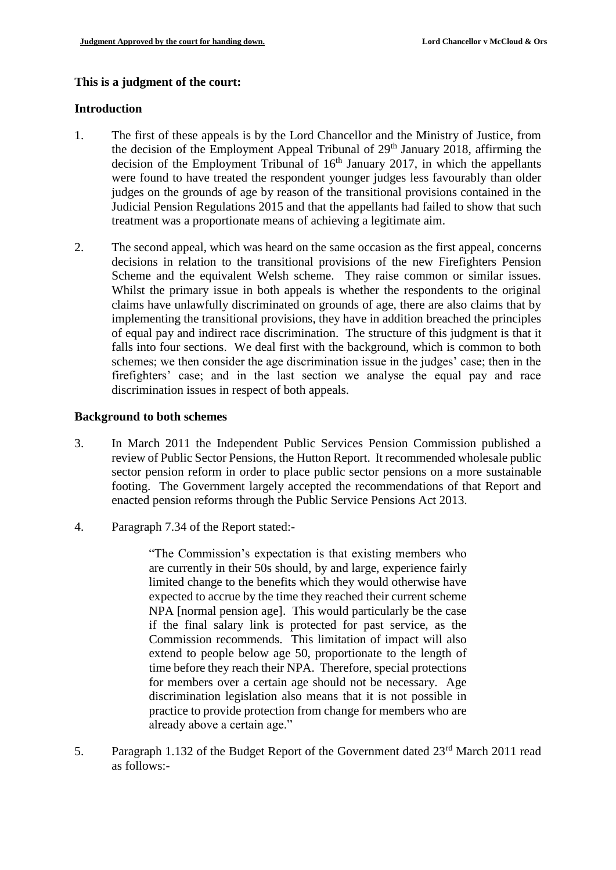## **This is a judgment of the court:**

#### **Introduction**

- 1. The first of these appeals is by the Lord Chancellor and the Ministry of Justice, from the decision of the Employment Appeal Tribunal of  $29<sup>th</sup>$  January 2018, affirming the decision of the Employment Tribunal of  $16<sup>th</sup>$  January 2017, in which the appellants were found to have treated the respondent younger judges less favourably than older judges on the grounds of age by reason of the transitional provisions contained in the Judicial Pension Regulations 2015 and that the appellants had failed to show that such treatment was a proportionate means of achieving a legitimate aim.
- 2. The second appeal, which was heard on the same occasion as the first appeal, concerns decisions in relation to the transitional provisions of the new Firefighters Pension Scheme and the equivalent Welsh scheme. They raise common or similar issues. Whilst the primary issue in both appeals is whether the respondents to the original claims have unlawfully discriminated on grounds of age, there are also claims that by implementing the transitional provisions, they have in addition breached the principles of equal pay and indirect race discrimination. The structure of this judgment is that it falls into four sections. We deal first with the background, which is common to both schemes; we then consider the age discrimination issue in the judges' case; then in the firefighters' case; and in the last section we analyse the equal pay and race discrimination issues in respect of both appeals.

#### **Background to both schemes**

- 3. In March 2011 the Independent Public Services Pension Commission published a review of Public Sector Pensions, the Hutton Report. It recommended wholesale public sector pension reform in order to place public sector pensions on a more sustainable footing. The Government largely accepted the recommendations of that Report and enacted pension reforms through the Public Service Pensions Act 2013.
- 4. Paragraph 7.34 of the Report stated:-

"The Commission's expectation is that existing members who are currently in their 50s should, by and large, experience fairly limited change to the benefits which they would otherwise have expected to accrue by the time they reached their current scheme NPA [normal pension age]. This would particularly be the case if the final salary link is protected for past service, as the Commission recommends. This limitation of impact will also extend to people below age 50, proportionate to the length of time before they reach their NPA. Therefore, special protections for members over a certain age should not be necessary. Age discrimination legislation also means that it is not possible in practice to provide protection from change for members who are already above a certain age."

5. Paragraph 1.132 of the Budget Report of the Government dated 23<sup>rd</sup> March 2011 read as follows:-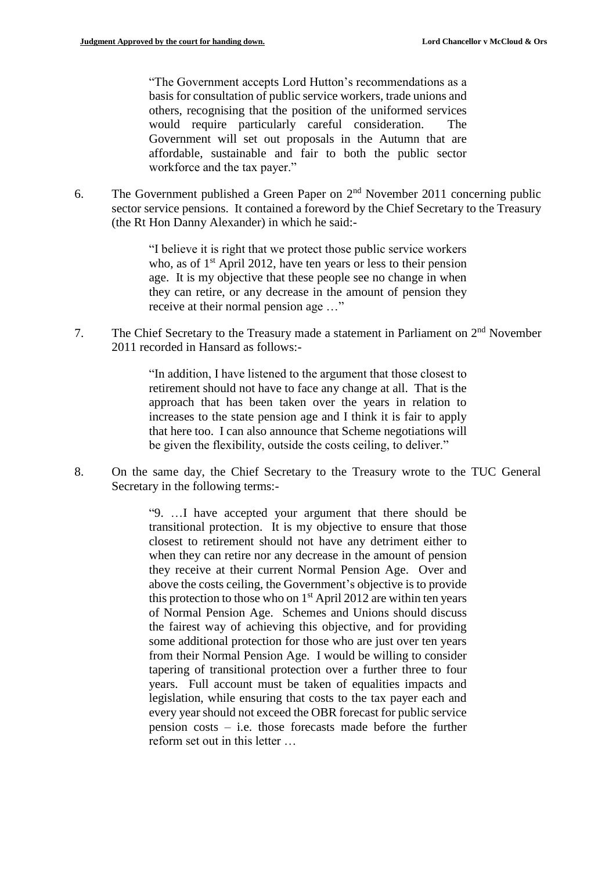"The Government accepts Lord Hutton's recommendations as a basis for consultation of public service workers, trade unions and others, recognising that the position of the uniformed services would require particularly careful consideration. The Government will set out proposals in the Autumn that are affordable, sustainable and fair to both the public sector workforce and the tax payer."

6. The Government published a Green Paper on  $2<sup>nd</sup>$  November 2011 concerning public sector service pensions. It contained a foreword by the Chief Secretary to the Treasury (the Rt Hon Danny Alexander) in which he said:-

> "I believe it is right that we protect those public service workers who, as of  $1<sup>st</sup>$  April 2012, have ten years or less to their pension age. It is my objective that these people see no change in when they can retire, or any decrease in the amount of pension they receive at their normal pension age …"

7. The Chief Secretary to the Treasury made a statement in Parliament on  $2<sup>nd</sup>$  November 2011 recorded in Hansard as follows:-

> "In addition, I have listened to the argument that those closest to retirement should not have to face any change at all. That is the approach that has been taken over the years in relation to increases to the state pension age and I think it is fair to apply that here too. I can also announce that Scheme negotiations will be given the flexibility, outside the costs ceiling, to deliver."

8. On the same day, the Chief Secretary to the Treasury wrote to the TUC General Secretary in the following terms:-

> "9. …I have accepted your argument that there should be transitional protection. It is my objective to ensure that those closest to retirement should not have any detriment either to when they can retire nor any decrease in the amount of pension they receive at their current Normal Pension Age. Over and above the costs ceiling, the Government's objective is to provide this protection to those who on  $1<sup>st</sup>$  April 2012 are within ten years of Normal Pension Age. Schemes and Unions should discuss the fairest way of achieving this objective, and for providing some additional protection for those who are just over ten years from their Normal Pension Age. I would be willing to consider tapering of transitional protection over a further three to four years. Full account must be taken of equalities impacts and legislation, while ensuring that costs to the tax payer each and every year should not exceed the OBR forecast for public service pension costs – i.e. those forecasts made before the further reform set out in this letter …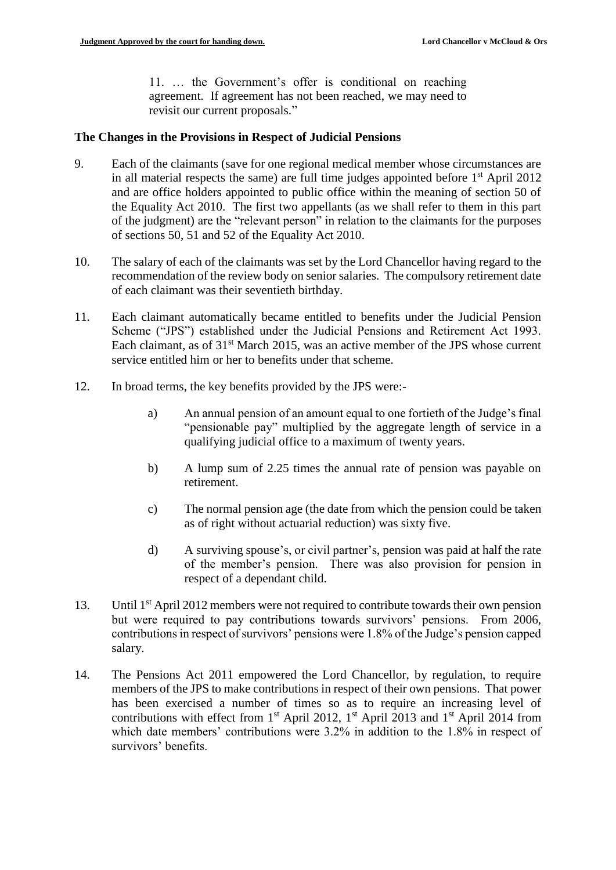11. … the Government's offer is conditional on reaching agreement. If agreement has not been reached, we may need to revisit our current proposals."

## **The Changes in the Provisions in Respect of Judicial Pensions**

- 9. Each of the claimants (save for one regional medical member whose circumstances are in all material respects the same) are full time judges appointed before  $1<sup>st</sup>$  April 2012 and are office holders appointed to public office within the meaning of section 50 of the Equality Act 2010. The first two appellants (as we shall refer to them in this part of the judgment) are the "relevant person" in relation to the claimants for the purposes of sections 50, 51 and 52 of the Equality Act 2010.
- 10. The salary of each of the claimants was set by the Lord Chancellor having regard to the recommendation of the review body on senior salaries. The compulsory retirement date of each claimant was their seventieth birthday.
- 11. Each claimant automatically became entitled to benefits under the Judicial Pension Scheme ("JPS") established under the Judicial Pensions and Retirement Act 1993. Each claimant, as of 31<sup>st</sup> March 2015, was an active member of the JPS whose current service entitled him or her to benefits under that scheme.
- 12. In broad terms, the key benefits provided by the JPS were:
	- a) An annual pension of an amount equal to one fortieth of the Judge's final "pensionable pay" multiplied by the aggregate length of service in a qualifying judicial office to a maximum of twenty years.
	- b) A lump sum of 2.25 times the annual rate of pension was payable on retirement.
	- c) The normal pension age (the date from which the pension could be taken as of right without actuarial reduction) was sixty five.
	- d) A surviving spouse's, or civil partner's, pension was paid at half the rate of the member's pension. There was also provision for pension in respect of a dependant child.
- 13. Until 1st April 2012 members were not required to contribute towards their own pension but were required to pay contributions towards survivors' pensions. From 2006, contributions in respect of survivors' pensions were 1.8% of the Judge's pension capped salary.
- 14. The Pensions Act 2011 empowered the Lord Chancellor, by regulation, to require members of the JPS to make contributions in respect of their own pensions. That power has been exercised a number of times so as to require an increasing level of contributions with effect from  $1<sup>st</sup>$  April 2012,  $1<sup>st</sup>$  April 2013 and  $1<sup>st</sup>$  April 2014 from which date members' contributions were 3.2% in addition to the 1.8% in respect of survivors' benefits.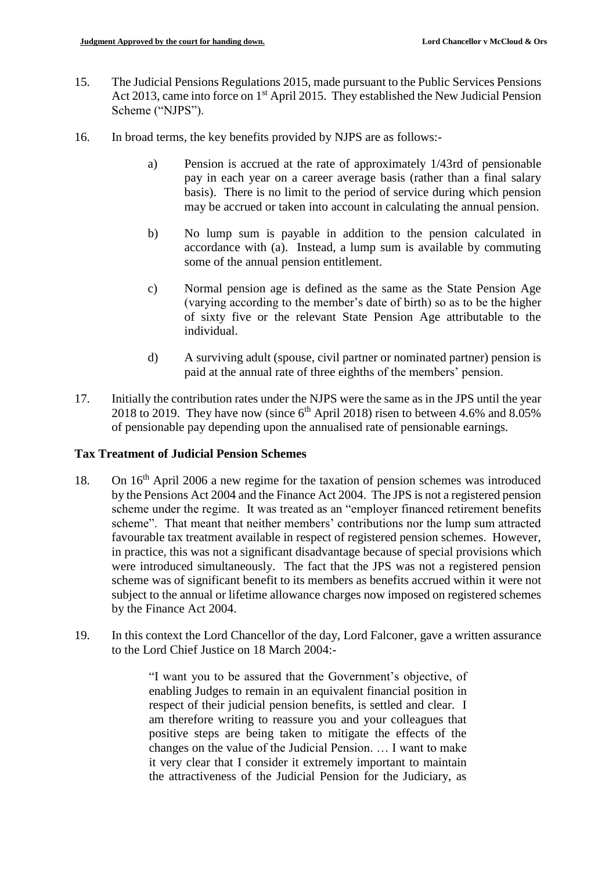- 15. The Judicial Pensions Regulations 2015, made pursuant to the Public Services Pensions Act 2013, came into force on 1<sup>st</sup> April 2015. They established the New Judicial Pension Scheme ("NJPS").
- 16. In broad terms, the key benefits provided by NJPS are as follows:
	- a) Pension is accrued at the rate of approximately 1/43rd of pensionable pay in each year on a career average basis (rather than a final salary basis). There is no limit to the period of service during which pension may be accrued or taken into account in calculating the annual pension.
	- b) No lump sum is payable in addition to the pension calculated in accordance with (a). Instead, a lump sum is available by commuting some of the annual pension entitlement.
	- c) Normal pension age is defined as the same as the State Pension Age (varying according to the member's date of birth) so as to be the higher of sixty five or the relevant State Pension Age attributable to the individual.
	- d) A surviving adult (spouse, civil partner or nominated partner) pension is paid at the annual rate of three eighths of the members' pension.
- 17. Initially the contribution rates under the NJPS were the same as in the JPS until the year 2018 to 2019. They have now (since  $6<sup>th</sup>$  April 2018) risen to between 4.6% and 8.05% of pensionable pay depending upon the annualised rate of pensionable earnings.

## **Tax Treatment of Judicial Pension Schemes**

- 18. On 16th April 2006 a new regime for the taxation of pension schemes was introduced by the Pensions Act 2004 and the Finance Act 2004. The JPS is not a registered pension scheme under the regime. It was treated as an "employer financed retirement benefits scheme". That meant that neither members' contributions nor the lump sum attracted favourable tax treatment available in respect of registered pension schemes. However, in practice, this was not a significant disadvantage because of special provisions which were introduced simultaneously. The fact that the JPS was not a registered pension scheme was of significant benefit to its members as benefits accrued within it were not subject to the annual or lifetime allowance charges now imposed on registered schemes by the Finance Act 2004.
- 19. In this context the Lord Chancellor of the day, Lord Falconer, gave a written assurance to the Lord Chief Justice on 18 March 2004:-

"I want you to be assured that the Government's objective, of enabling Judges to remain in an equivalent financial position in respect of their judicial pension benefits, is settled and clear. I am therefore writing to reassure you and your colleagues that positive steps are being taken to mitigate the effects of the changes on the value of the Judicial Pension. … I want to make it very clear that I consider it extremely important to maintain the attractiveness of the Judicial Pension for the Judiciary, as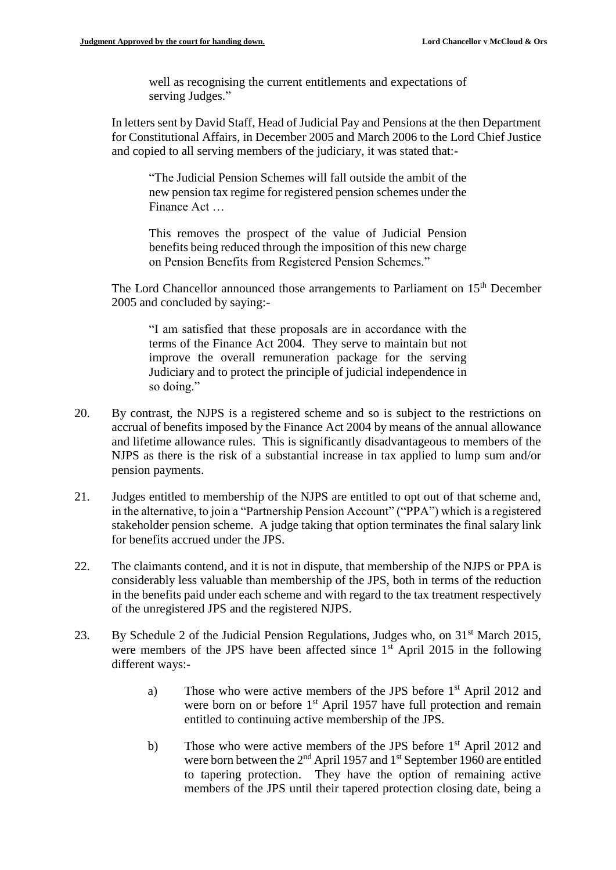well as recognising the current entitlements and expectations of serving Judges."

In letters sent by David Staff, Head of Judicial Pay and Pensions at the then Department for Constitutional Affairs, in December 2005 and March 2006 to the Lord Chief Justice and copied to all serving members of the judiciary, it was stated that:-

"The Judicial Pension Schemes will fall outside the ambit of the new pension tax regime for registered pension schemes under the Finance Act …

This removes the prospect of the value of Judicial Pension benefits being reduced through the imposition of this new charge on Pension Benefits from Registered Pension Schemes."

The Lord Chancellor announced those arrangements to Parliament on 15<sup>th</sup> December 2005 and concluded by saying:-

"I am satisfied that these proposals are in accordance with the terms of the Finance Act 2004. They serve to maintain but not improve the overall remuneration package for the serving Judiciary and to protect the principle of judicial independence in so doing."

- 20. By contrast, the NJPS is a registered scheme and so is subject to the restrictions on accrual of benefits imposed by the Finance Act 2004 by means of the annual allowance and lifetime allowance rules. This is significantly disadvantageous to members of the NJPS as there is the risk of a substantial increase in tax applied to lump sum and/or pension payments.
- 21. Judges entitled to membership of the NJPS are entitled to opt out of that scheme and, in the alternative, to join a "Partnership Pension Account" ("PPA") which is a registered stakeholder pension scheme. A judge taking that option terminates the final salary link for benefits accrued under the JPS.
- 22. The claimants contend, and it is not in dispute, that membership of the NJPS or PPA is considerably less valuable than membership of the JPS, both in terms of the reduction in the benefits paid under each scheme and with regard to the tax treatment respectively of the unregistered JPS and the registered NJPS.
- 23. By Schedule 2 of the Judicial Pension Regulations, Judges who, on 31<sup>st</sup> March 2015, were members of the JPS have been affected since  $1<sup>st</sup>$  April 2015 in the following different ways:
	- a) Those who were active members of the JPS before 1<sup>st</sup> April 2012 and were born on or before 1<sup>st</sup> April 1957 have full protection and remain entitled to continuing active membership of the JPS.
	- b) Those who were active members of the JPS before 1<sup>st</sup> April 2012 and were born between the 2<sup>nd</sup> April 1957 and 1<sup>st</sup> September 1960 are entitled to tapering protection. They have the option of remaining active members of the JPS until their tapered protection closing date, being a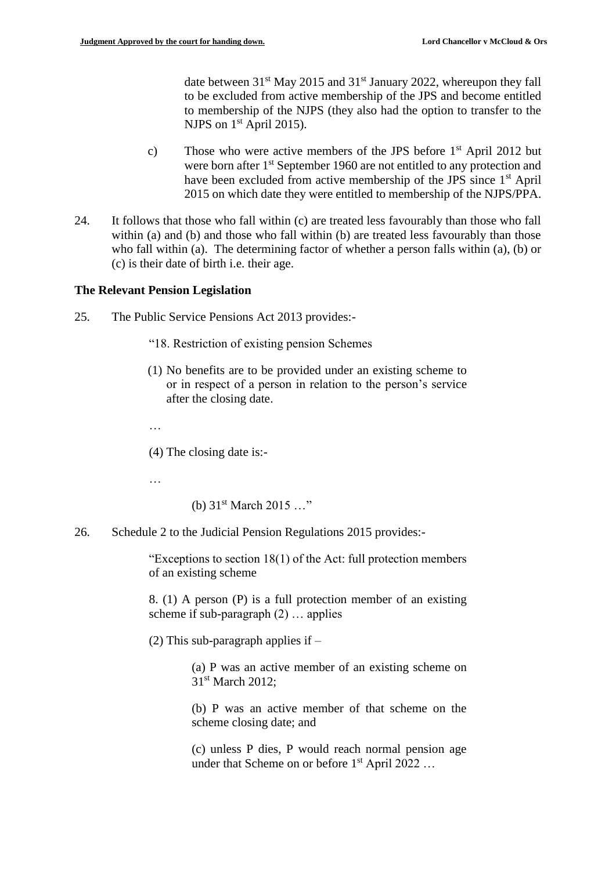date between  $31<sup>st</sup>$  May 2015 and  $31<sup>st</sup>$  January 2022, whereupon they fall to be excluded from active membership of the JPS and become entitled to membership of the NJPS (they also had the option to transfer to the NJPS on  $1<sup>st</sup>$  April 2015).

- c) Those who were active members of the JPS before  $1<sup>st</sup>$  April 2012 but were born after 1<sup>st</sup> September 1960 are not entitled to any protection and have been excluded from active membership of the JPS since 1<sup>st</sup> April 2015 on which date they were entitled to membership of the NJPS/PPA.
- 24. It follows that those who fall within (c) are treated less favourably than those who fall within (a) and (b) and those who fall within (b) are treated less favourably than those who fall within (a). The determining factor of whether a person falls within (a), (b) or (c) is their date of birth i.e. their age.

#### **The Relevant Pension Legislation**

- 25. The Public Service Pensions Act 2013 provides:-
	- "18. Restriction of existing pension Schemes
	- (1) No benefits are to be provided under an existing scheme to or in respect of a person in relation to the person's service after the closing date.
	- …

(4) The closing date is:-

…

```
(b) 31<sup>st</sup> March 2015 ..."
```
26. Schedule 2 to the Judicial Pension Regulations 2015 provides:-

"Exceptions to section 18(1) of the Act: full protection members of an existing scheme

8. (1) A person (P) is a full protection member of an existing scheme if sub-paragraph (2) … applies

(2) This sub-paragraph applies if  $-$ 

(a) P was an active member of an existing scheme on 31<sup>st</sup> March 2012:

(b) P was an active member of that scheme on the scheme closing date; and

(c) unless P dies, P would reach normal pension age under that Scheme on or before 1<sup>st</sup> April 2022 ...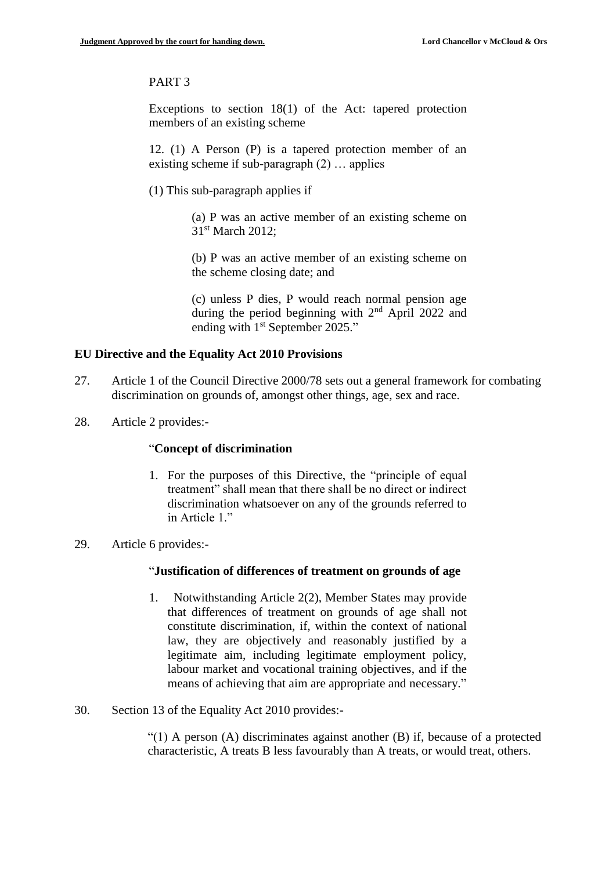## PART 3

Exceptions to section 18(1) of the Act: tapered protection members of an existing scheme

12. (1) A Person (P) is a tapered protection member of an existing scheme if sub-paragraph (2) … applies

(1) This sub-paragraph applies if

(a) P was an active member of an existing scheme on 31<sup>st</sup> March 2012:

(b) P was an active member of an existing scheme on the scheme closing date; and

(c) unless P dies, P would reach normal pension age during the period beginning with  $2<sup>nd</sup>$  April 2022 and ending with 1<sup>st</sup> September 2025."

#### **EU Directive and the Equality Act 2010 Provisions**

- 27. Article 1 of the Council Directive 2000/78 sets out a general framework for combating discrimination on grounds of, amongst other things, age, sex and race.
- 28. Article 2 provides:-

## "**Concept of discrimination**

- 1. For the purposes of this Directive, the "principle of equal treatment" shall mean that there shall be no direct or indirect discrimination whatsoever on any of the grounds referred to in Article 1."
- 29. Article 6 provides:-

#### "**Justification of differences of treatment on grounds of age**

- 1. Notwithstanding Article 2(2), Member States may provide that differences of treatment on grounds of age shall not constitute discrimination, if, within the context of national law, they are objectively and reasonably justified by a legitimate aim, including legitimate employment policy, labour market and vocational training objectives, and if the means of achieving that aim are appropriate and necessary."
- 30. Section 13 of the Equality Act 2010 provides:-

 $\lq(1)$  A person (A) discriminates against another (B) if, because of a protected characteristic, A treats B less favourably than A treats, or would treat, others.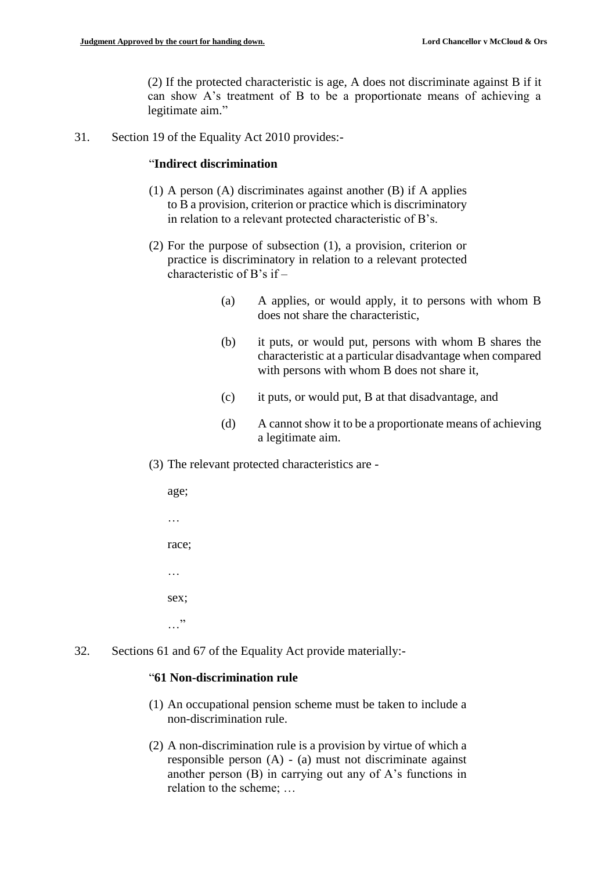(2) If the protected characteristic is age, A does not discriminate against B if it can show A's treatment of B to be a proportionate means of achieving a legitimate aim."

31. Section 19 of the Equality Act 2010 provides:-

## "**Indirect discrimination**

- (1) A person (A) discriminates against another (B) if A applies to B a provision, criterion or practice which is discriminatory in relation to a relevant protected characteristic of B's.
- (2) For the purpose of subsection (1), a provision, criterion or practice is discriminatory in relation to a relevant protected characteristic of B's if –
	- (a) A applies, or would apply, it to persons with whom B does not share the characteristic,
	- (b) it puts, or would put, persons with whom B shares the characteristic at a particular disadvantage when compared with persons with whom B does not share it,
	- (c) it puts, or would put, B at that disadvantage, and
	- (d) A cannot show it to be a proportionate means of achieving a legitimate aim.
- (3) The relevant protected characteristics are -

age; … race; … sex;  $\cdots$ 

32. Sections 61 and 67 of the Equality Act provide materially:-

## "**61 Non-discrimination rule**

- (1) An occupational pension scheme must be taken to include a non-discrimination rule.
- (2) A non-discrimination rule is a provision by virtue of which a responsible person (A) - (a) must not discriminate against another person (B) in carrying out any of A's functions in relation to the scheme; …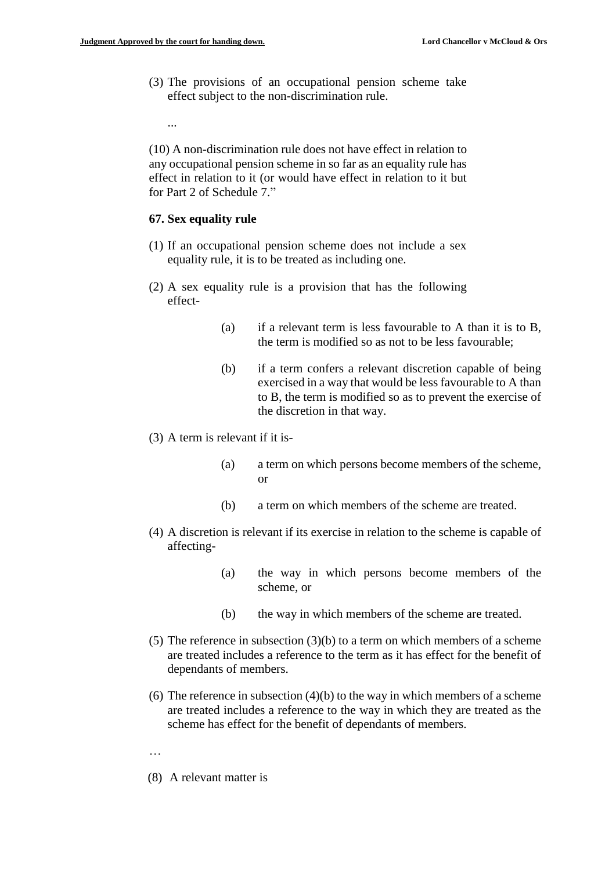...

(3) The provisions of an occupational pension scheme take effect subject to the non-discrimination rule.

(10) A non-discrimination rule does not have effect in relation to any occupational pension scheme in so far as an equality rule has effect in relation to it (or would have effect in relation to it but for Part 2 of Schedule 7"

#### **67. Sex equality rule**

- (1) If an occupational pension scheme does not include a sex equality rule, it is to be treated as including one.
- (2) A sex equality rule is a provision that has the following effect-
	- (a) if a relevant term is less favourable to A than it is to B, the term is modified so as not to be less favourable;
	- (b) if a term confers a relevant discretion capable of being exercised in a way that would be less favourable to A than to B, the term is modified so as to prevent the exercise of the discretion in that way.
- (3) A term is relevant if it is-
	- (a) a term on which persons become members of the scheme, or
	- (b) a term on which members of the scheme are treated.
- (4) A discretion is relevant if its exercise in relation to the scheme is capable of affecting-
	- (a) the way in which persons become members of the scheme, or
	- (b) the way in which members of the scheme are treated.
- (5) The reference in subsection (3)(b) to a term on which members of a scheme are treated includes a reference to the term as it has effect for the benefit of dependants of members.
- (6) The reference in subsection (4)(b) to the way in which members of a scheme are treated includes a reference to the way in which they are treated as the scheme has effect for the benefit of dependants of members.
- …
- (8) A relevant matter is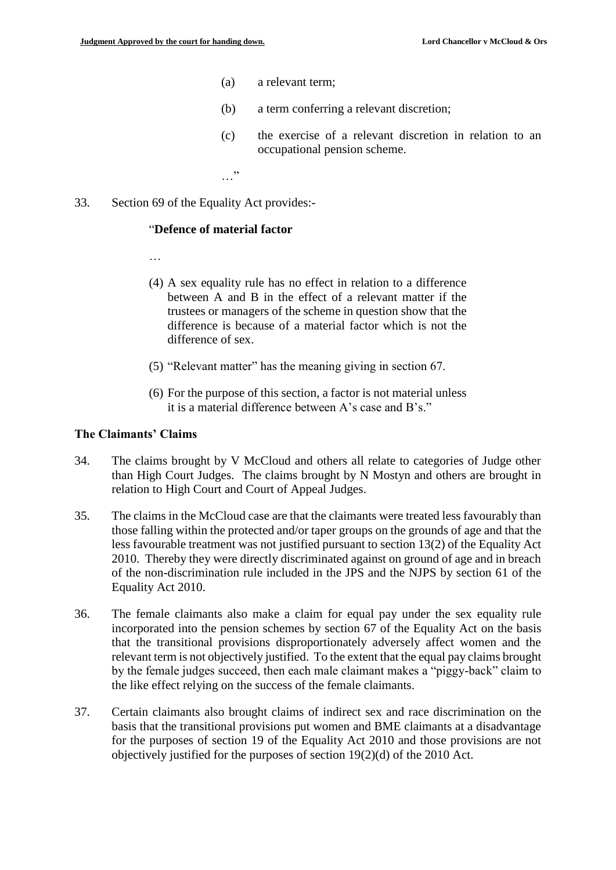- (a) a relevant term;
- (b) a term conferring a relevant discretion;
- (c) the exercise of a relevant discretion in relation to an occupational pension scheme.

…"

33. Section 69 of the Equality Act provides:-

#### "**Defence of material factor**

…

- (4) A sex equality rule has no effect in relation to a difference between A and B in the effect of a relevant matter if the trustees or managers of the scheme in question show that the difference is because of a material factor which is not the difference of sex.
- (5) "Relevant matter" has the meaning giving in section 67.
- (6) For the purpose of this section, a factor is not material unless it is a material difference between A's case and B's."

#### **The Claimants' Claims**

- 34. The claims brought by V McCloud and others all relate to categories of Judge other than High Court Judges. The claims brought by N Mostyn and others are brought in relation to High Court and Court of Appeal Judges.
- 35. The claims in the McCloud case are that the claimants were treated less favourably than those falling within the protected and/or taper groups on the grounds of age and that the less favourable treatment was not justified pursuant to section 13(2) of the Equality Act 2010. Thereby they were directly discriminated against on ground of age and in breach of the non-discrimination rule included in the JPS and the NJPS by section 61 of the Equality Act 2010.
- 36. The female claimants also make a claim for equal pay under the sex equality rule incorporated into the pension schemes by section 67 of the Equality Act on the basis that the transitional provisions disproportionately adversely affect women and the relevant term is not objectively justified. To the extent that the equal pay claims brought by the female judges succeed, then each male claimant makes a "piggy-back" claim to the like effect relying on the success of the female claimants.
- 37. Certain claimants also brought claims of indirect sex and race discrimination on the basis that the transitional provisions put women and BME claimants at a disadvantage for the purposes of section 19 of the Equality Act 2010 and those provisions are not objectively justified for the purposes of section 19(2)(d) of the 2010 Act.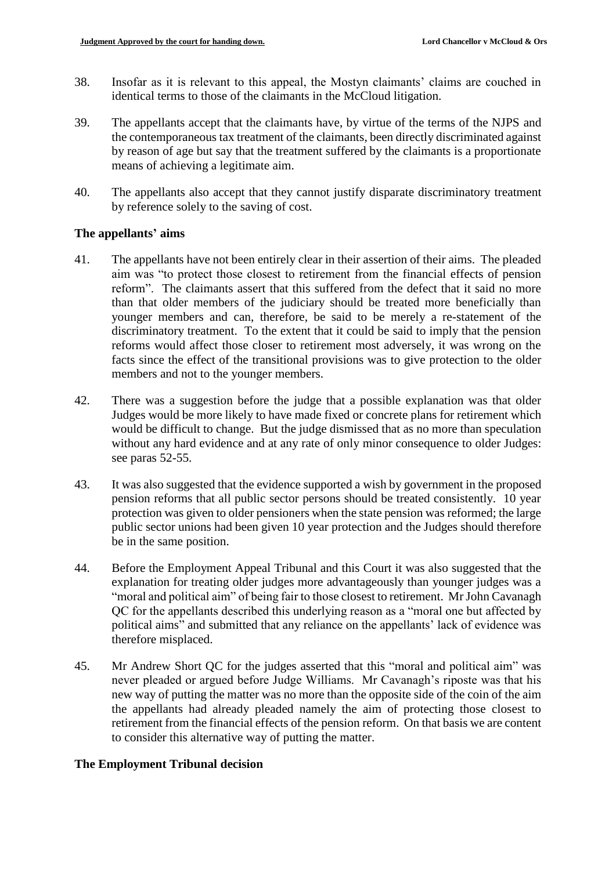- 38. Insofar as it is relevant to this appeal, the Mostyn claimants' claims are couched in identical terms to those of the claimants in the McCloud litigation.
- 39. The appellants accept that the claimants have, by virtue of the terms of the NJPS and the contemporaneous tax treatment of the claimants, been directly discriminated against by reason of age but say that the treatment suffered by the claimants is a proportionate means of achieving a legitimate aim.
- 40. The appellants also accept that they cannot justify disparate discriminatory treatment by reference solely to the saving of cost.

## **The appellants' aims**

- 41. The appellants have not been entirely clear in their assertion of their aims. The pleaded aim was "to protect those closest to retirement from the financial effects of pension reform". The claimants assert that this suffered from the defect that it said no more than that older members of the judiciary should be treated more beneficially than younger members and can, therefore, be said to be merely a re-statement of the discriminatory treatment. To the extent that it could be said to imply that the pension reforms would affect those closer to retirement most adversely, it was wrong on the facts since the effect of the transitional provisions was to give protection to the older members and not to the younger members.
- 42. There was a suggestion before the judge that a possible explanation was that older Judges would be more likely to have made fixed or concrete plans for retirement which would be difficult to change. But the judge dismissed that as no more than speculation without any hard evidence and at any rate of only minor consequence to older Judges: see paras 52-55.
- 43. It was also suggested that the evidence supported a wish by government in the proposed pension reforms that all public sector persons should be treated consistently. 10 year protection was given to older pensioners when the state pension was reformed; the large public sector unions had been given 10 year protection and the Judges should therefore be in the same position.
- 44. Before the Employment Appeal Tribunal and this Court it was also suggested that the explanation for treating older judges more advantageously than younger judges was a "moral and political aim" of being fair to those closest to retirement. Mr John Cavanagh QC for the appellants described this underlying reason as a "moral one but affected by political aims" and submitted that any reliance on the appellants' lack of evidence was therefore misplaced.
- 45. Mr Andrew Short QC for the judges asserted that this "moral and political aim" was never pleaded or argued before Judge Williams. Mr Cavanagh's riposte was that his new way of putting the matter was no more than the opposite side of the coin of the aim the appellants had already pleaded namely the aim of protecting those closest to retirement from the financial effects of the pension reform. On that basis we are content to consider this alternative way of putting the matter.

# **The Employment Tribunal decision**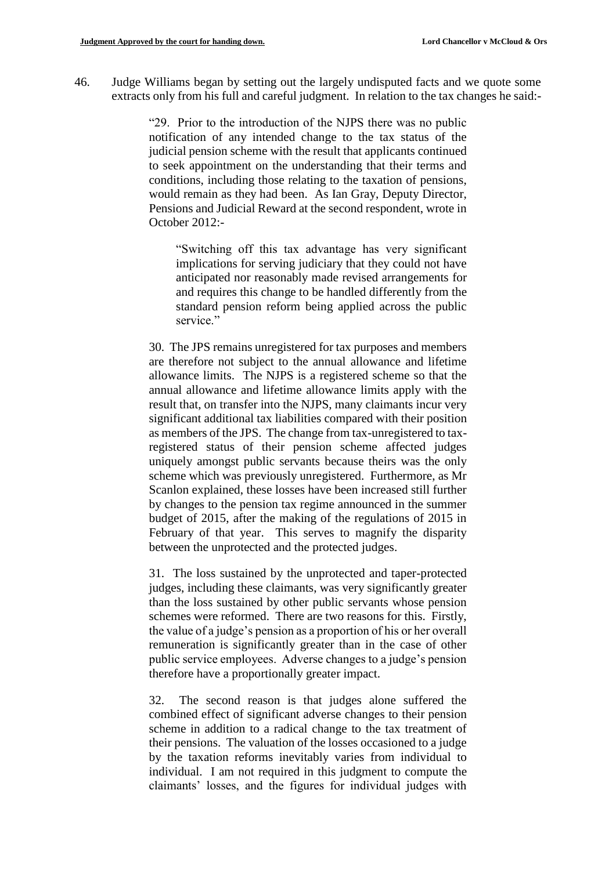46. Judge Williams began by setting out the largely undisputed facts and we quote some extracts only from his full and careful judgment. In relation to the tax changes he said:-

> "29. Prior to the introduction of the NJPS there was no public notification of any intended change to the tax status of the judicial pension scheme with the result that applicants continued to seek appointment on the understanding that their terms and conditions, including those relating to the taxation of pensions, would remain as they had been. As Ian Gray, Deputy Director, Pensions and Judicial Reward at the second respondent, wrote in October 2012:-

"Switching off this tax advantage has very significant implications for serving judiciary that they could not have anticipated nor reasonably made revised arrangements for and requires this change to be handled differently from the standard pension reform being applied across the public service."

30. The JPS remains unregistered for tax purposes and members are therefore not subject to the annual allowance and lifetime allowance limits. The NJPS is a registered scheme so that the annual allowance and lifetime allowance limits apply with the result that, on transfer into the NJPS, many claimants incur very significant additional tax liabilities compared with their position as members of the JPS. The change from tax-unregistered to taxregistered status of their pension scheme affected judges uniquely amongst public servants because theirs was the only scheme which was previously unregistered. Furthermore, as Mr Scanlon explained, these losses have been increased still further by changes to the pension tax regime announced in the summer budget of 2015, after the making of the regulations of 2015 in February of that year. This serves to magnify the disparity between the unprotected and the protected judges.

31. The loss sustained by the unprotected and taper-protected judges, including these claimants, was very significantly greater than the loss sustained by other public servants whose pension schemes were reformed. There are two reasons for this. Firstly, the value of a judge's pension as a proportion of his or her overall remuneration is significantly greater than in the case of other public service employees. Adverse changes to a judge's pension therefore have a proportionally greater impact.

32. The second reason is that judges alone suffered the combined effect of significant adverse changes to their pension scheme in addition to a radical change to the tax treatment of their pensions. The valuation of the losses occasioned to a judge by the taxation reforms inevitably varies from individual to individual. I am not required in this judgment to compute the claimants' losses, and the figures for individual judges with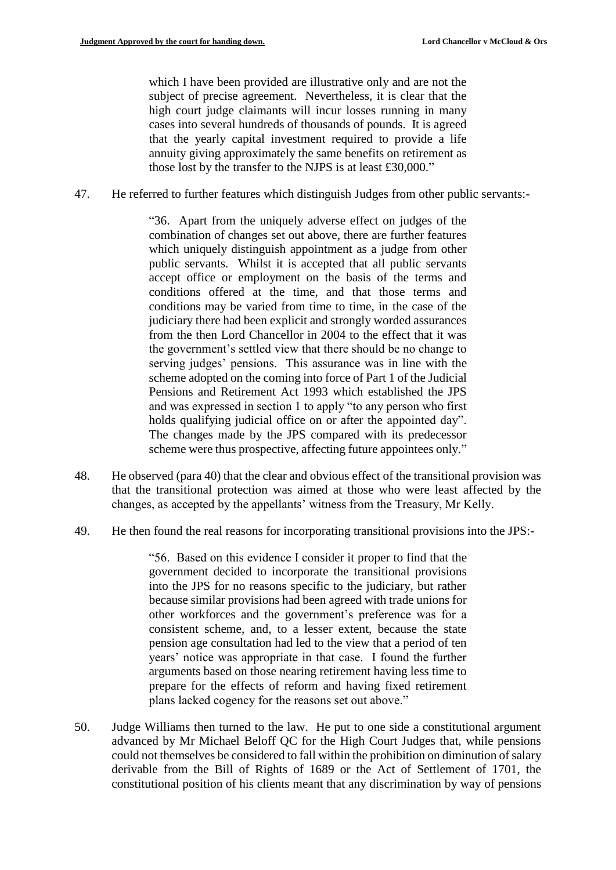which I have been provided are illustrative only and are not the subject of precise agreement. Nevertheless, it is clear that the high court judge claimants will incur losses running in many cases into several hundreds of thousands of pounds. It is agreed that the yearly capital investment required to provide a life annuity giving approximately the same benefits on retirement as those lost by the transfer to the NJPS is at least £30,000."

47. He referred to further features which distinguish Judges from other public servants:-

"36. Apart from the uniquely adverse effect on judges of the combination of changes set out above, there are further features which uniquely distinguish appointment as a judge from other public servants. Whilst it is accepted that all public servants accept office or employment on the basis of the terms and conditions offered at the time, and that those terms and conditions may be varied from time to time, in the case of the judiciary there had been explicit and strongly worded assurances from the then Lord Chancellor in 2004 to the effect that it was the government's settled view that there should be no change to serving judges' pensions. This assurance was in line with the scheme adopted on the coming into force of Part 1 of the Judicial Pensions and Retirement Act 1993 which established the JPS and was expressed in section 1 to apply "to any person who first holds qualifying judicial office on or after the appointed day". The changes made by the JPS compared with its predecessor scheme were thus prospective, affecting future appointees only."

- 48. He observed (para 40) that the clear and obvious effect of the transitional provision was that the transitional protection was aimed at those who were least affected by the changes, as accepted by the appellants' witness from the Treasury, Mr Kelly.
- 49. He then found the real reasons for incorporating transitional provisions into the JPS:-

"56. Based on this evidence I consider it proper to find that the government decided to incorporate the transitional provisions into the JPS for no reasons specific to the judiciary, but rather because similar provisions had been agreed with trade unions for other workforces and the government's preference was for a consistent scheme, and, to a lesser extent, because the state pension age consultation had led to the view that a period of ten years' notice was appropriate in that case. I found the further arguments based on those nearing retirement having less time to prepare for the effects of reform and having fixed retirement plans lacked cogency for the reasons set out above."

50. Judge Williams then turned to the law. He put to one side a constitutional argument advanced by Mr Michael Beloff QC for the High Court Judges that, while pensions could not themselves be considered to fall within the prohibition on diminution of salary derivable from the Bill of Rights of 1689 or the Act of Settlement of 1701, the constitutional position of his clients meant that any discrimination by way of pensions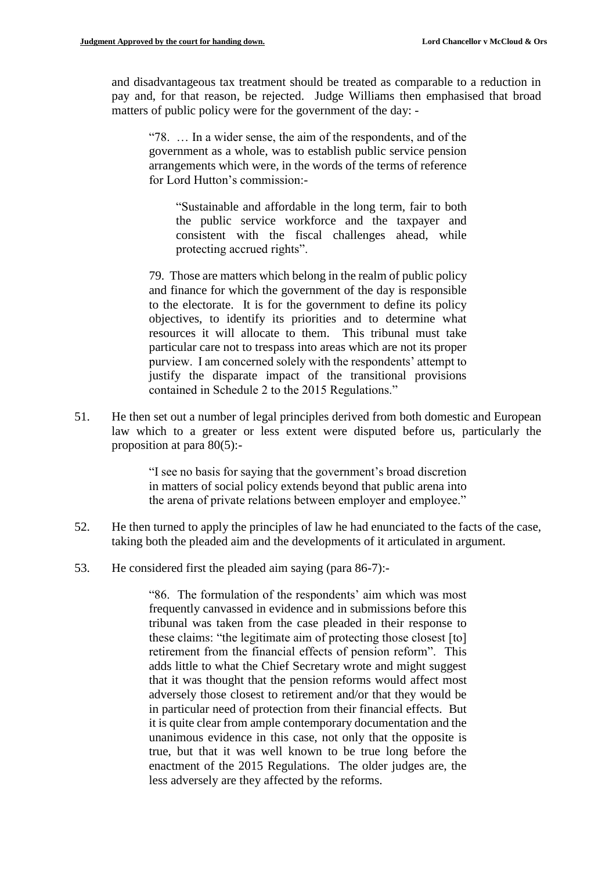and disadvantageous tax treatment should be treated as comparable to a reduction in pay and, for that reason, be rejected. Judge Williams then emphasised that broad matters of public policy were for the government of the day: -

"78. … In a wider sense, the aim of the respondents, and of the government as a whole, was to establish public service pension arrangements which were, in the words of the terms of reference for Lord Hutton's commission:-

"Sustainable and affordable in the long term, fair to both the public service workforce and the taxpayer and consistent with the fiscal challenges ahead, while protecting accrued rights".

79. Those are matters which belong in the realm of public policy and finance for which the government of the day is responsible to the electorate. It is for the government to define its policy objectives, to identify its priorities and to determine what resources it will allocate to them. This tribunal must take particular care not to trespass into areas which are not its proper purview. I am concerned solely with the respondents' attempt to justify the disparate impact of the transitional provisions contained in Schedule 2 to the 2015 Regulations."

51. He then set out a number of legal principles derived from both domestic and European law which to a greater or less extent were disputed before us, particularly the proposition at para 80(5):-

> "I see no basis for saying that the government's broad discretion in matters of social policy extends beyond that public arena into the arena of private relations between employer and employee."

- 52. He then turned to apply the principles of law he had enunciated to the facts of the case, taking both the pleaded aim and the developments of it articulated in argument.
- 53. He considered first the pleaded aim saying (para 86-7):-

"86. The formulation of the respondents' aim which was most frequently canvassed in evidence and in submissions before this tribunal was taken from the case pleaded in their response to these claims: "the legitimate aim of protecting those closest [to] retirement from the financial effects of pension reform". This adds little to what the Chief Secretary wrote and might suggest that it was thought that the pension reforms would affect most adversely those closest to retirement and/or that they would be in particular need of protection from their financial effects. But it is quite clear from ample contemporary documentation and the unanimous evidence in this case, not only that the opposite is true, but that it was well known to be true long before the enactment of the 2015 Regulations. The older judges are, the less adversely are they affected by the reforms.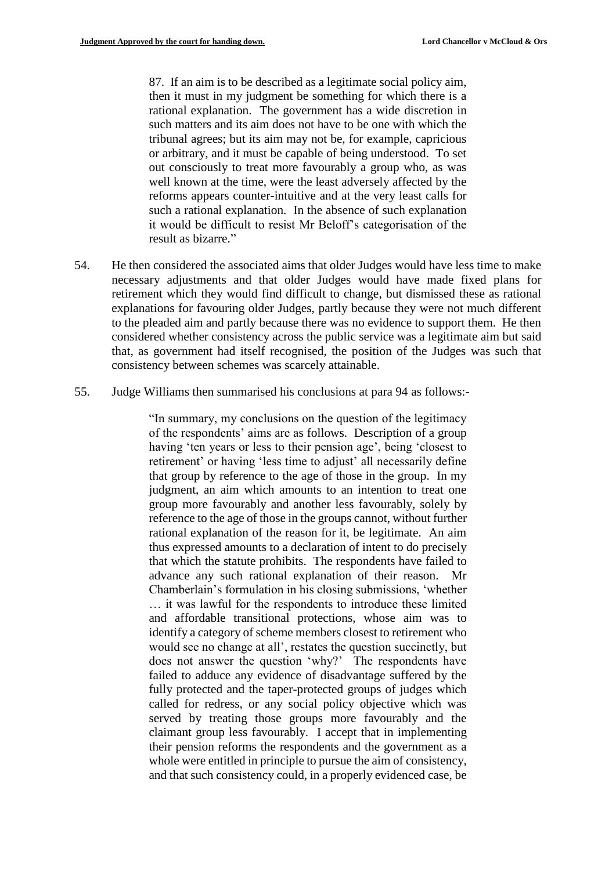87. If an aim is to be described as a legitimate social policy aim, then it must in my judgment be something for which there is a rational explanation. The government has a wide discretion in such matters and its aim does not have to be one with which the tribunal agrees; but its aim may not be, for example, capricious or arbitrary, and it must be capable of being understood. To set out consciously to treat more favourably a group who, as was well known at the time, were the least adversely affected by the reforms appears counter-intuitive and at the very least calls for such a rational explanation. In the absence of such explanation it would be difficult to resist Mr Beloff's categorisation of the result as bizarre."

- 54. He then considered the associated aims that older Judges would have less time to make necessary adjustments and that older Judges would have made fixed plans for retirement which they would find difficult to change, but dismissed these as rational explanations for favouring older Judges, partly because they were not much different to the pleaded aim and partly because there was no evidence to support them. He then considered whether consistency across the public service was a legitimate aim but said that, as government had itself recognised, the position of the Judges was such that consistency between schemes was scarcely attainable.
- 55. Judge Williams then summarised his conclusions at para 94 as follows:-

"In summary, my conclusions on the question of the legitimacy of the respondents' aims are as follows. Description of a group having 'ten years or less to their pension age', being 'closest to retirement' or having 'less time to adjust' all necessarily define that group by reference to the age of those in the group. In my judgment, an aim which amounts to an intention to treat one group more favourably and another less favourably, solely by reference to the age of those in the groups cannot, without further rational explanation of the reason for it, be legitimate. An aim thus expressed amounts to a declaration of intent to do precisely that which the statute prohibits. The respondents have failed to advance any such rational explanation of their reason. Mr Chamberlain's formulation in his closing submissions, 'whether … it was lawful for the respondents to introduce these limited and affordable transitional protections, whose aim was to identify a category of scheme members closest to retirement who would see no change at all', restates the question succinctly, but does not answer the question 'why?' The respondents have failed to adduce any evidence of disadvantage suffered by the fully protected and the taper-protected groups of judges which called for redress, or any social policy objective which was served by treating those groups more favourably and the claimant group less favourably. I accept that in implementing their pension reforms the respondents and the government as a whole were entitled in principle to pursue the aim of consistency, and that such consistency could, in a properly evidenced case, be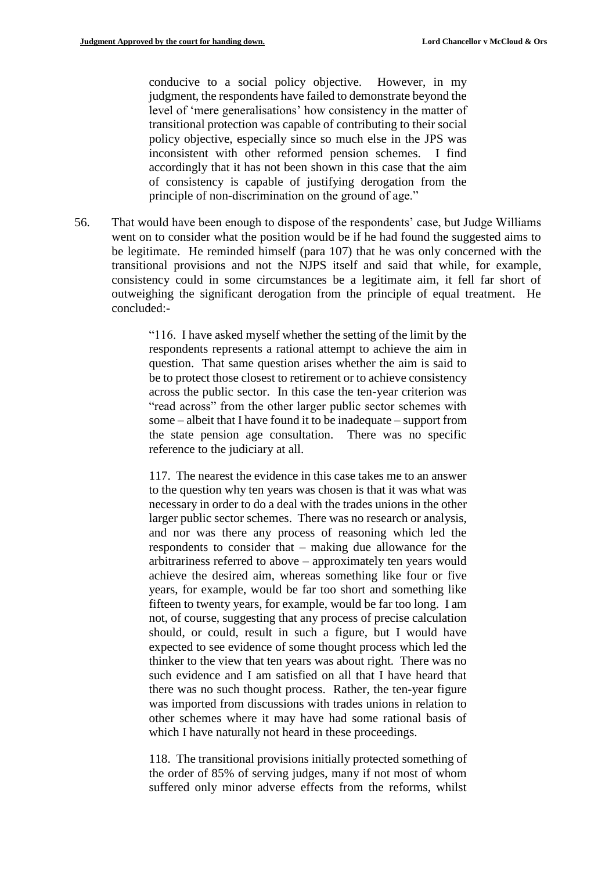conducive to a social policy objective. However, in my judgment, the respondents have failed to demonstrate beyond the level of 'mere generalisations' how consistency in the matter of transitional protection was capable of contributing to their social policy objective, especially since so much else in the JPS was inconsistent with other reformed pension schemes. I find accordingly that it has not been shown in this case that the aim of consistency is capable of justifying derogation from the principle of non-discrimination on the ground of age."

56. That would have been enough to dispose of the respondents' case, but Judge Williams went on to consider what the position would be if he had found the suggested aims to be legitimate. He reminded himself (para 107) that he was only concerned with the transitional provisions and not the NJPS itself and said that while, for example, consistency could in some circumstances be a legitimate aim, it fell far short of outweighing the significant derogation from the principle of equal treatment. He concluded:-

> "116. I have asked myself whether the setting of the limit by the respondents represents a rational attempt to achieve the aim in question. That same question arises whether the aim is said to be to protect those closest to retirement or to achieve consistency across the public sector. In this case the ten-year criterion was "read across" from the other larger public sector schemes with some – albeit that I have found it to be inadequate – support from the state pension age consultation. There was no specific reference to the judiciary at all.

> 117. The nearest the evidence in this case takes me to an answer to the question why ten years was chosen is that it was what was necessary in order to do a deal with the trades unions in the other larger public sector schemes. There was no research or analysis, and nor was there any process of reasoning which led the respondents to consider that – making due allowance for the arbitrariness referred to above – approximately ten years would achieve the desired aim, whereas something like four or five years, for example, would be far too short and something like fifteen to twenty years, for example, would be far too long. I am not, of course, suggesting that any process of precise calculation should, or could, result in such a figure, but I would have expected to see evidence of some thought process which led the thinker to the view that ten years was about right. There was no such evidence and I am satisfied on all that I have heard that there was no such thought process. Rather, the ten-year figure was imported from discussions with trades unions in relation to other schemes where it may have had some rational basis of which I have naturally not heard in these proceedings.

> 118. The transitional provisions initially protected something of the order of 85% of serving judges, many if not most of whom suffered only minor adverse effects from the reforms, whilst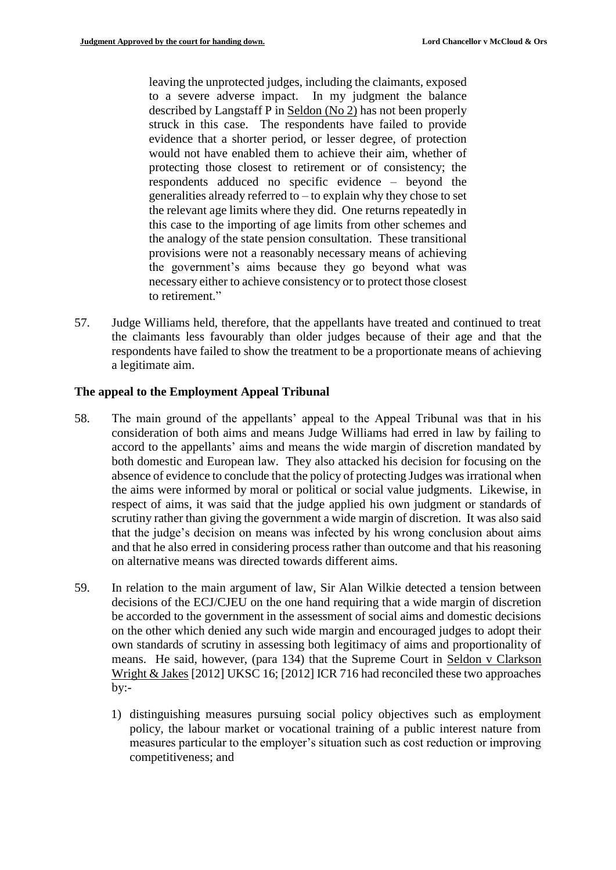leaving the unprotected judges, including the claimants, exposed to a severe adverse impact. In my judgment the balance described by Langstaff P in Seldon (No 2) has not been properly struck in this case. The respondents have failed to provide evidence that a shorter period, or lesser degree, of protection would not have enabled them to achieve their aim, whether of protecting those closest to retirement or of consistency; the respondents adduced no specific evidence – beyond the generalities already referred to – to explain why they chose to set the relevant age limits where they did. One returns repeatedly in this case to the importing of age limits from other schemes and the analogy of the state pension consultation. These transitional provisions were not a reasonably necessary means of achieving the government's aims because they go beyond what was necessary either to achieve consistency or to protect those closest to retirement."

57. Judge Williams held, therefore, that the appellants have treated and continued to treat the claimants less favourably than older judges because of their age and that the respondents have failed to show the treatment to be a proportionate means of achieving a legitimate aim.

#### **The appeal to the Employment Appeal Tribunal**

- 58. The main ground of the appellants' appeal to the Appeal Tribunal was that in his consideration of both aims and means Judge Williams had erred in law by failing to accord to the appellants' aims and means the wide margin of discretion mandated by both domestic and European law. They also attacked his decision for focusing on the absence of evidence to conclude that the policy of protecting Judges was irrational when the aims were informed by moral or political or social value judgments. Likewise, in respect of aims, it was said that the judge applied his own judgment or standards of scrutiny rather than giving the government a wide margin of discretion. It was also said that the judge's decision on means was infected by his wrong conclusion about aims and that he also erred in considering process rather than outcome and that his reasoning on alternative means was directed towards different aims.
- 59. In relation to the main argument of law, Sir Alan Wilkie detected a tension between decisions of the ECJ/CJEU on the one hand requiring that a wide margin of discretion be accorded to the government in the assessment of social aims and domestic decisions on the other which denied any such wide margin and encouraged judges to adopt their own standards of scrutiny in assessing both legitimacy of aims and proportionality of means. He said, however, (para 134) that the Supreme Court in Seldon v Clarkson Wright & Jakes [2012] UKSC 16; [2012] ICR 716 had reconciled these two approaches  $by:-$ 
	- 1) distinguishing measures pursuing social policy objectives such as employment policy, the labour market or vocational training of a public interest nature from measures particular to the employer's situation such as cost reduction or improving competitiveness; and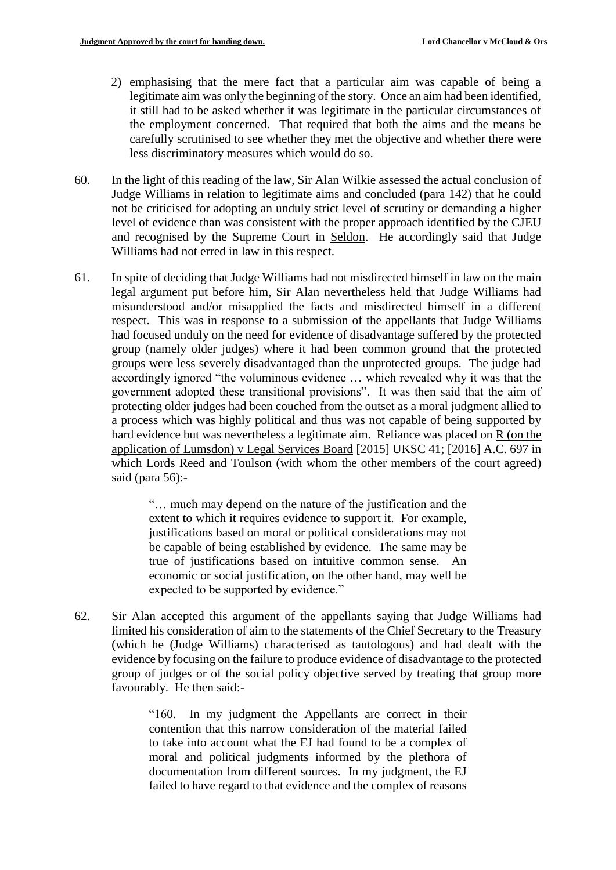- 2) emphasising that the mere fact that a particular aim was capable of being a legitimate aim was only the beginning of the story. Once an aim had been identified, it still had to be asked whether it was legitimate in the particular circumstances of the employment concerned. That required that both the aims and the means be carefully scrutinised to see whether they met the objective and whether there were less discriminatory measures which would do so.
- 60. In the light of this reading of the law, Sir Alan Wilkie assessed the actual conclusion of Judge Williams in relation to legitimate aims and concluded (para 142) that he could not be criticised for adopting an unduly strict level of scrutiny or demanding a higher level of evidence than was consistent with the proper approach identified by the CJEU and recognised by the Supreme Court in Seldon. He accordingly said that Judge Williams had not erred in law in this respect.
- 61. In spite of deciding that Judge Williams had not misdirected himself in law on the main legal argument put before him, Sir Alan nevertheless held that Judge Williams had misunderstood and/or misapplied the facts and misdirected himself in a different respect. This was in response to a submission of the appellants that Judge Williams had focused unduly on the need for evidence of disadvantage suffered by the protected group (namely older judges) where it had been common ground that the protected groups were less severely disadvantaged than the unprotected groups. The judge had accordingly ignored "the voluminous evidence … which revealed why it was that the government adopted these transitional provisions". It was then said that the aim of protecting older judges had been couched from the outset as a moral judgment allied to a process which was highly political and thus was not capable of being supported by hard evidence but was nevertheless a legitimate aim. Reliance was placed on R (on the application of Lumsdon) v Legal Services Board [2015] UKSC 41; [2016] A.C. 697 in which Lords Reed and Toulson (with whom the other members of the court agreed) said (para 56):-

"… much may depend on the nature of the justification and the extent to which it requires evidence to support it. For example, justifications based on moral or political considerations may not be capable of being established by evidence. The same may be true of justifications based on intuitive common sense. An economic or social justification, on the other hand, may well be expected to be supported by evidence."

62. Sir Alan accepted this argument of the appellants saying that Judge Williams had limited his consideration of aim to the statements of the Chief Secretary to the Treasury (which he (Judge Williams) characterised as tautologous) and had dealt with the evidence by focusing on the failure to produce evidence of disadvantage to the protected group of judges or of the social policy objective served by treating that group more favourably. He then said:-

> "160. In my judgment the Appellants are correct in their contention that this narrow consideration of the material failed to take into account what the EJ had found to be a complex of moral and political judgments informed by the plethora of documentation from different sources. In my judgment, the EJ failed to have regard to that evidence and the complex of reasons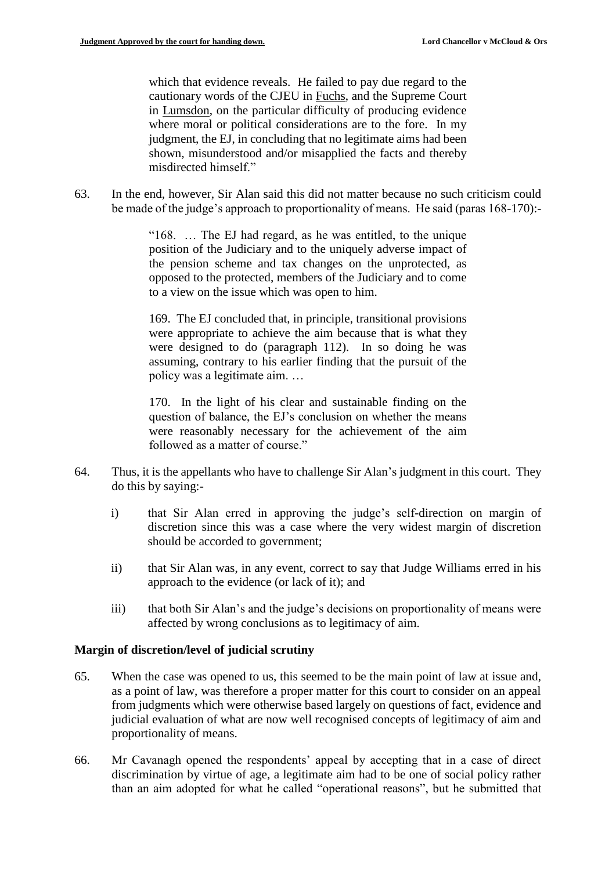which that evidence reveals. He failed to pay due regard to the cautionary words of the CJEU in Fuchs, and the Supreme Court in Lumsdon, on the particular difficulty of producing evidence where moral or political considerations are to the fore. In my judgment, the EJ, in concluding that no legitimate aims had been shown, misunderstood and/or misapplied the facts and thereby misdirected himself."

63. In the end, however, Sir Alan said this did not matter because no such criticism could be made of the judge's approach to proportionality of means. He said (paras 168-170):-

> "168. … The EJ had regard, as he was entitled, to the unique position of the Judiciary and to the uniquely adverse impact of the pension scheme and tax changes on the unprotected, as opposed to the protected, members of the Judiciary and to come to a view on the issue which was open to him.

> 169. The EJ concluded that, in principle, transitional provisions were appropriate to achieve the aim because that is what they were designed to do (paragraph 112). In so doing he was assuming, contrary to his earlier finding that the pursuit of the policy was a legitimate aim. …

> 170. In the light of his clear and sustainable finding on the question of balance, the EJ's conclusion on whether the means were reasonably necessary for the achievement of the aim followed as a matter of course."

- 64. Thus, it is the appellants who have to challenge Sir Alan's judgment in this court. They do this by saying:
	- i) that Sir Alan erred in approving the judge's self-direction on margin of discretion since this was a case where the very widest margin of discretion should be accorded to government;
	- ii) that Sir Alan was, in any event, correct to say that Judge Williams erred in his approach to the evidence (or lack of it); and
	- iii) that both Sir Alan's and the judge's decisions on proportionality of means were affected by wrong conclusions as to legitimacy of aim.

## **Margin of discretion/level of judicial scrutiny**

- 65. When the case was opened to us, this seemed to be the main point of law at issue and, as a point of law, was therefore a proper matter for this court to consider on an appeal from judgments which were otherwise based largely on questions of fact, evidence and judicial evaluation of what are now well recognised concepts of legitimacy of aim and proportionality of means.
- 66. Mr Cavanagh opened the respondents' appeal by accepting that in a case of direct discrimination by virtue of age, a legitimate aim had to be one of social policy rather than an aim adopted for what he called "operational reasons", but he submitted that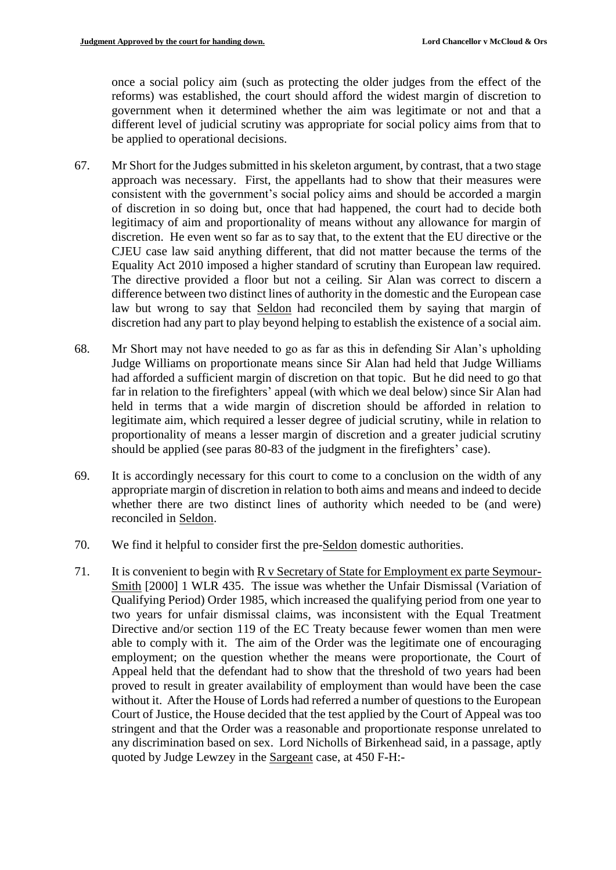once a social policy aim (such as protecting the older judges from the effect of the reforms) was established, the court should afford the widest margin of discretion to government when it determined whether the aim was legitimate or not and that a different level of judicial scrutiny was appropriate for social policy aims from that to be applied to operational decisions.

- 67. Mr Short for the Judges submitted in his skeleton argument, by contrast, that a two stage approach was necessary. First, the appellants had to show that their measures were consistent with the government's social policy aims and should be accorded a margin of discretion in so doing but, once that had happened, the court had to decide both legitimacy of aim and proportionality of means without any allowance for margin of discretion. He even went so far as to say that, to the extent that the EU directive or the CJEU case law said anything different, that did not matter because the terms of the Equality Act 2010 imposed a higher standard of scrutiny than European law required. The directive provided a floor but not a ceiling. Sir Alan was correct to discern a difference between two distinct lines of authority in the domestic and the European case law but wrong to say that Seldon had reconciled them by saying that margin of discretion had any part to play beyond helping to establish the existence of a social aim.
- 68. Mr Short may not have needed to go as far as this in defending Sir Alan's upholding Judge Williams on proportionate means since Sir Alan had held that Judge Williams had afforded a sufficient margin of discretion on that topic. But he did need to go that far in relation to the firefighters' appeal (with which we deal below) since Sir Alan had held in terms that a wide margin of discretion should be afforded in relation to legitimate aim, which required a lesser degree of judicial scrutiny, while in relation to proportionality of means a lesser margin of discretion and a greater judicial scrutiny should be applied (see paras 80-83 of the judgment in the firefighters' case).
- 69. It is accordingly necessary for this court to come to a conclusion on the width of any appropriate margin of discretion in relation to both aims and means and indeed to decide whether there are two distinct lines of authority which needed to be (and were) reconciled in Seldon.
- 70. We find it helpful to consider first the pre-Seldon domestic authorities.
- 71. It is convenient to begin with R v Secretary of State for Employment ex parte Seymour-Smith [2000] 1 WLR 435. The issue was whether the Unfair Dismissal (Variation of Qualifying Period) Order 1985, which increased the qualifying period from one year to two years for unfair dismissal claims, was inconsistent with the Equal Treatment Directive and/or section 119 of the EC Treaty because fewer women than men were able to comply with it. The aim of the Order was the legitimate one of encouraging employment; on the question whether the means were proportionate, the Court of Appeal held that the defendant had to show that the threshold of two years had been proved to result in greater availability of employment than would have been the case without it. After the House of Lords had referred a number of questions to the European Court of Justice, the House decided that the test applied by the Court of Appeal was too stringent and that the Order was a reasonable and proportionate response unrelated to any discrimination based on sex. Lord Nicholls of Birkenhead said, in a passage, aptly quoted by Judge Lewzey in the Sargeant case, at 450 F-H:-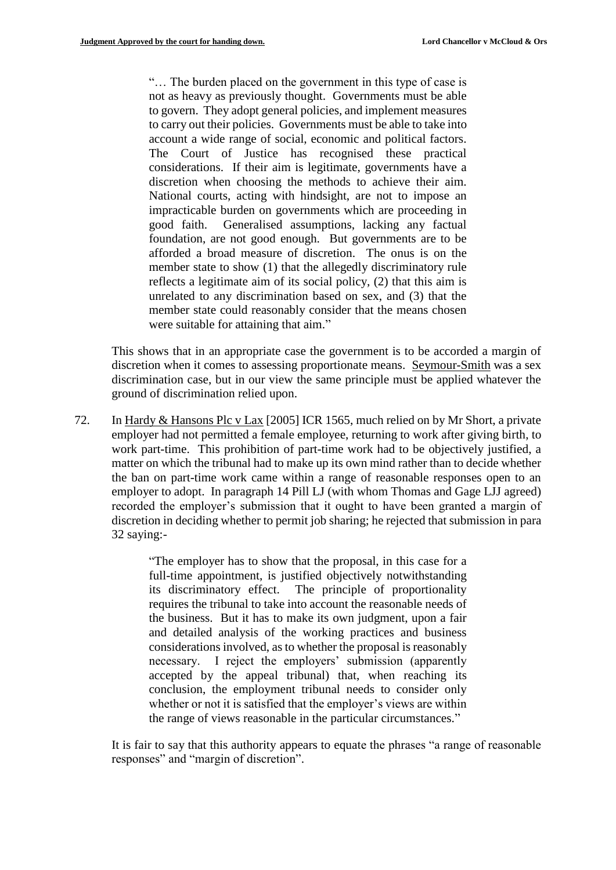"… The burden placed on the government in this type of case is not as heavy as previously thought. Governments must be able to govern. They adopt general policies, and implement measures to carry out their policies. Governments must be able to take into account a wide range of social, economic and political factors. The Court of Justice has recognised these practical considerations. If their aim is legitimate, governments have a discretion when choosing the methods to achieve their aim. National courts, acting with hindsight, are not to impose an impracticable burden on governments which are proceeding in good faith. Generalised assumptions, lacking any factual foundation, are not good enough. But governments are to be afforded a broad measure of discretion. The onus is on the member state to show (1) that the allegedly discriminatory rule reflects a legitimate aim of its social policy, (2) that this aim is unrelated to any discrimination based on sex, and (3) that the member state could reasonably consider that the means chosen were suitable for attaining that aim."

This shows that in an appropriate case the government is to be accorded a margin of discretion when it comes to assessing proportionate means. Seymour-Smith was a sex discrimination case, but in our view the same principle must be applied whatever the ground of discrimination relied upon.

72. In Hardy & Hansons Plc v Lax [2005] ICR 1565, much relied on by Mr Short, a private employer had not permitted a female employee, returning to work after giving birth, to work part-time. This prohibition of part-time work had to be objectively justified, a matter on which the tribunal had to make up its own mind rather than to decide whether the ban on part-time work came within a range of reasonable responses open to an employer to adopt. In paragraph 14 Pill LJ (with whom Thomas and Gage LJJ agreed) recorded the employer's submission that it ought to have been granted a margin of discretion in deciding whether to permit job sharing; he rejected that submission in para 32 saying:-

> "The employer has to show that the proposal, in this case for a full-time appointment, is justified objectively notwithstanding its discriminatory effect. The principle of proportionality requires the tribunal to take into account the reasonable needs of the business. But it has to make its own judgment, upon a fair and detailed analysis of the working practices and business considerations involved, as to whether the proposal is reasonably necessary. I reject the employers' submission (apparently accepted by the appeal tribunal) that, when reaching its conclusion, the employment tribunal needs to consider only whether or not it is satisfied that the employer's views are within the range of views reasonable in the particular circumstances."

It is fair to say that this authority appears to equate the phrases "a range of reasonable responses" and "margin of discretion".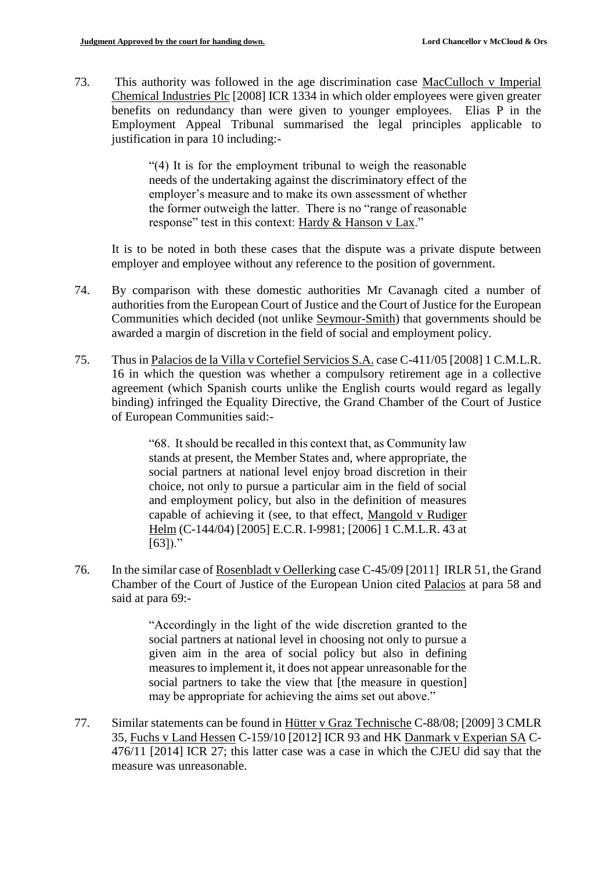73. This authority was followed in the age discrimination case MacCulloch v Imperial Chemical Industries Plc [2008] ICR 1334 in which older employees were given greater benefits on redundancy than were given to younger employees. Elias P in the Employment Appeal Tribunal summarised the legal principles applicable to justification in para 10 including:-

> "(4) It is for the employment tribunal to weigh the reasonable needs of the undertaking against the discriminatory effect of the employer's measure and to make its own assessment of whether the former outweigh the latter. There is no "range of reasonable response" test in this context: Hardy & Hanson v Lax."

It is to be noted in both these cases that the dispute was a private dispute between employer and employee without any reference to the position of government.

- 74. By comparison with these domestic authorities Mr Cavanagh cited a number of authorities from the European Court of Justice and the Court of Justice for the European Communities which decided (not unlike Seymour-Smith) that governments should be awarded a margin of discretion in the field of social and employment policy.
- 75. Thus in Palacios de la Villa v Cortefiel Servicios S.A. case C-411/05 [2008] 1 C.M.L.R. 16 in which the question was whether a compulsory retirement age in a collective agreement (which Spanish courts unlike the English courts would regard as legally binding) infringed the Equality Directive, the Grand Chamber of the Court of Justice of European Communities said:-

"68. It should be recalled in this context that, as Community law stands at present, the Member States and, where appropriate, the social partners at national level enjoy broad discretion in their choice, not only to pursue a particular aim in the field of social and employment policy, but also in the definition of measures capable of achieving it (see, to that effect, Mangold v Rudiger Helm (C-144/04) [2005] E.C.R. I-9981; [2006] 1 C.M.L.R. 43 at  $[63]$ ."

76. In the similar case of Rosenbladt v Oellerking case C-45/09 [2011] IRLR 51, the Grand Chamber of the Court of Justice of the European Union cited Palacios at para 58 and said at para 69:-

> "Accordingly in the light of the wide discretion granted to the social partners at national level in choosing not only to pursue a given aim in the area of social policy but also in defining measures to implement it, it does not appear unreasonable for the social partners to take the view that [the measure in question] may be appropriate for achieving the aims set out above."

77. Similar statements can be found in Hütter v Graz Technische C-88/08; [2009] 3 CMLR 35, Fuchs v Land Hessen C-159/10 [2012] ICR 93 and HK Danmark v Experian SA C-476/11 [2014] ICR 27; this latter case was a case in which the CJEU did say that the measure was unreasonable.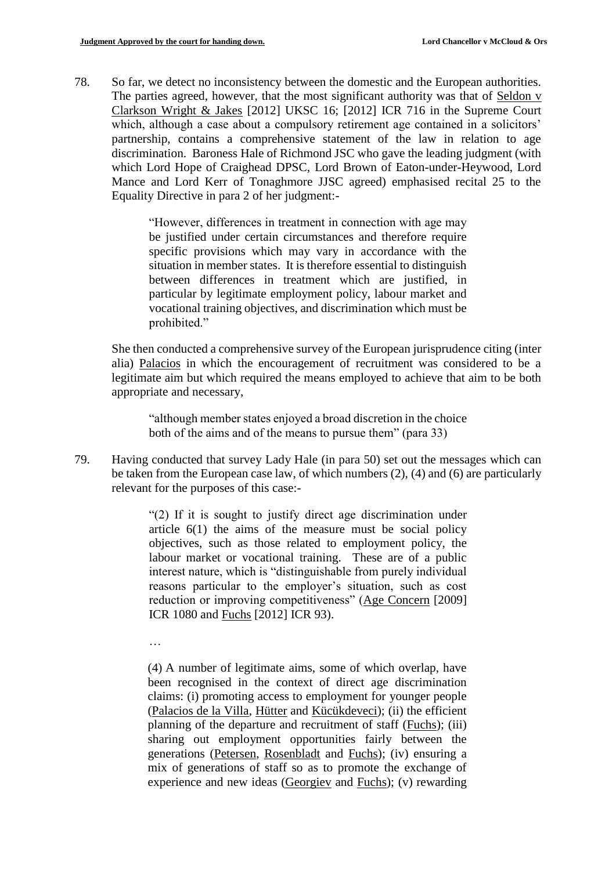78. So far, we detect no inconsistency between the domestic and the European authorities. The parties agreed, however, that the most significant authority was that of Seldon v Clarkson Wright & Jakes [2012] UKSC 16; [2012] ICR 716 in the Supreme Court which, although a case about a compulsory retirement age contained in a solicitors' partnership, contains a comprehensive statement of the law in relation to age discrimination. Baroness Hale of Richmond JSC who gave the leading judgment (with which Lord Hope of Craighead DPSC, Lord Brown of Eaton-under-Heywood, Lord Mance and Lord Kerr of Tonaghmore JJSC agreed) emphasised recital 25 to the Equality Directive in para 2 of her judgment:-

> "However, differences in treatment in connection with age may be justified under certain circumstances and therefore require specific provisions which may vary in accordance with the situation in member states. It is therefore essential to distinguish between differences in treatment which are justified, in particular by legitimate employment policy, labour market and vocational training objectives, and discrimination which must be prohibited."

She then conducted a comprehensive survey of the European jurisprudence citing (inter alia) Palacios in which the encouragement of recruitment was considered to be a legitimate aim but which required the means employed to achieve that aim to be both appropriate and necessary,

"although member states enjoyed a broad discretion in the choice both of the aims and of the means to pursue them" (para 33)

79. Having conducted that survey Lady Hale (in para 50) set out the messages which can be taken from the European case law, of which numbers (2), (4) and (6) are particularly relevant for the purposes of this case:-

> "(2) If it is sought to justify direct age discrimination under article 6(1) the aims of the measure must be social policy objectives, such as those related to employment policy, the labour market or vocational training. These are of a public interest nature, which is "distinguishable from purely individual reasons particular to the employer's situation, such as cost reduction or improving competitiveness" (Age Concern [2009] ICR 1080 and Fuchs [2012] ICR 93).

…

(4) A number of legitimate aims, some of which overlap, have been recognised in the context of direct age discrimination claims: (i) promoting access to employment for younger people (Palacios de la Villa, Hütter and Kücükdeveci); (ii) the efficient planning of the departure and recruitment of staff (Fuchs); (iii) sharing out employment opportunities fairly between the generations (Petersen, Rosenbladt and Fuchs); (iv) ensuring a mix of generations of staff so as to promote the exchange of experience and new ideas (Georgiev and Fuchs); (v) rewarding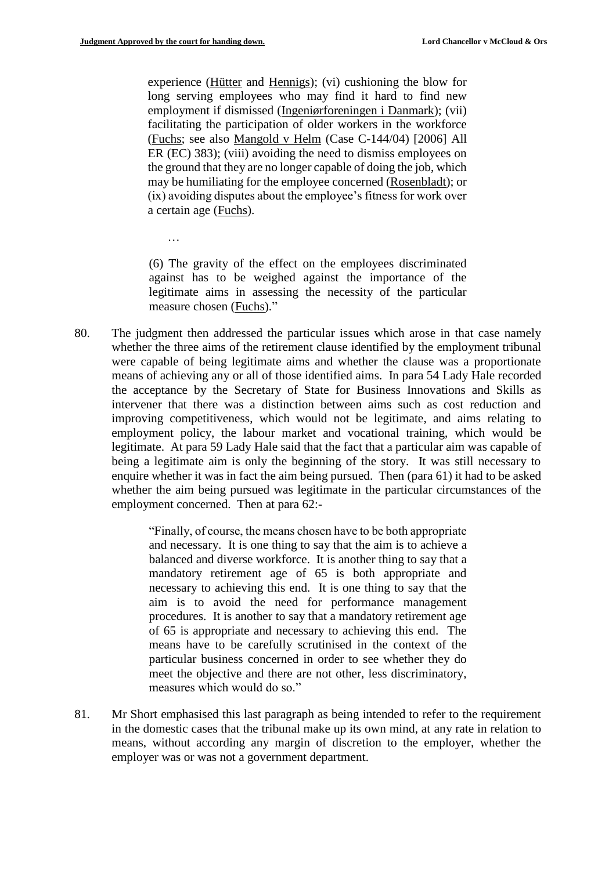…

experience (Hütter and Hennigs); (vi) cushioning the blow for long serving employees who may find it hard to find new employment if dismissed (Ingeniørforeningen i Danmark); (vii) facilitating the participation of older workers in the workforce (Fuchs; see also Mangold v Helm (Case C-144/04) [2006] All ER (EC) 383); (viii) avoiding the need to dismiss employees on the ground that they are no longer capable of doing the job, which may be humiliating for the employee concerned (Rosenbladt); or (ix) avoiding disputes about the employee's fitness for work over a certain age (Fuchs).

(6) The gravity of the effect on the employees discriminated against has to be weighed against the importance of the legitimate aims in assessing the necessity of the particular measure chosen (Fuchs)."

80. The judgment then addressed the particular issues which arose in that case namely whether the three aims of the retirement clause identified by the employment tribunal were capable of being legitimate aims and whether the clause was a proportionate means of achieving any or all of those identified aims. In para 54 Lady Hale recorded the acceptance by the Secretary of State for Business Innovations and Skills as intervener that there was a distinction between aims such as cost reduction and improving competitiveness, which would not be legitimate, and aims relating to employment policy, the labour market and vocational training, which would be legitimate. At para 59 Lady Hale said that the fact that a particular aim was capable of being a legitimate aim is only the beginning of the story. It was still necessary to enquire whether it was in fact the aim being pursued. Then (para 61) it had to be asked whether the aim being pursued was legitimate in the particular circumstances of the employment concerned. Then at para 62:-

> "Finally, of course, the means chosen have to be both appropriate and necessary. It is one thing to say that the aim is to achieve a balanced and diverse workforce. It is another thing to say that a mandatory retirement age of 65 is both appropriate and necessary to achieving this end. It is one thing to say that the aim is to avoid the need for performance management procedures. It is another to say that a mandatory retirement age of 65 is appropriate and necessary to achieving this end. The means have to be carefully scrutinised in the context of the particular business concerned in order to see whether they do meet the objective and there are not other, less discriminatory, measures which would do so."

81. Mr Short emphasised this last paragraph as being intended to refer to the requirement in the domestic cases that the tribunal make up its own mind, at any rate in relation to means, without according any margin of discretion to the employer, whether the employer was or was not a government department.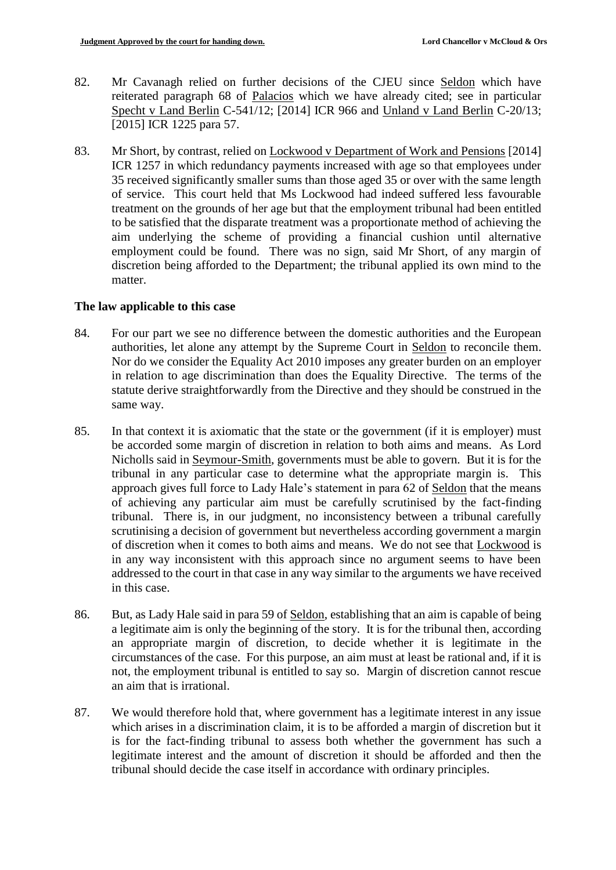- 82. Mr Cavanagh relied on further decisions of the CJEU since Seldon which have reiterated paragraph 68 of Palacios which we have already cited; see in particular Specht v Land Berlin C-541/12; [2014] ICR 966 and Unland v Land Berlin C-20/13; [2015] ICR 1225 para 57.
- 83. Mr Short, by contrast, relied on Lockwood v Department of Work and Pensions [2014] ICR 1257 in which redundancy payments increased with age so that employees under 35 received significantly smaller sums than those aged 35 or over with the same length of service. This court held that Ms Lockwood had indeed suffered less favourable treatment on the grounds of her age but that the employment tribunal had been entitled to be satisfied that the disparate treatment was a proportionate method of achieving the aim underlying the scheme of providing a financial cushion until alternative employment could be found. There was no sign, said Mr Short, of any margin of discretion being afforded to the Department; the tribunal applied its own mind to the matter.

## **The law applicable to this case**

- 84. For our part we see no difference between the domestic authorities and the European authorities, let alone any attempt by the Supreme Court in Seldon to reconcile them. Nor do we consider the Equality Act 2010 imposes any greater burden on an employer in relation to age discrimination than does the Equality Directive. The terms of the statute derive straightforwardly from the Directive and they should be construed in the same way.
- 85. In that context it is axiomatic that the state or the government (if it is employer) must be accorded some margin of discretion in relation to both aims and means. As Lord Nicholls said in Seymour-Smith, governments must be able to govern. But it is for the tribunal in any particular case to determine what the appropriate margin is. This approach gives full force to Lady Hale's statement in para 62 of Seldon that the means of achieving any particular aim must be carefully scrutinised by the fact-finding tribunal. There is, in our judgment, no inconsistency between a tribunal carefully scrutinising a decision of government but nevertheless according government a margin of discretion when it comes to both aims and means. We do not see that Lockwood is in any way inconsistent with this approach since no argument seems to have been addressed to the court in that case in any way similar to the arguments we have received in this case.
- 86. But, as Lady Hale said in para 59 of Seldon, establishing that an aim is capable of being a legitimate aim is only the beginning of the story. It is for the tribunal then, according an appropriate margin of discretion, to decide whether it is legitimate in the circumstances of the case. For this purpose, an aim must at least be rational and, if it is not, the employment tribunal is entitled to say so. Margin of discretion cannot rescue an aim that is irrational.
- 87. We would therefore hold that, where government has a legitimate interest in any issue which arises in a discrimination claim, it is to be afforded a margin of discretion but it is for the fact-finding tribunal to assess both whether the government has such a legitimate interest and the amount of discretion it should be afforded and then the tribunal should decide the case itself in accordance with ordinary principles.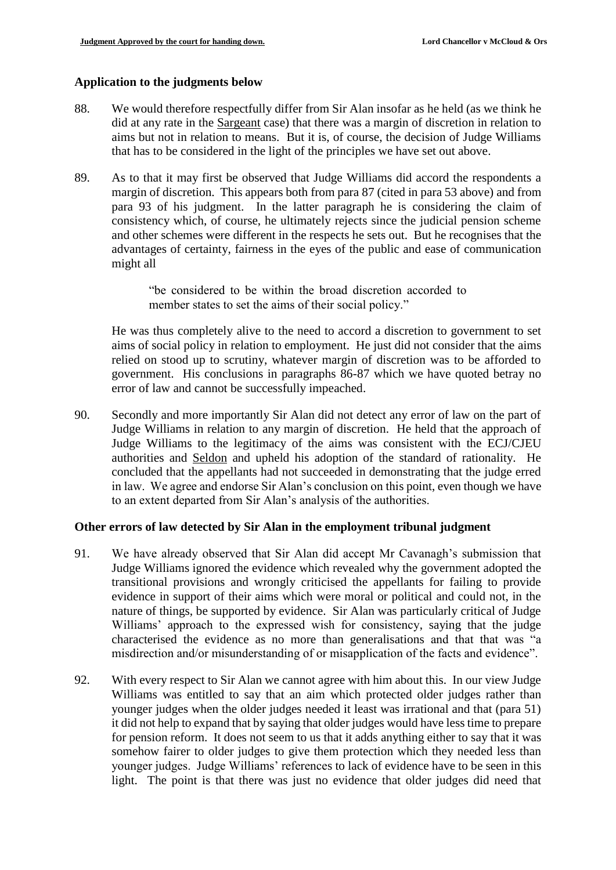#### **Application to the judgments below**

- 88. We would therefore respectfully differ from Sir Alan insofar as he held (as we think he did at any rate in the Sargeant case) that there was a margin of discretion in relation to aims but not in relation to means. But it is, of course, the decision of Judge Williams that has to be considered in the light of the principles we have set out above.
- 89. As to that it may first be observed that Judge Williams did accord the respondents a margin of discretion. This appears both from para 87 (cited in para 53 above) and from para 93 of his judgment. In the latter paragraph he is considering the claim of consistency which, of course, he ultimately rejects since the judicial pension scheme and other schemes were different in the respects he sets out. But he recognises that the advantages of certainty, fairness in the eyes of the public and ease of communication might all

"be considered to be within the broad discretion accorded to member states to set the aims of their social policy."

He was thus completely alive to the need to accord a discretion to government to set aims of social policy in relation to employment. He just did not consider that the aims relied on stood up to scrutiny, whatever margin of discretion was to be afforded to government. His conclusions in paragraphs 86-87 which we have quoted betray no error of law and cannot be successfully impeached.

90. Secondly and more importantly Sir Alan did not detect any error of law on the part of Judge Williams in relation to any margin of discretion. He held that the approach of Judge Williams to the legitimacy of the aims was consistent with the ECJ/CJEU authorities and Seldon and upheld his adoption of the standard of rationality. He concluded that the appellants had not succeeded in demonstrating that the judge erred in law. We agree and endorse Sir Alan's conclusion on this point, even though we have to an extent departed from Sir Alan's analysis of the authorities.

#### **Other errors of law detected by Sir Alan in the employment tribunal judgment**

- 91. We have already observed that Sir Alan did accept Mr Cavanagh's submission that Judge Williams ignored the evidence which revealed why the government adopted the transitional provisions and wrongly criticised the appellants for failing to provide evidence in support of their aims which were moral or political and could not, in the nature of things, be supported by evidence. Sir Alan was particularly critical of Judge Williams' approach to the expressed wish for consistency, saying that the judge characterised the evidence as no more than generalisations and that that was "a misdirection and/or misunderstanding of or misapplication of the facts and evidence".
- 92. With every respect to Sir Alan we cannot agree with him about this. In our view Judge Williams was entitled to say that an aim which protected older judges rather than younger judges when the older judges needed it least was irrational and that (para 51) it did not help to expand that by saying that older judges would have less time to prepare for pension reform. It does not seem to us that it adds anything either to say that it was somehow fairer to older judges to give them protection which they needed less than younger judges. Judge Williams' references to lack of evidence have to be seen in this light. The point is that there was just no evidence that older judges did need that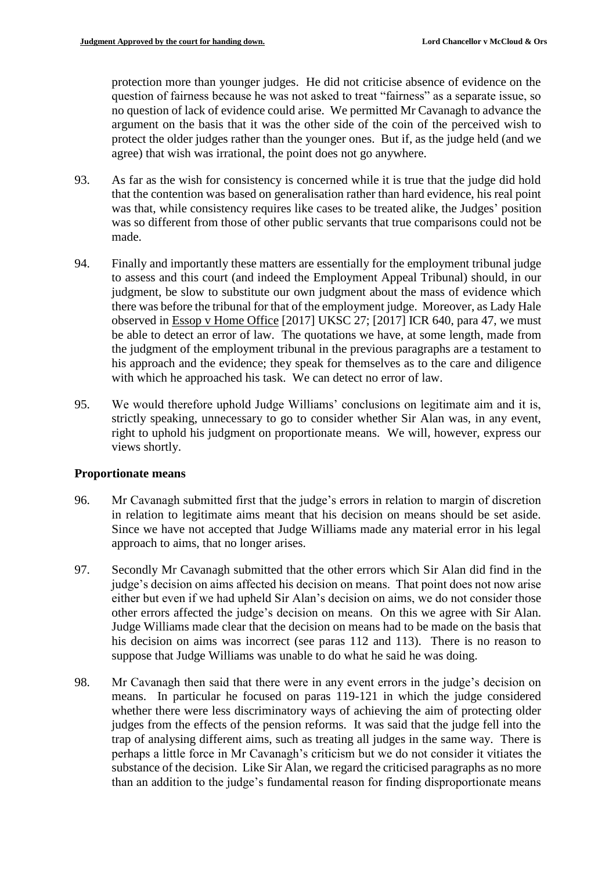protection more than younger judges. He did not criticise absence of evidence on the question of fairness because he was not asked to treat "fairness" as a separate issue, so no question of lack of evidence could arise. We permitted Mr Cavanagh to advance the argument on the basis that it was the other side of the coin of the perceived wish to protect the older judges rather than the younger ones. But if, as the judge held (and we agree) that wish was irrational, the point does not go anywhere.

- 93. As far as the wish for consistency is concerned while it is true that the judge did hold that the contention was based on generalisation rather than hard evidence, his real point was that, while consistency requires like cases to be treated alike, the Judges' position was so different from those of other public servants that true comparisons could not be made.
- 94. Finally and importantly these matters are essentially for the employment tribunal judge to assess and this court (and indeed the Employment Appeal Tribunal) should, in our judgment, be slow to substitute our own judgment about the mass of evidence which there was before the tribunal for that of the employment judge. Moreover, as Lady Hale observed in Essop v Home Office [2017] UKSC 27; [2017] ICR 640, para 47, we must be able to detect an error of law. The quotations we have, at some length, made from the judgment of the employment tribunal in the previous paragraphs are a testament to his approach and the evidence; they speak for themselves as to the care and diligence with which he approached his task. We can detect no error of law.
- 95. We would therefore uphold Judge Williams' conclusions on legitimate aim and it is, strictly speaking, unnecessary to go to consider whether Sir Alan was, in any event, right to uphold his judgment on proportionate means. We will, however, express our views shortly.

## **Proportionate means**

- 96. Mr Cavanagh submitted first that the judge's errors in relation to margin of discretion in relation to legitimate aims meant that his decision on means should be set aside. Since we have not accepted that Judge Williams made any material error in his legal approach to aims, that no longer arises.
- 97. Secondly Mr Cavanagh submitted that the other errors which Sir Alan did find in the judge's decision on aims affected his decision on means. That point does not now arise either but even if we had upheld Sir Alan's decision on aims, we do not consider those other errors affected the judge's decision on means. On this we agree with Sir Alan. Judge Williams made clear that the decision on means had to be made on the basis that his decision on aims was incorrect (see paras 112 and 113). There is no reason to suppose that Judge Williams was unable to do what he said he was doing.
- 98. Mr Cavanagh then said that there were in any event errors in the judge's decision on means. In particular he focused on paras 119-121 in which the judge considered whether there were less discriminatory ways of achieving the aim of protecting older judges from the effects of the pension reforms. It was said that the judge fell into the trap of analysing different aims, such as treating all judges in the same way. There is perhaps a little force in Mr Cavanagh's criticism but we do not consider it vitiates the substance of the decision. Like Sir Alan, we regard the criticised paragraphs as no more than an addition to the judge's fundamental reason for finding disproportionate means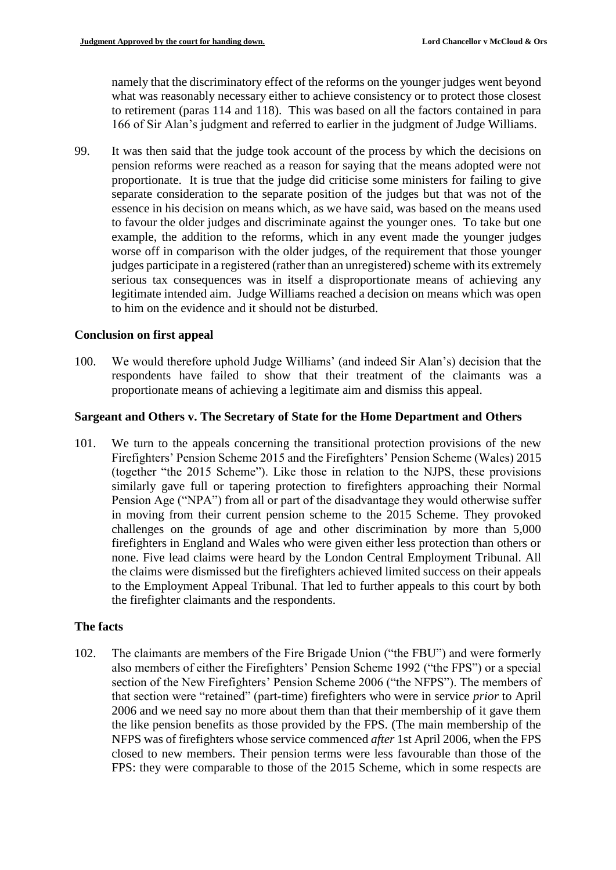namely that the discriminatory effect of the reforms on the younger judges went beyond what was reasonably necessary either to achieve consistency or to protect those closest to retirement (paras 114 and 118). This was based on all the factors contained in para 166 of Sir Alan's judgment and referred to earlier in the judgment of Judge Williams.

99. It was then said that the judge took account of the process by which the decisions on pension reforms were reached as a reason for saying that the means adopted were not proportionate. It is true that the judge did criticise some ministers for failing to give separate consideration to the separate position of the judges but that was not of the essence in his decision on means which, as we have said, was based on the means used to favour the older judges and discriminate against the younger ones. To take but one example, the addition to the reforms, which in any event made the younger judges worse off in comparison with the older judges, of the requirement that those younger judges participate in a registered (rather than an unregistered) scheme with its extremely serious tax consequences was in itself a disproportionate means of achieving any legitimate intended aim. Judge Williams reached a decision on means which was open to him on the evidence and it should not be disturbed.

## **Conclusion on first appeal**

100. We would therefore uphold Judge Williams' (and indeed Sir Alan's) decision that the respondents have failed to show that their treatment of the claimants was a proportionate means of achieving a legitimate aim and dismiss this appeal.

## **Sargeant and Others v. The Secretary of State for the Home Department and Others**

101. We turn to the appeals concerning the transitional protection provisions of the new Firefighters' Pension Scheme 2015 and the Firefighters' Pension Scheme (Wales) 2015 (together "the 2015 Scheme"). Like those in relation to the NJPS, these provisions similarly gave full or tapering protection to firefighters approaching their Normal Pension Age ("NPA") from all or part of the disadvantage they would otherwise suffer in moving from their current pension scheme to the 2015 Scheme. They provoked challenges on the grounds of age and other discrimination by more than 5,000 firefighters in England and Wales who were given either less protection than others or none. Five lead claims were heard by the London Central Employment Tribunal. All the claims were dismissed but the firefighters achieved limited success on their appeals to the Employment Appeal Tribunal. That led to further appeals to this court by both the firefighter claimants and the respondents.

# **The facts**

102. The claimants are members of the Fire Brigade Union ("the FBU") and were formerly also members of either the Firefighters' Pension Scheme 1992 ("the FPS") or a special section of the New Firefighters' Pension Scheme 2006 ("the NFPS"). The members of that section were "retained" (part-time) firefighters who were in service *prior* to April 2006 and we need say no more about them than that their membership of it gave them the like pension benefits as those provided by the FPS. (The main membership of the NFPS was of firefighters whose service commenced *after* 1st April 2006, when the FPS closed to new members. Their pension terms were less favourable than those of the FPS: they were comparable to those of the 2015 Scheme, which in some respects are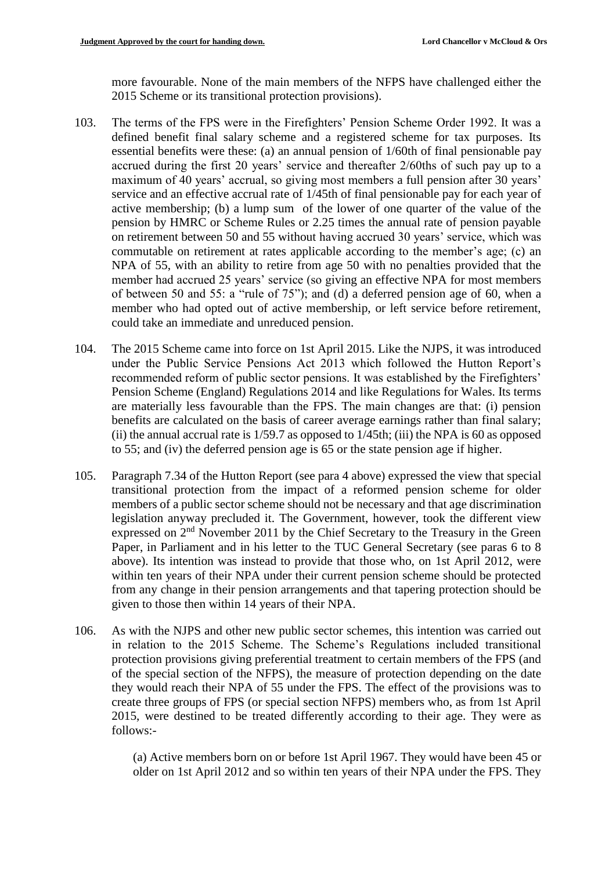more favourable. None of the main members of the NFPS have challenged either the 2015 Scheme or its transitional protection provisions).

- 103. The terms of the FPS were in the Firefighters' Pension Scheme Order 1992. It was a defined benefit final salary scheme and a registered scheme for tax purposes. Its essential benefits were these: (a) an annual pension of 1/60th of final pensionable pay accrued during the first 20 years' service and thereafter 2/60ths of such pay up to a maximum of 40 years' accrual, so giving most members a full pension after 30 years' service and an effective accrual rate of 1/45th of final pensionable pay for each year of active membership; (b) a lump sum of the lower of one quarter of the value of the pension by HMRC or Scheme Rules or 2.25 times the annual rate of pension payable on retirement between 50 and 55 without having accrued 30 years' service, which was commutable on retirement at rates applicable according to the member's age; (c) an NPA of 55, with an ability to retire from age 50 with no penalties provided that the member had accrued 25 years' service (so giving an effective NPA for most members of between 50 and 55: a "rule of 75"); and (d) a deferred pension age of 60, when a member who had opted out of active membership, or left service before retirement, could take an immediate and unreduced pension.
- 104. The 2015 Scheme came into force on 1st April 2015. Like the NJPS, it was introduced under the Public Service Pensions Act 2013 which followed the Hutton Report's recommended reform of public sector pensions. It was established by the Firefighters' Pension Scheme (England) Regulations 2014 and like Regulations for Wales. Its terms are materially less favourable than the FPS. The main changes are that: (i) pension benefits are calculated on the basis of career average earnings rather than final salary; (ii) the annual accrual rate is 1/59.7 as opposed to 1/45th; (iii) the NPA is 60 as opposed to 55; and (iv) the deferred pension age is 65 or the state pension age if higher.
- 105. Paragraph 7.34 of the Hutton Report (see para 4 above) expressed the view that special transitional protection from the impact of a reformed pension scheme for older members of a public sector scheme should not be necessary and that age discrimination legislation anyway precluded it. The Government, however, took the different view expressed on 2<sup>nd</sup> November 2011 by the Chief Secretary to the Treasury in the Green Paper, in Parliament and in his letter to the TUC General Secretary (see paras 6 to 8 above). Its intention was instead to provide that those who, on 1st April 2012, were within ten years of their NPA under their current pension scheme should be protected from any change in their pension arrangements and that tapering protection should be given to those then within 14 years of their NPA.
- 106. As with the NJPS and other new public sector schemes, this intention was carried out in relation to the 2015 Scheme. The Scheme's Regulations included transitional protection provisions giving preferential treatment to certain members of the FPS (and of the special section of the NFPS), the measure of protection depending on the date they would reach their NPA of 55 under the FPS. The effect of the provisions was to create three groups of FPS (or special section NFPS) members who, as from 1st April 2015, were destined to be treated differently according to their age. They were as follows:-

(a) Active members born on or before 1st April 1967. They would have been 45 or older on 1st April 2012 and so within ten years of their NPA under the FPS. They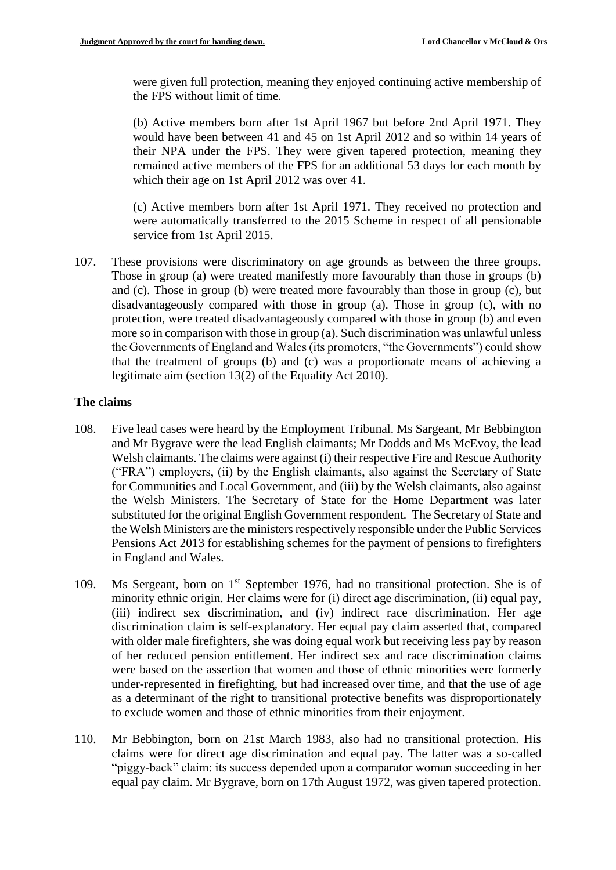were given full protection, meaning they enjoyed continuing active membership of the FPS without limit of time.

(b) Active members born after 1st April 1967 but before 2nd April 1971. They would have been between 41 and 45 on 1st April 2012 and so within 14 years of their NPA under the FPS. They were given tapered protection, meaning they remained active members of the FPS for an additional 53 days for each month by which their age on 1st April 2012 was over 41.

(c) Active members born after 1st April 1971. They received no protection and were automatically transferred to the 2015 Scheme in respect of all pensionable service from 1st April 2015.

107. These provisions were discriminatory on age grounds as between the three groups. Those in group (a) were treated manifestly more favourably than those in groups (b) and (c). Those in group (b) were treated more favourably than those in group (c), but disadvantageously compared with those in group (a). Those in group (c), with no protection, were treated disadvantageously compared with those in group (b) and even more so in comparison with those in group (a). Such discrimination was unlawful unless the Governments of England and Wales (its promoters, "the Governments") could show that the treatment of groups (b) and (c) was a proportionate means of achieving a legitimate aim (section 13(2) of the Equality Act 2010).

## **The claims**

- 108. Five lead cases were heard by the Employment Tribunal. Ms Sargeant, Mr Bebbington and Mr Bygrave were the lead English claimants; Mr Dodds and Ms McEvoy, the lead Welsh claimants. The claims were against (i) their respective Fire and Rescue Authority ("FRA") employers, (ii) by the English claimants, also against the Secretary of State for Communities and Local Government, and (iii) by the Welsh claimants, also against the Welsh Ministers. The Secretary of State for the Home Department was later substituted for the original English Government respondent. The Secretary of State and the Welsh Ministers are the ministers respectively responsible under the Public Services Pensions Act 2013 for establishing schemes for the payment of pensions to firefighters in England and Wales.
- 109. Ms Sergeant, born on 1<sup>st</sup> September 1976, had no transitional protection. She is of minority ethnic origin. Her claims were for (i) direct age discrimination, (ii) equal pay, (iii) indirect sex discrimination, and (iv) indirect race discrimination. Her age discrimination claim is self-explanatory. Her equal pay claim asserted that, compared with older male firefighters, she was doing equal work but receiving less pay by reason of her reduced pension entitlement. Her indirect sex and race discrimination claims were based on the assertion that women and those of ethnic minorities were formerly under-represented in firefighting, but had increased over time, and that the use of age as a determinant of the right to transitional protective benefits was disproportionately to exclude women and those of ethnic minorities from their enjoyment.
- 110. Mr Bebbington, born on 21st March 1983, also had no transitional protection. His claims were for direct age discrimination and equal pay. The latter was a so-called "piggy-back" claim: its success depended upon a comparator woman succeeding in her equal pay claim. Mr Bygrave, born on 17th August 1972, was given tapered protection.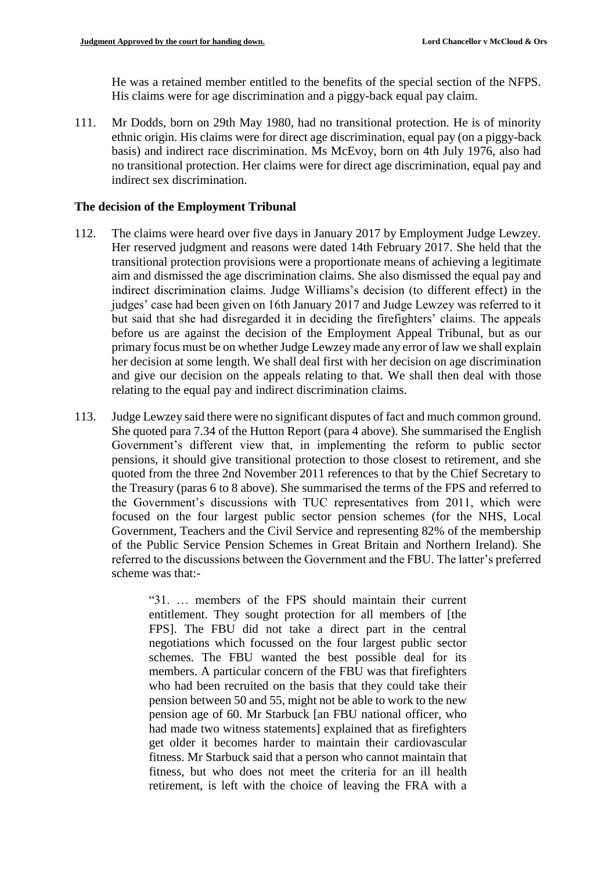He was a retained member entitled to the benefits of the special section of the NFPS. His claims were for age discrimination and a piggy-back equal pay claim.

111. Mr Dodds, born on 29th May 1980, had no transitional protection. He is of minority ethnic origin. His claims were for direct age discrimination, equal pay (on a piggy-back basis) and indirect race discrimination. Ms McEvoy, born on 4th July 1976, also had no transitional protection. Her claims were for direct age discrimination, equal pay and indirect sex discrimination.

#### **The decision of the Employment Tribunal**

- 112. The claims were heard over five days in January 2017 by Employment Judge Lewzey. Her reserved judgment and reasons were dated 14th February 2017. She held that the transitional protection provisions were a proportionate means of achieving a legitimate aim and dismissed the age discrimination claims. She also dismissed the equal pay and indirect discrimination claims. Judge Williams's decision (to different effect) in the judges' case had been given on 16th January 2017 and Judge Lewzey was referred to it but said that she had disregarded it in deciding the firefighters' claims. The appeals before us are against the decision of the Employment Appeal Tribunal, but as our primary focus must be on whether Judge Lewzey made any error of law we shall explain her decision at some length. We shall deal first with her decision on age discrimination and give our decision on the appeals relating to that. We shall then deal with those relating to the equal pay and indirect discrimination claims.
- 113. Judge Lewzey said there were no significant disputes of fact and much common ground. She quoted para 7.34 of the Hutton Report (para 4 above). She summarised the English Government's different view that, in implementing the reform to public sector pensions, it should give transitional protection to those closest to retirement, and she quoted from the three 2nd November 2011 references to that by the Chief Secretary to the Treasury (paras 6 to 8 above). She summarised the terms of the FPS and referred to the Government's discussions with TUC representatives from 2011, which were focused on the four largest public sector pension schemes (for the NHS, Local Government, Teachers and the Civil Service and representing 82% of the membership of the Public Service Pension Schemes in Great Britain and Northern Ireland). She referred to the discussions between the Government and the FBU. The latter's preferred scheme was that:-

"31. … members of the FPS should maintain their current entitlement. They sought protection for all members of [the FPS]. The FBU did not take a direct part in the central negotiations which focussed on the four largest public sector schemes. The FBU wanted the best possible deal for its members. A particular concern of the FBU was that firefighters who had been recruited on the basis that they could take their pension between 50 and 55, might not be able to work to the new pension age of 60. Mr Starbuck [an FBU national officer, who had made two witness statements] explained that as firefighters get older it becomes harder to maintain their cardiovascular fitness. Mr Starbuck said that a person who cannot maintain that fitness, but who does not meet the criteria for an ill health retirement, is left with the choice of leaving the FRA with a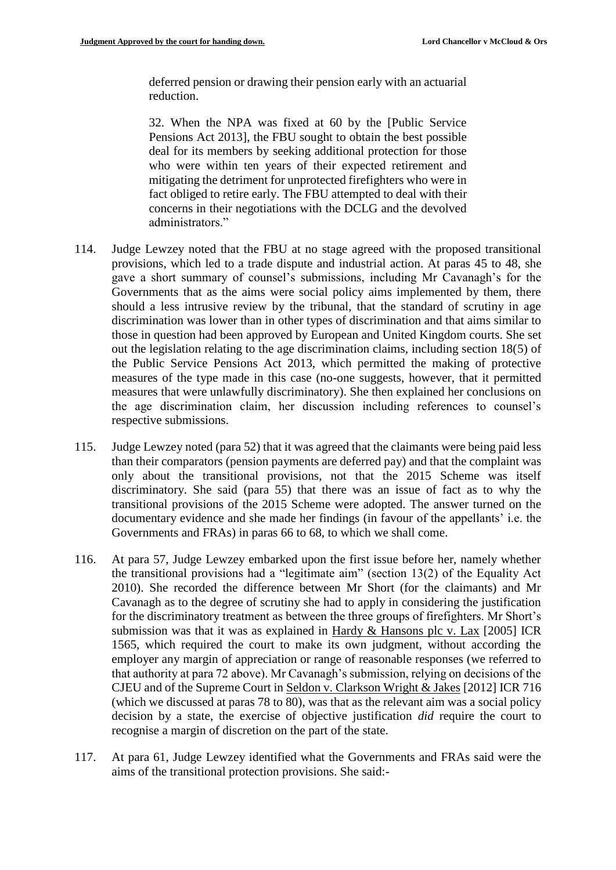deferred pension or drawing their pension early with an actuarial reduction.

32. When the NPA was fixed at 60 by the [Public Service Pensions Act 2013], the FBU sought to obtain the best possible deal for its members by seeking additional protection for those who were within ten years of their expected retirement and mitigating the detriment for unprotected firefighters who were in fact obliged to retire early. The FBU attempted to deal with their concerns in their negotiations with the DCLG and the devolved administrators."

- 114. Judge Lewzey noted that the FBU at no stage agreed with the proposed transitional provisions, which led to a trade dispute and industrial action. At paras 45 to 48, she gave a short summary of counsel's submissions, including Mr Cavanagh's for the Governments that as the aims were social policy aims implemented by them, there should a less intrusive review by the tribunal, that the standard of scrutiny in age discrimination was lower than in other types of discrimination and that aims similar to those in question had been approved by European and United Kingdom courts. She set out the legislation relating to the age discrimination claims, including section 18(5) of the Public Service Pensions Act 2013, which permitted the making of protective measures of the type made in this case (no-one suggests, however, that it permitted measures that were unlawfully discriminatory). She then explained her conclusions on the age discrimination claim, her discussion including references to counsel's respective submissions.
- 115. Judge Lewzey noted (para 52) that it was agreed that the claimants were being paid less than their comparators (pension payments are deferred pay) and that the complaint was only about the transitional provisions, not that the 2015 Scheme was itself discriminatory. She said (para 55) that there was an issue of fact as to why the transitional provisions of the 2015 Scheme were adopted. The answer turned on the documentary evidence and she made her findings (in favour of the appellants' i.e. the Governments and FRAs) in paras 66 to 68, to which we shall come.
- 116. At para 57, Judge Lewzey embarked upon the first issue before her, namely whether the transitional provisions had a "legitimate aim" (section 13(2) of the Equality Act 2010). She recorded the difference between Mr Short (for the claimants) and Mr Cavanagh as to the degree of scrutiny she had to apply in considering the justification for the discriminatory treatment as between the three groups of firefighters. Mr Short's submission was that it was as explained in Hardy & Hansons plc v. Lax [2005] ICR 1565, which required the court to make its own judgment, without according the employer any margin of appreciation or range of reasonable responses (we referred to that authority at para 72 above). Mr Cavanagh's submission, relying on decisions of the CJEU and of the Supreme Court in Seldon v. Clarkson Wright & Jakes [2012] ICR 716 (which we discussed at paras 78 to 80), was that as the relevant aim was a social policy decision by a state, the exercise of objective justification *did* require the court to recognise a margin of discretion on the part of the state.
- 117. At para 61, Judge Lewzey identified what the Governments and FRAs said were the aims of the transitional protection provisions. She said:-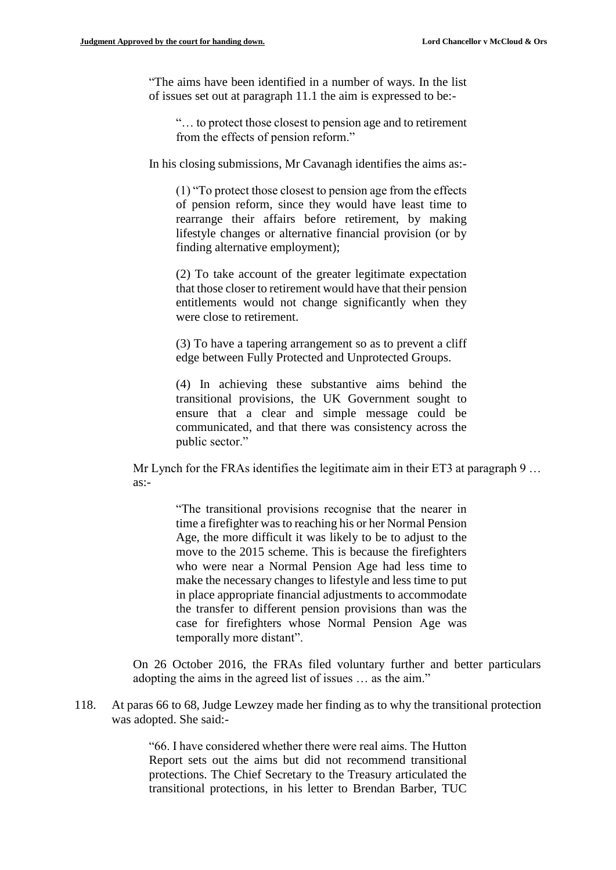"The aims have been identified in a number of ways. In the list of issues set out at paragraph 11.1 the aim is expressed to be:-

"… to protect those closest to pension age and to retirement from the effects of pension reform."

In his closing submissions, Mr Cavanagh identifies the aims as:-

(1) "To protect those closest to pension age from the effects of pension reform, since they would have least time to rearrange their affairs before retirement, by making lifestyle changes or alternative financial provision (or by finding alternative employment);

(2) To take account of the greater legitimate expectation that those closer to retirement would have that their pension entitlements would not change significantly when they were close to retirement.

(3) To have a tapering arrangement so as to prevent a cliff edge between Fully Protected and Unprotected Groups.

(4) In achieving these substantive aims behind the transitional provisions, the UK Government sought to ensure that a clear and simple message could be communicated, and that there was consistency across the public sector."

Mr Lynch for the FRAs identifies the legitimate aim in their ET3 at paragraph 9 … as:-

> "The transitional provisions recognise that the nearer in time a firefighter was to reaching his or her Normal Pension Age, the more difficult it was likely to be to adjust to the move to the 2015 scheme. This is because the firefighters who were near a Normal Pension Age had less time to make the necessary changes to lifestyle and less time to put in place appropriate financial adjustments to accommodate the transfer to different pension provisions than was the case for firefighters whose Normal Pension Age was temporally more distant".

On 26 October 2016, the FRAs filed voluntary further and better particulars adopting the aims in the agreed list of issues … as the aim."

118. At paras 66 to 68, Judge Lewzey made her finding as to why the transitional protection was adopted. She said:-

> "66. I have considered whether there were real aims. The Hutton Report sets out the aims but did not recommend transitional protections. The Chief Secretary to the Treasury articulated the transitional protections, in his letter to Brendan Barber, TUC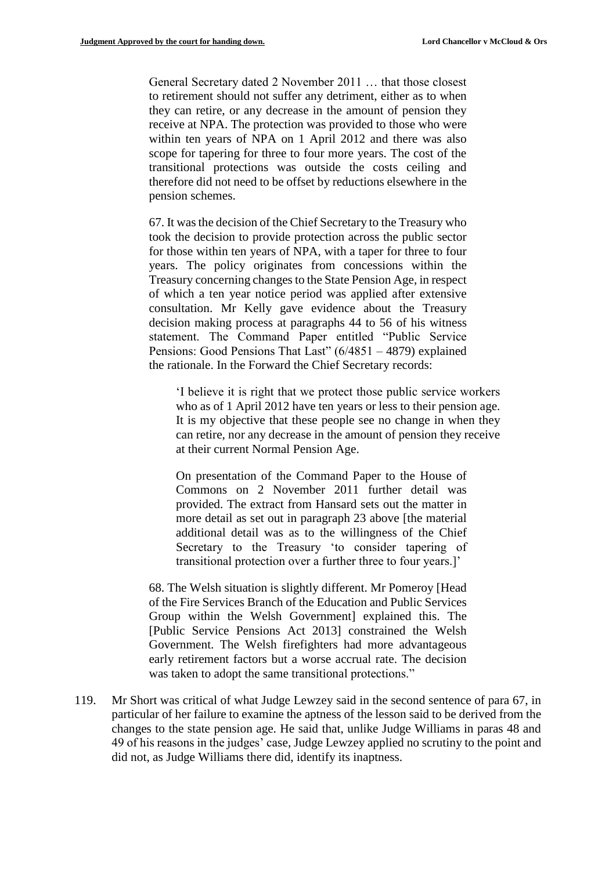General Secretary dated 2 November 2011 … that those closest to retirement should not suffer any detriment, either as to when they can retire, or any decrease in the amount of pension they receive at NPA. The protection was provided to those who were within ten years of NPA on 1 April 2012 and there was also scope for tapering for three to four more years. The cost of the transitional protections was outside the costs ceiling and therefore did not need to be offset by reductions elsewhere in the pension schemes.

67. It was the decision of the Chief Secretary to the Treasury who took the decision to provide protection across the public sector for those within ten years of NPA, with a taper for three to four years. The policy originates from concessions within the Treasury concerning changes to the State Pension Age, in respect of which a ten year notice period was applied after extensive consultation. Mr Kelly gave evidence about the Treasury decision making process at paragraphs 44 to 56 of his witness statement. The Command Paper entitled "Public Service Pensions: Good Pensions That Last" (6/4851 – 4879) explained the rationale. In the Forward the Chief Secretary records:

'I believe it is right that we protect those public service workers who as of 1 April 2012 have ten years or less to their pension age. It is my objective that these people see no change in when they can retire, nor any decrease in the amount of pension they receive at their current Normal Pension Age.

On presentation of the Command Paper to the House of Commons on 2 November 2011 further detail was provided. The extract from Hansard sets out the matter in more detail as set out in paragraph 23 above [the material additional detail was as to the willingness of the Chief Secretary to the Treasury 'to consider tapering of transitional protection over a further three to four years.]'

68. The Welsh situation is slightly different. Mr Pomeroy [Head of the Fire Services Branch of the Education and Public Services Group within the Welsh Government] explained this. The [Public Service Pensions Act 2013] constrained the Welsh Government. The Welsh firefighters had more advantageous early retirement factors but a worse accrual rate. The decision was taken to adopt the same transitional protections."

119. Mr Short was critical of what Judge Lewzey said in the second sentence of para 67, in particular of her failure to examine the aptness of the lesson said to be derived from the changes to the state pension age. He said that, unlike Judge Williams in paras 48 and 49 of his reasons in the judges' case, Judge Lewzey applied no scrutiny to the point and did not, as Judge Williams there did, identify its inaptness.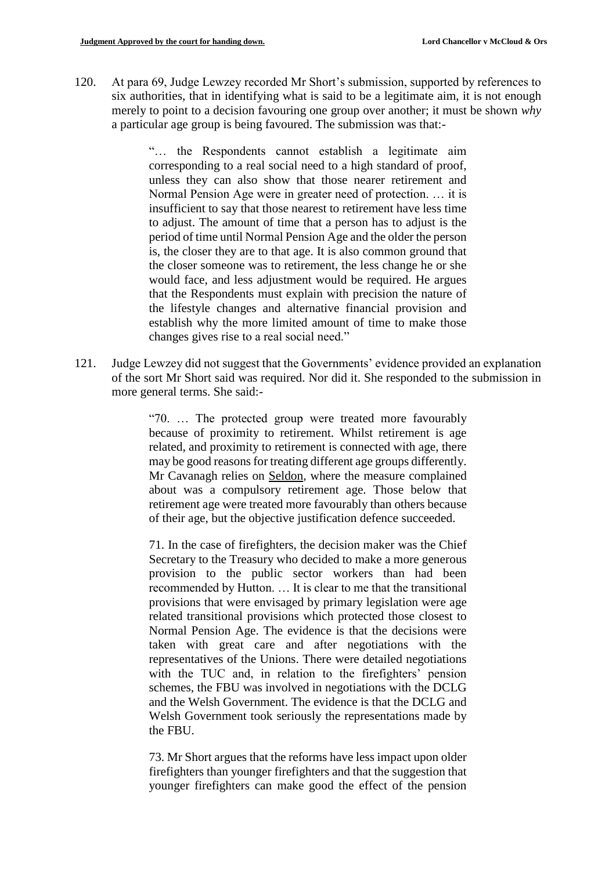120. At para 69, Judge Lewzey recorded Mr Short's submission, supported by references to six authorities, that in identifying what is said to be a legitimate aim, it is not enough merely to point to a decision favouring one group over another; it must be shown *why*  a particular age group is being favoured. The submission was that:-

> "… the Respondents cannot establish a legitimate aim corresponding to a real social need to a high standard of proof, unless they can also show that those nearer retirement and Normal Pension Age were in greater need of protection. … it is insufficient to say that those nearest to retirement have less time to adjust. The amount of time that a person has to adjust is the period of time until Normal Pension Age and the older the person is, the closer they are to that age. It is also common ground that the closer someone was to retirement, the less change he or she would face, and less adjustment would be required. He argues that the Respondents must explain with precision the nature of the lifestyle changes and alternative financial provision and establish why the more limited amount of time to make those changes gives rise to a real social need."

121. Judge Lewzey did not suggest that the Governments' evidence provided an explanation of the sort Mr Short said was required. Nor did it. She responded to the submission in more general terms. She said:-

> "70. … The protected group were treated more favourably because of proximity to retirement. Whilst retirement is age related, and proximity to retirement is connected with age, there may be good reasons for treating different age groups differently. Mr Cavanagh relies on Seldon*,* where the measure complained about was a compulsory retirement age. Those below that retirement age were treated more favourably than others because of their age, but the objective justification defence succeeded.

> 71. In the case of firefighters, the decision maker was the Chief Secretary to the Treasury who decided to make a more generous provision to the public sector workers than had been recommended by Hutton. … It is clear to me that the transitional provisions that were envisaged by primary legislation were age related transitional provisions which protected those closest to Normal Pension Age. The evidence is that the decisions were taken with great care and after negotiations with the representatives of the Unions. There were detailed negotiations with the TUC and, in relation to the firefighters' pension schemes, the FBU was involved in negotiations with the DCLG and the Welsh Government. The evidence is that the DCLG and Welsh Government took seriously the representations made by the FBU.

> 73. Mr Short argues that the reforms have less impact upon older firefighters than younger firefighters and that the suggestion that younger firefighters can make good the effect of the pension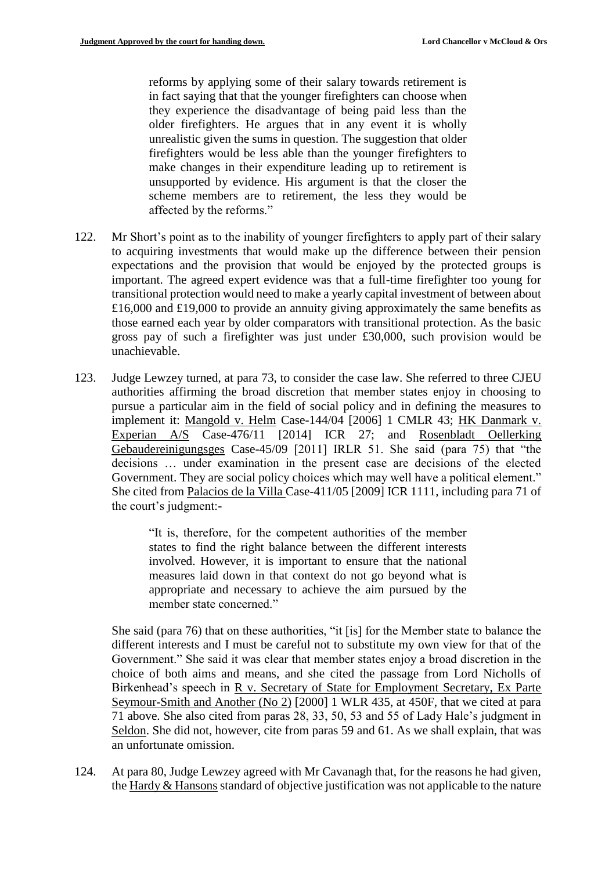reforms by applying some of their salary towards retirement is in fact saying that that the younger firefighters can choose when they experience the disadvantage of being paid less than the older firefighters. He argues that in any event it is wholly unrealistic given the sums in question. The suggestion that older firefighters would be less able than the younger firefighters to make changes in their expenditure leading up to retirement is unsupported by evidence. His argument is that the closer the scheme members are to retirement, the less they would be affected by the reforms."

- 122. Mr Short's point as to the inability of younger firefighters to apply part of their salary to acquiring investments that would make up the difference between their pension expectations and the provision that would be enjoyed by the protected groups is important. The agreed expert evidence was that a full-time firefighter too young for transitional protection would need to make a yearly capital investment of between about £16,000 and £19,000 to provide an annuity giving approximately the same benefits as those earned each year by older comparators with transitional protection. As the basic gross pay of such a firefighter was just under £30,000, such provision would be unachievable.
- 123. Judge Lewzey turned, at para 73, to consider the case law. She referred to three CJEU authorities affirming the broad discretion that member states enjoy in choosing to pursue a particular aim in the field of social policy and in defining the measures to implement it: Mangold v. Helm Case-144/04 [2006] 1 CMLR 43; HK Danmark v. Experian A/S Case-476/11 [2014] ICR 27; and Rosenbladt Oellerking Gebaudereinigungsges Case-45/09 [2011] IRLR 51. She said (para 75) that "the decisions … under examination in the present case are decisions of the elected Government. They are social policy choices which may well have a political element." She cited from Palacios de la Villa Case-411/05 [2009] ICR 1111, including para 71 of the court's judgment:-

"It is, therefore, for the competent authorities of the member states to find the right balance between the different interests involved. However, it is important to ensure that the national measures laid down in that context do not go beyond what is appropriate and necessary to achieve the aim pursued by the member state concerned."

She said (para 76) that on these authorities, "it [is] for the Member state to balance the different interests and I must be careful not to substitute my own view for that of the Government." She said it was clear that member states enjoy a broad discretion in the choice of both aims and means, and she cited the passage from Lord Nicholls of Birkenhead's speech in R v. Secretary of State for Employment Secretary, Ex Parte Seymour-Smith and Another (No 2) [2000] 1 WLR 435, at 450F, that we cited at para 71 above. She also cited from paras 28, 33, 50, 53 and 55 of Lady Hale's judgment in Seldon. She did not, however, cite from paras 59 and 61. As we shall explain, that was an unfortunate omission.

124. At para 80, Judge Lewzey agreed with Mr Cavanagh that, for the reasons he had given, the Hardy & Hansons standard of objective justification was not applicable to the nature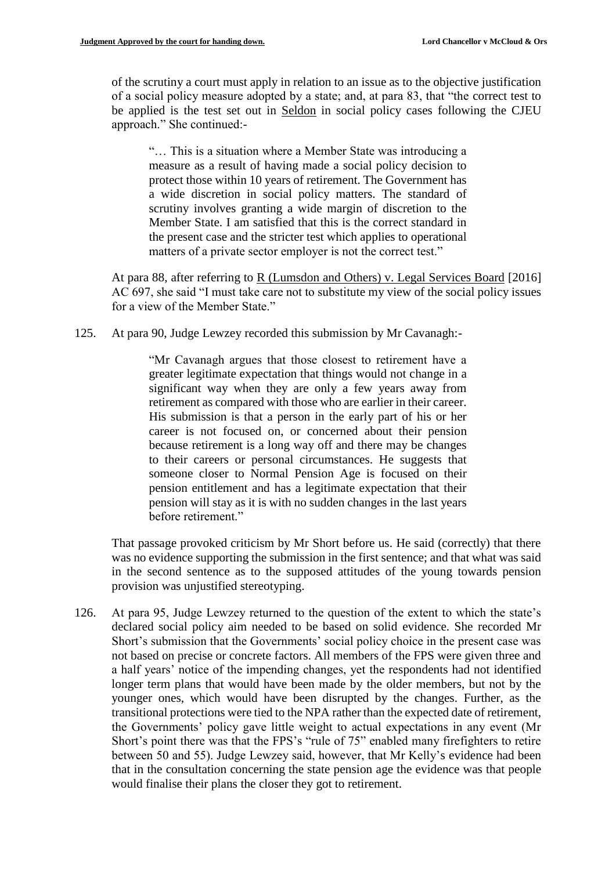of the scrutiny a court must apply in relation to an issue as to the objective justification of a social policy measure adopted by a state; and, at para 83, that "the correct test to be applied is the test set out in Seldon in social policy cases following the CJEU approach." She continued:-

"… This is a situation where a Member State was introducing a measure as a result of having made a social policy decision to protect those within 10 years of retirement. The Government has a wide discretion in social policy matters. The standard of scrutiny involves granting a wide margin of discretion to the Member State. I am satisfied that this is the correct standard in the present case and the stricter test which applies to operational matters of a private sector employer is not the correct test."

At para 88, after referring to R (Lumsdon and Others) v. Legal Services Board [2016] AC 697, she said "I must take care not to substitute my view of the social policy issues for a view of the Member State."

125. At para 90, Judge Lewzey recorded this submission by Mr Cavanagh:-

"Mr Cavanagh argues that those closest to retirement have a greater legitimate expectation that things would not change in a significant way when they are only a few years away from retirement as compared with those who are earlier in their career. His submission is that a person in the early part of his or her career is not focused on, or concerned about their pension because retirement is a long way off and there may be changes to their careers or personal circumstances. He suggests that someone closer to Normal Pension Age is focused on their pension entitlement and has a legitimate expectation that their pension will stay as it is with no sudden changes in the last years before retirement."

That passage provoked criticism by Mr Short before us. He said (correctly) that there was no evidence supporting the submission in the first sentence; and that what was said in the second sentence as to the supposed attitudes of the young towards pension provision was unjustified stereotyping.

126. At para 95, Judge Lewzey returned to the question of the extent to which the state's declared social policy aim needed to be based on solid evidence. She recorded Mr Short's submission that the Governments' social policy choice in the present case was not based on precise or concrete factors. All members of the FPS were given three and a half years' notice of the impending changes, yet the respondents had not identified longer term plans that would have been made by the older members, but not by the younger ones, which would have been disrupted by the changes. Further, as the transitional protections were tied to the NPA rather than the expected date of retirement, the Governments' policy gave little weight to actual expectations in any event (Mr Short's point there was that the FPS's "rule of 75" enabled many firefighters to retire between 50 and 55). Judge Lewzey said, however, that Mr Kelly's evidence had been that in the consultation concerning the state pension age the evidence was that people would finalise their plans the closer they got to retirement.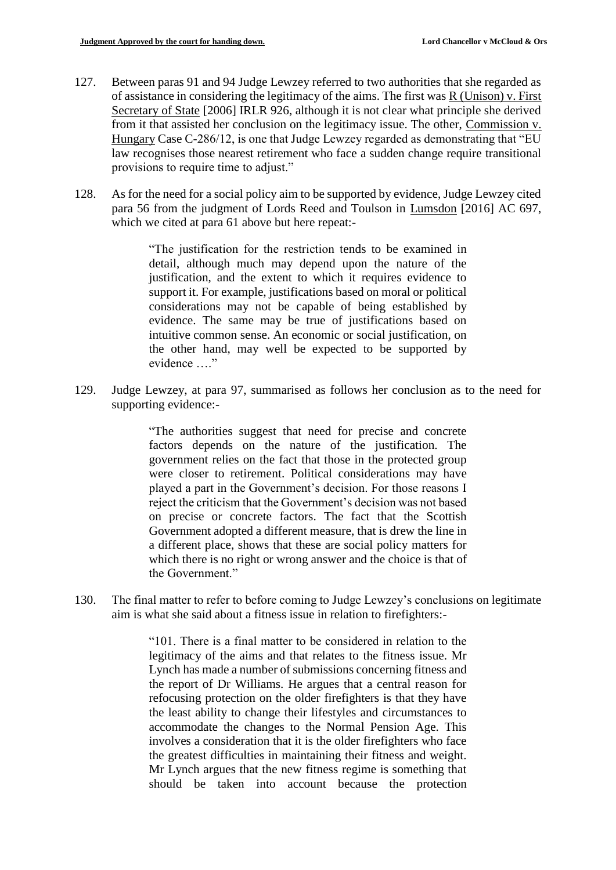- 127. Between paras 91 and 94 Judge Lewzey referred to two authorities that she regarded as of assistance in considering the legitimacy of the aims. The first was R (Unison) v. First Secretary of State [2006] IRLR 926, although it is not clear what principle she derived from it that assisted her conclusion on the legitimacy issue. The other, Commission v. Hungary Case C-286/12, is one that Judge Lewzey regarded as demonstrating that "EU law recognises those nearest retirement who face a sudden change require transitional provisions to require time to adjust."
- 128. As for the need for a social policy aim to be supported by evidence, Judge Lewzey cited para 56 from the judgment of Lords Reed and Toulson in Lumsdon [2016] AC 697, which we cited at para 61 above but here repeat:-

"The justification for the restriction tends to be examined in detail, although much may depend upon the nature of the justification, and the extent to which it requires evidence to support it. For example, justifications based on moral or political considerations may not be capable of being established by evidence. The same may be true of justifications based on intuitive common sense. An economic or social justification, on the other hand, may well be expected to be supported by evidence "

129. Judge Lewzey, at para 97, summarised as follows her conclusion as to the need for supporting evidence:-

> "The authorities suggest that need for precise and concrete factors depends on the nature of the justification. The government relies on the fact that those in the protected group were closer to retirement. Political considerations may have played a part in the Government's decision. For those reasons I reject the criticism that the Government's decision was not based on precise or concrete factors. The fact that the Scottish Government adopted a different measure, that is drew the line in a different place, shows that these are social policy matters for which there is no right or wrong answer and the choice is that of the Government."

130. The final matter to refer to before coming to Judge Lewzey's conclusions on legitimate aim is what she said about a fitness issue in relation to firefighters:-

> "101. There is a final matter to be considered in relation to the legitimacy of the aims and that relates to the fitness issue. Mr Lynch has made a number of submissions concerning fitness and the report of Dr Williams. He argues that a central reason for refocusing protection on the older firefighters is that they have the least ability to change their lifestyles and circumstances to accommodate the changes to the Normal Pension Age. This involves a consideration that it is the older firefighters who face the greatest difficulties in maintaining their fitness and weight. Mr Lynch argues that the new fitness regime is something that should be taken into account because the protection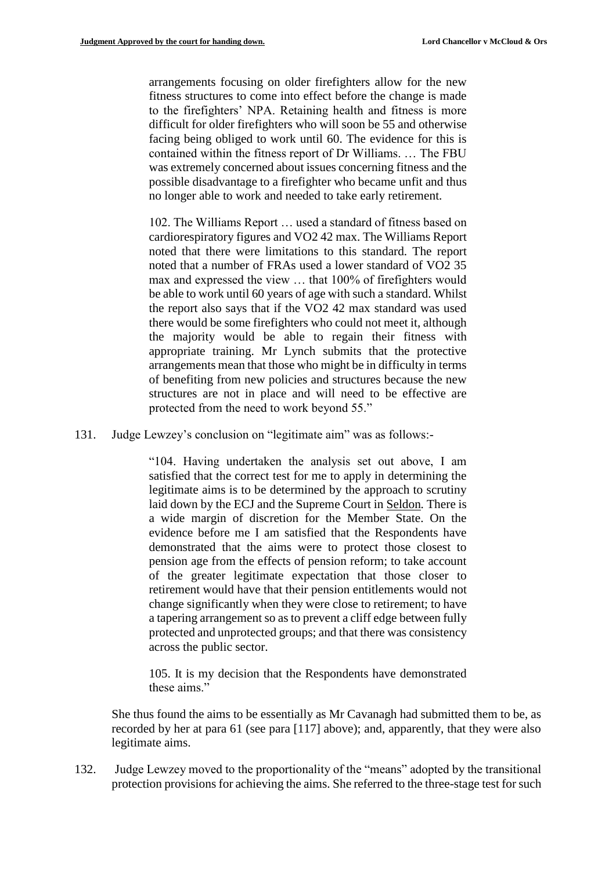arrangements focusing on older firefighters allow for the new fitness structures to come into effect before the change is made to the firefighters' NPA. Retaining health and fitness is more difficult for older firefighters who will soon be 55 and otherwise facing being obliged to work until 60. The evidence for this is contained within the fitness report of Dr Williams. … The FBU was extremely concerned about issues concerning fitness and the possible disadvantage to a firefighter who became unfit and thus no longer able to work and needed to take early retirement.

102. The Williams Report … used a standard of fitness based on cardiorespiratory figures and VO2 42 max. The Williams Report noted that there were limitations to this standard. The report noted that a number of FRAs used a lower standard of VO2 35 max and expressed the view … that 100% of firefighters would be able to work until 60 years of age with such a standard. Whilst the report also says that if the VO2 42 max standard was used there would be some firefighters who could not meet it, although the majority would be able to regain their fitness with appropriate training. Mr Lynch submits that the protective arrangements mean that those who might be in difficulty in terms of benefiting from new policies and structures because the new structures are not in place and will need to be effective are protected from the need to work beyond 55."

131. Judge Lewzey's conclusion on "legitimate aim" was as follows:-

"104. Having undertaken the analysis set out above, I am satisfied that the correct test for me to apply in determining the legitimate aims is to be determined by the approach to scrutiny laid down by the ECJ and the Supreme Court in Seldon*.* There is a wide margin of discretion for the Member State. On the evidence before me I am satisfied that the Respondents have demonstrated that the aims were to protect those closest to pension age from the effects of pension reform; to take account of the greater legitimate expectation that those closer to retirement would have that their pension entitlements would not change significantly when they were close to retirement; to have a tapering arrangement so as to prevent a cliff edge between fully protected and unprotected groups; and that there was consistency across the public sector.

105. It is my decision that the Respondents have demonstrated these aims."

She thus found the aims to be essentially as Mr Cavanagh had submitted them to be, as recorded by her at para 61 (see para [117] above); and, apparently, that they were also legitimate aims.

132. Judge Lewzey moved to the proportionality of the "means" adopted by the transitional protection provisions for achieving the aims. She referred to the three-stage test for such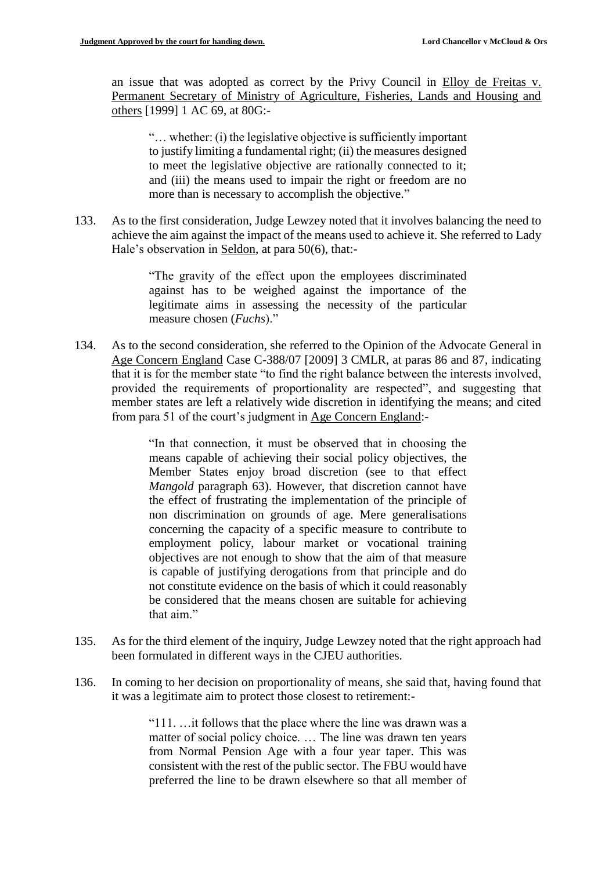an issue that was adopted as correct by the Privy Council in Elloy de Freitas v. Permanent Secretary of Ministry of Agriculture, Fisheries, Lands and Housing and others [1999] 1 AC 69, at 80G:-

"… whether: (i) the legislative objective is sufficiently important to justify limiting a fundamental right; (ii) the measures designed to meet the legislative objective are rationally connected to it; and (iii) the means used to impair the right or freedom are no more than is necessary to accomplish the objective."

133. As to the first consideration, Judge Lewzey noted that it involves balancing the need to achieve the aim against the impact of the means used to achieve it. She referred to Lady Hale's observation in Seldon, at para 50(6), that:-

> "The gravity of the effect upon the employees discriminated against has to be weighed against the importance of the legitimate aims in assessing the necessity of the particular measure chosen (*Fuchs*)."

134. As to the second consideration, she referred to the Opinion of the Advocate General in Age Concern England Case C-388/07 [2009] 3 CMLR, at paras 86 and 87, indicating that it is for the member state "to find the right balance between the interests involved, provided the requirements of proportionality are respected", and suggesting that member states are left a relatively wide discretion in identifying the means; and cited from para 51 of the court's judgment in Age Concern England:-

> "In that connection, it must be observed that in choosing the means capable of achieving their social policy objectives, the Member States enjoy broad discretion (see to that effect *Mangold* paragraph 63). However, that discretion cannot have the effect of frustrating the implementation of the principle of non discrimination on grounds of age. Mere generalisations concerning the capacity of a specific measure to contribute to employment policy, labour market or vocational training objectives are not enough to show that the aim of that measure is capable of justifying derogations from that principle and do not constitute evidence on the basis of which it could reasonably be considered that the means chosen are suitable for achieving that aim."

- 135. As for the third element of the inquiry, Judge Lewzey noted that the right approach had been formulated in different ways in the CJEU authorities.
- 136. In coming to her decision on proportionality of means, she said that, having found that it was a legitimate aim to protect those closest to retirement:-

"111. …it follows that the place where the line was drawn was a matter of social policy choice. … The line was drawn ten years from Normal Pension Age with a four year taper. This was consistent with the rest of the public sector. The FBU would have preferred the line to be drawn elsewhere so that all member of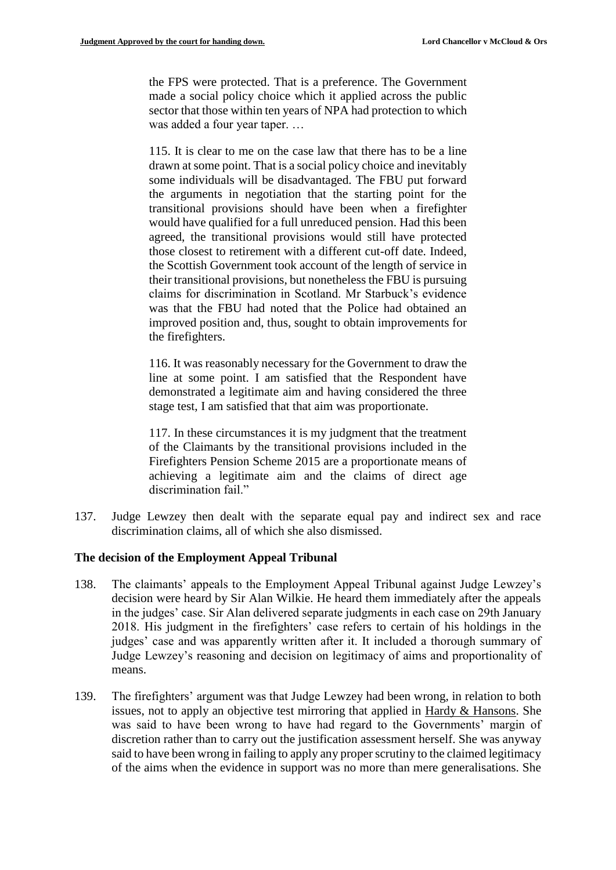the FPS were protected. That is a preference. The Government made a social policy choice which it applied across the public sector that those within ten years of NPA had protection to which was added a four year taper. …

115. It is clear to me on the case law that there has to be a line drawn at some point. That is a social policy choice and inevitably some individuals will be disadvantaged. The FBU put forward the arguments in negotiation that the starting point for the transitional provisions should have been when a firefighter would have qualified for a full unreduced pension. Had this been agreed, the transitional provisions would still have protected those closest to retirement with a different cut-off date. Indeed, the Scottish Government took account of the length of service in their transitional provisions, but nonetheless the FBU is pursuing claims for discrimination in Scotland. Mr Starbuck's evidence was that the FBU had noted that the Police had obtained an improved position and, thus, sought to obtain improvements for the firefighters.

116. It was reasonably necessary for the Government to draw the line at some point. I am satisfied that the Respondent have demonstrated a legitimate aim and having considered the three stage test, I am satisfied that that aim was proportionate.

117. In these circumstances it is my judgment that the treatment of the Claimants by the transitional provisions included in the Firefighters Pension Scheme 2015 are a proportionate means of achieving a legitimate aim and the claims of direct age discrimination fail."

137. Judge Lewzey then dealt with the separate equal pay and indirect sex and race discrimination claims, all of which she also dismissed.

## **The decision of the Employment Appeal Tribunal**

- 138. The claimants' appeals to the Employment Appeal Tribunal against Judge Lewzey's decision were heard by Sir Alan Wilkie. He heard them immediately after the appeals in the judges' case. Sir Alan delivered separate judgments in each case on 29th January 2018. His judgment in the firefighters' case refers to certain of his holdings in the judges' case and was apparently written after it. It included a thorough summary of Judge Lewzey's reasoning and decision on legitimacy of aims and proportionality of means.
- 139. The firefighters' argument was that Judge Lewzey had been wrong, in relation to both issues, not to apply an objective test mirroring that applied in Hardy & Hansons. She was said to have been wrong to have had regard to the Governments' margin of discretion rather than to carry out the justification assessment herself. She was anyway said to have been wrong in failing to apply any proper scrutiny to the claimed legitimacy of the aims when the evidence in support was no more than mere generalisations. She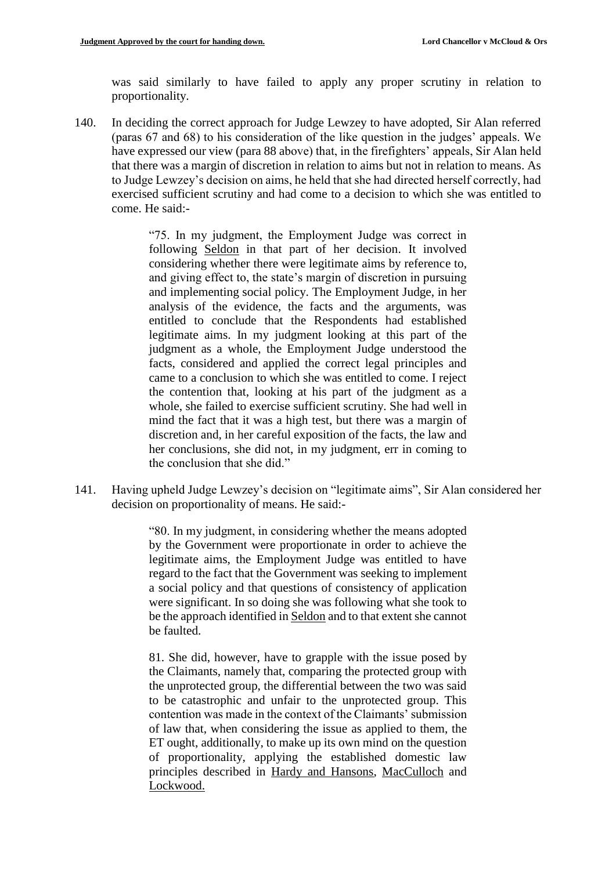was said similarly to have failed to apply any proper scrutiny in relation to proportionality.

140. In deciding the correct approach for Judge Lewzey to have adopted, Sir Alan referred (paras 67 and 68) to his consideration of the like question in the judges' appeals. We have expressed our view (para 88 above) that, in the firefighters' appeals, Sir Alan held that there was a margin of discretion in relation to aims but not in relation to means. As to Judge Lewzey's decision on aims, he held that she had directed herself correctly, had exercised sufficient scrutiny and had come to a decision to which she was entitled to come. He said:-

> "75. In my judgment, the Employment Judge was correct in following Seldon in that part of her decision. It involved considering whether there were legitimate aims by reference to, and giving effect to, the state's margin of discretion in pursuing and implementing social policy. The Employment Judge, in her analysis of the evidence, the facts and the arguments, was entitled to conclude that the Respondents had established legitimate aims. In my judgment looking at this part of the judgment as a whole, the Employment Judge understood the facts, considered and applied the correct legal principles and came to a conclusion to which she was entitled to come. I reject the contention that, looking at his part of the judgment as a whole, she failed to exercise sufficient scrutiny. She had well in mind the fact that it was a high test, but there was a margin of discretion and, in her careful exposition of the facts, the law and her conclusions, she did not, in my judgment, err in coming to the conclusion that she did."

141. Having upheld Judge Lewzey's decision on "legitimate aims", Sir Alan considered her decision on proportionality of means. He said:-

> "80. In my judgment, in considering whether the means adopted by the Government were proportionate in order to achieve the legitimate aims, the Employment Judge was entitled to have regard to the fact that the Government was seeking to implement a social policy and that questions of consistency of application were significant. In so doing she was following what she took to be the approach identified in Seldon and to that extent she cannot be faulted.

> 81. She did, however, have to grapple with the issue posed by the Claimants, namely that, comparing the protected group with the unprotected group, the differential between the two was said to be catastrophic and unfair to the unprotected group. This contention was made in the context of the Claimants' submission of law that, when considering the issue as applied to them, the ET ought, additionally, to make up its own mind on the question of proportionality, applying the established domestic law principles described in Hardy and Hansons, MacCulloch and Lockwood.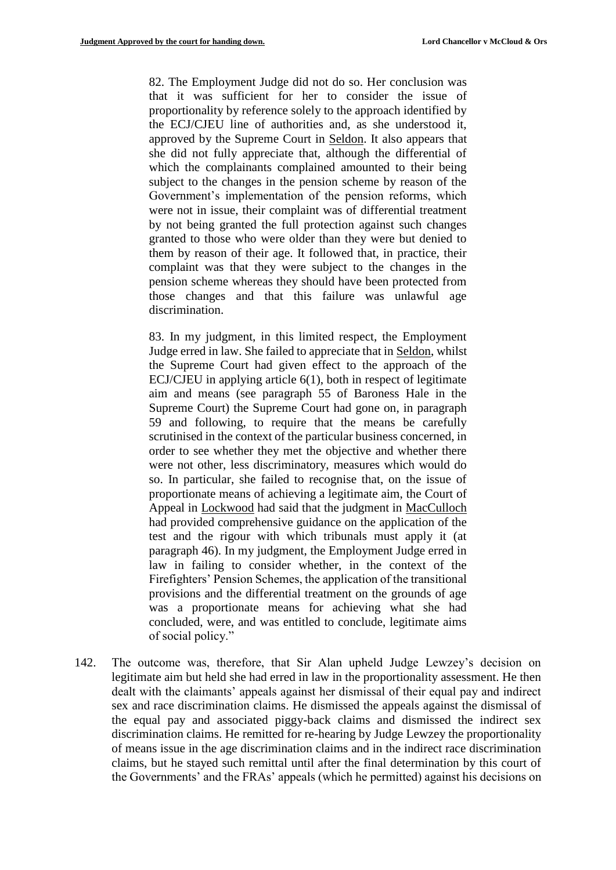82. The Employment Judge did not do so. Her conclusion was that it was sufficient for her to consider the issue of proportionality by reference solely to the approach identified by the ECJ/CJEU line of authorities and, as she understood it, approved by the Supreme Court in Seldon. It also appears that she did not fully appreciate that, although the differential of which the complainants complained amounted to their being subject to the changes in the pension scheme by reason of the Government's implementation of the pension reforms, which were not in issue, their complaint was of differential treatment by not being granted the full protection against such changes granted to those who were older than they were but denied to them by reason of their age. It followed that, in practice, their complaint was that they were subject to the changes in the pension scheme whereas they should have been protected from those changes and that this failure was unlawful age discrimination.

83. In my judgment, in this limited respect, the Employment Judge erred in law. She failed to appreciate that in Seldon, whilst the Supreme Court had given effect to the approach of the ECJ/CJEU in applying article 6(1), both in respect of legitimate aim and means (see paragraph 55 of Baroness Hale in the Supreme Court) the Supreme Court had gone on, in paragraph 59 and following, to require that the means be carefully scrutinised in the context of the particular business concerned, in order to see whether they met the objective and whether there were not other, less discriminatory, measures which would do so. In particular, she failed to recognise that, on the issue of proportionate means of achieving a legitimate aim, the Court of Appeal in Lockwood had said that the judgment in MacCulloch had provided comprehensive guidance on the application of the test and the rigour with which tribunals must apply it (at paragraph 46). In my judgment, the Employment Judge erred in law in failing to consider whether, in the context of the Firefighters' Pension Schemes, the application of the transitional provisions and the differential treatment on the grounds of age was a proportionate means for achieving what she had concluded, were, and was entitled to conclude, legitimate aims of social policy."

142. The outcome was, therefore, that Sir Alan upheld Judge Lewzey's decision on legitimate aim but held she had erred in law in the proportionality assessment. He then dealt with the claimants' appeals against her dismissal of their equal pay and indirect sex and race discrimination claims. He dismissed the appeals against the dismissal of the equal pay and associated piggy-back claims and dismissed the indirect sex discrimination claims. He remitted for re-hearing by Judge Lewzey the proportionality of means issue in the age discrimination claims and in the indirect race discrimination claims, but he stayed such remittal until after the final determination by this court of the Governments' and the FRAs' appeals (which he permitted) against his decisions on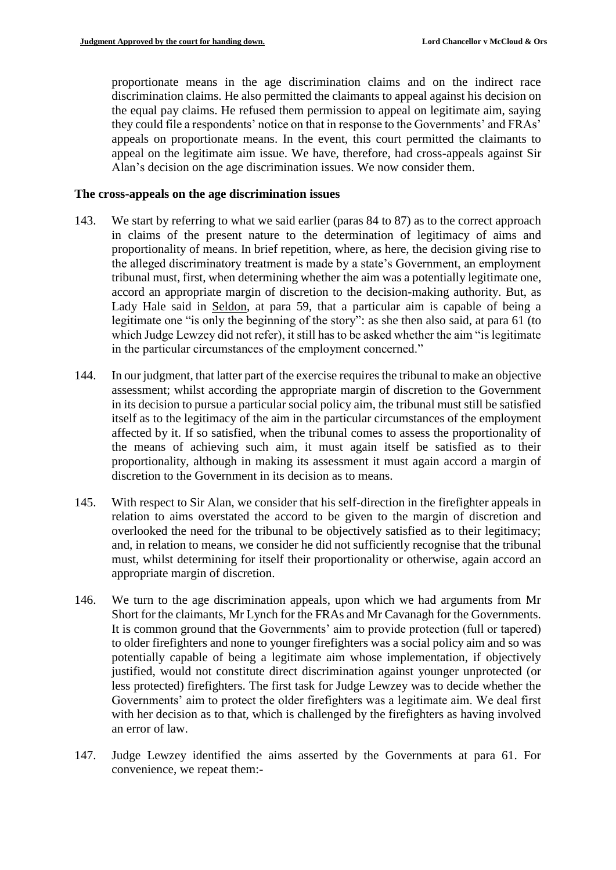proportionate means in the age discrimination claims and on the indirect race discrimination claims. He also permitted the claimants to appeal against his decision on the equal pay claims. He refused them permission to appeal on legitimate aim, saying they could file a respondents' notice on that in response to the Governments' and FRAs' appeals on proportionate means. In the event, this court permitted the claimants to appeal on the legitimate aim issue. We have, therefore, had cross-appeals against Sir Alan's decision on the age discrimination issues. We now consider them.

## **The cross-appeals on the age discrimination issues**

- 143. We start by referring to what we said earlier (paras 84 to 87) as to the correct approach in claims of the present nature to the determination of legitimacy of aims and proportionality of means. In brief repetition, where, as here, the decision giving rise to the alleged discriminatory treatment is made by a state's Government, an employment tribunal must, first, when determining whether the aim was a potentially legitimate one, accord an appropriate margin of discretion to the decision-making authority. But, as Lady Hale said in Seldon, at para 59, that a particular aim is capable of being a legitimate one "is only the beginning of the story": as she then also said, at para 61 (to which Judge Lewzey did not refer), it still has to be asked whether the aim "is legitimate in the particular circumstances of the employment concerned."
- 144. In our judgment, that latter part of the exercise requires the tribunal to make an objective assessment; whilst according the appropriate margin of discretion to the Government in its decision to pursue a particular social policy aim, the tribunal must still be satisfied itself as to the legitimacy of the aim in the particular circumstances of the employment affected by it. If so satisfied, when the tribunal comes to assess the proportionality of the means of achieving such aim, it must again itself be satisfied as to their proportionality, although in making its assessment it must again accord a margin of discretion to the Government in its decision as to means.
- 145. With respect to Sir Alan, we consider that his self-direction in the firefighter appeals in relation to aims overstated the accord to be given to the margin of discretion and overlooked the need for the tribunal to be objectively satisfied as to their legitimacy; and, in relation to means, we consider he did not sufficiently recognise that the tribunal must, whilst determining for itself their proportionality or otherwise, again accord an appropriate margin of discretion.
- 146. We turn to the age discrimination appeals, upon which we had arguments from Mr Short for the claimants, Mr Lynch for the FRAs and Mr Cavanagh for the Governments. It is common ground that the Governments' aim to provide protection (full or tapered) to older firefighters and none to younger firefighters was a social policy aim and so was potentially capable of being a legitimate aim whose implementation, if objectively justified, would not constitute direct discrimination against younger unprotected (or less protected) firefighters. The first task for Judge Lewzey was to decide whether the Governments' aim to protect the older firefighters was a legitimate aim. We deal first with her decision as to that, which is challenged by the firefighters as having involved an error of law.
- 147. Judge Lewzey identified the aims asserted by the Governments at para 61. For convenience, we repeat them:-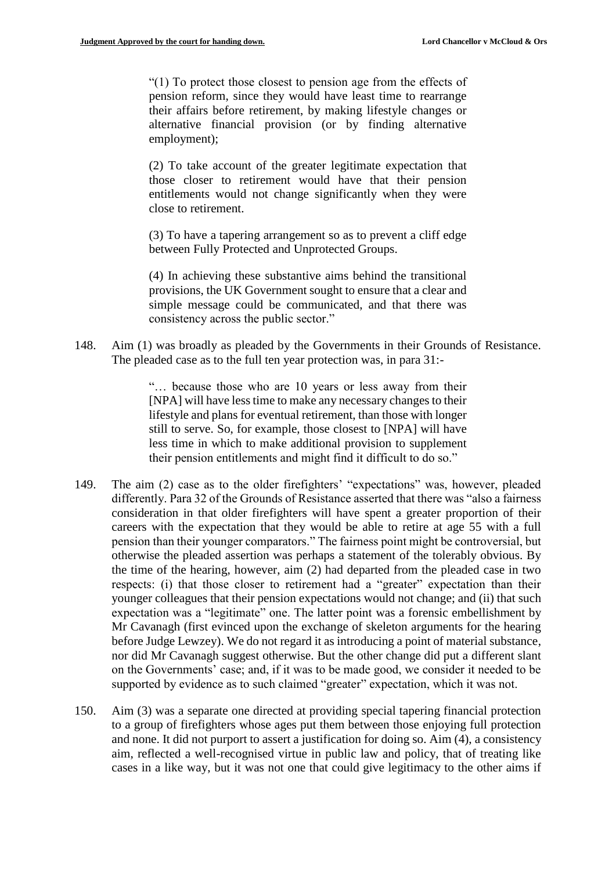"(1) To protect those closest to pension age from the effects of pension reform, since they would have least time to rearrange their affairs before retirement, by making lifestyle changes or alternative financial provision (or by finding alternative employment);

(2) To take account of the greater legitimate expectation that those closer to retirement would have that their pension entitlements would not change significantly when they were close to retirement.

(3) To have a tapering arrangement so as to prevent a cliff edge between Fully Protected and Unprotected Groups.

(4) In achieving these substantive aims behind the transitional provisions, the UK Government sought to ensure that a clear and simple message could be communicated, and that there was consistency across the public sector."

148. Aim (1) was broadly as pleaded by the Governments in their Grounds of Resistance. The pleaded case as to the full ten year protection was, in para 31:-

> "… because those who are 10 years or less away from their [NPA] will have less time to make any necessary changes to their lifestyle and plans for eventual retirement, than those with longer still to serve. So, for example, those closest to [NPA] will have less time in which to make additional provision to supplement their pension entitlements and might find it difficult to do so."

- 149. The aim (2) case as to the older firefighters' "expectations" was, however, pleaded differently. Para 32 of the Grounds of Resistance asserted that there was "also a fairness consideration in that older firefighters will have spent a greater proportion of their careers with the expectation that they would be able to retire at age 55 with a full pension than their younger comparators." The fairness point might be controversial, but otherwise the pleaded assertion was perhaps a statement of the tolerably obvious. By the time of the hearing, however, aim (2) had departed from the pleaded case in two respects: (i) that those closer to retirement had a "greater" expectation than their younger colleagues that their pension expectations would not change; and (ii) that such expectation was a "legitimate" one. The latter point was a forensic embellishment by Mr Cavanagh (first evinced upon the exchange of skeleton arguments for the hearing before Judge Lewzey). We do not regard it as introducing a point of material substance, nor did Mr Cavanagh suggest otherwise. But the other change did put a different slant on the Governments' case; and, if it was to be made good, we consider it needed to be supported by evidence as to such claimed "greater" expectation, which it was not.
- 150. Aim (3) was a separate one directed at providing special tapering financial protection to a group of firefighters whose ages put them between those enjoying full protection and none. It did not purport to assert a justification for doing so. Aim (4), a consistency aim, reflected a well-recognised virtue in public law and policy, that of treating like cases in a like way, but it was not one that could give legitimacy to the other aims if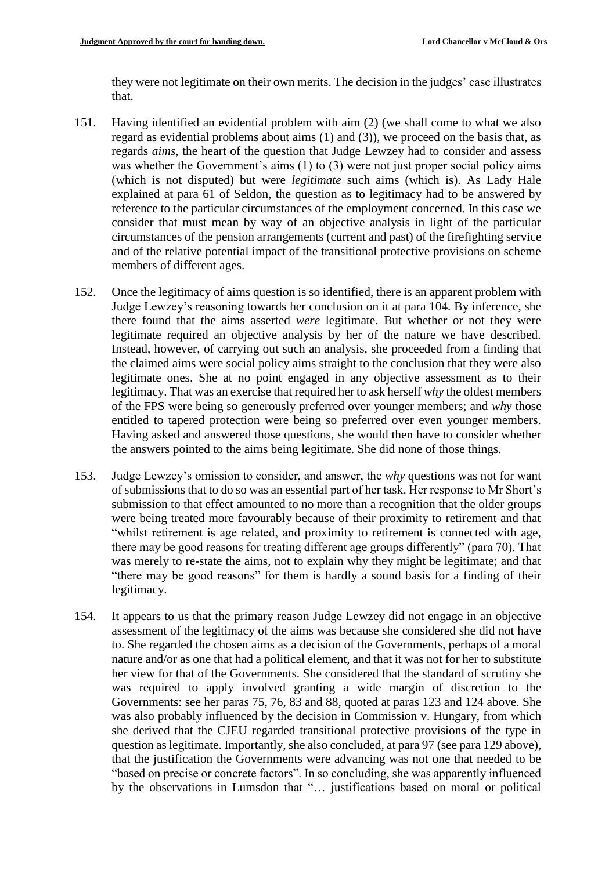they were not legitimate on their own merits. The decision in the judges' case illustrates that.

- 151. Having identified an evidential problem with aim (2) (we shall come to what we also regard as evidential problems about aims (1) and (3)), we proceed on the basis that, as regards *aims*, the heart of the question that Judge Lewzey had to consider and assess was whether the Government's aims (1) to (3) were not just proper social policy aims (which is not disputed) but were *legitimate* such aims (which is). As Lady Hale explained at para 61 of Seldon, the question as to legitimacy had to be answered by reference to the particular circumstances of the employment concerned. In this case we consider that must mean by way of an objective analysis in light of the particular circumstances of the pension arrangements (current and past) of the firefighting service and of the relative potential impact of the transitional protective provisions on scheme members of different ages.
- 152. Once the legitimacy of aims question is so identified, there is an apparent problem with Judge Lewzey's reasoning towards her conclusion on it at para 104. By inference, she there found that the aims asserted *were* legitimate. But whether or not they were legitimate required an objective analysis by her of the nature we have described. Instead, however, of carrying out such an analysis, she proceeded from a finding that the claimed aims were social policy aims straight to the conclusion that they were also legitimate ones. She at no point engaged in any objective assessment as to their legitimacy. That was an exercise that required her to ask herself *why* the oldest members of the FPS were being so generously preferred over younger members; and *why* those entitled to tapered protection were being so preferred over even younger members. Having asked and answered those questions, she would then have to consider whether the answers pointed to the aims being legitimate. She did none of those things.
- 153. Judge Lewzey's omission to consider, and answer, the *why* questions was not for want of submissions that to do so was an essential part of her task. Her response to Mr Short's submission to that effect amounted to no more than a recognition that the older groups were being treated more favourably because of their proximity to retirement and that "whilst retirement is age related, and proximity to retirement is connected with age, there may be good reasons for treating different age groups differently" (para 70). That was merely to re-state the aims, not to explain why they might be legitimate; and that "there may be good reasons" for them is hardly a sound basis for a finding of their legitimacy.
- 154. It appears to us that the primary reason Judge Lewzey did not engage in an objective assessment of the legitimacy of the aims was because she considered she did not have to. She regarded the chosen aims as a decision of the Governments, perhaps of a moral nature and/or as one that had a political element, and that it was not for her to substitute her view for that of the Governments. She considered that the standard of scrutiny she was required to apply involved granting a wide margin of discretion to the Governments: see her paras 75, 76, 83 and 88, quoted at paras 123 and 124 above. She was also probably influenced by the decision in Commission v. Hungary, from which she derived that the CJEU regarded transitional protective provisions of the type in question as legitimate. Importantly, she also concluded, at para 97 (see para 129 above), that the justification the Governments were advancing was not one that needed to be "based on precise or concrete factors". In so concluding, she was apparently influenced by the observations in Lumsdon that "… justifications based on moral or political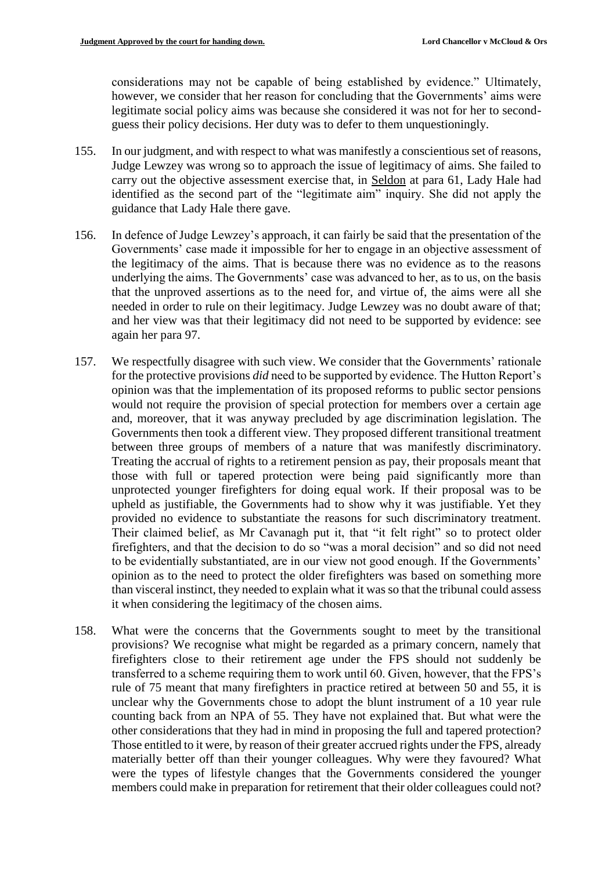considerations may not be capable of being established by evidence." Ultimately, however, we consider that her reason for concluding that the Governments' aims were legitimate social policy aims was because she considered it was not for her to secondguess their policy decisions. Her duty was to defer to them unquestioningly.

- 155. In our judgment, and with respect to what was manifestly a conscientious set of reasons, Judge Lewzey was wrong so to approach the issue of legitimacy of aims. She failed to carry out the objective assessment exercise that, in Seldon at para 61, Lady Hale had identified as the second part of the "legitimate aim" inquiry. She did not apply the guidance that Lady Hale there gave.
- 156. In defence of Judge Lewzey's approach, it can fairly be said that the presentation of the Governments' case made it impossible for her to engage in an objective assessment of the legitimacy of the aims. That is because there was no evidence as to the reasons underlying the aims. The Governments' case was advanced to her, as to us, on the basis that the unproved assertions as to the need for, and virtue of, the aims were all she needed in order to rule on their legitimacy. Judge Lewzey was no doubt aware of that; and her view was that their legitimacy did not need to be supported by evidence: see again her para 97.
- 157. We respectfully disagree with such view. We consider that the Governments' rationale for the protective provisions *did* need to be supported by evidence. The Hutton Report's opinion was that the implementation of its proposed reforms to public sector pensions would not require the provision of special protection for members over a certain age and, moreover, that it was anyway precluded by age discrimination legislation. The Governments then took a different view. They proposed different transitional treatment between three groups of members of a nature that was manifestly discriminatory. Treating the accrual of rights to a retirement pension as pay, their proposals meant that those with full or tapered protection were being paid significantly more than unprotected younger firefighters for doing equal work. If their proposal was to be upheld as justifiable, the Governments had to show why it was justifiable. Yet they provided no evidence to substantiate the reasons for such discriminatory treatment. Their claimed belief, as Mr Cavanagh put it, that "it felt right" so to protect older firefighters, and that the decision to do so "was a moral decision" and so did not need to be evidentially substantiated, are in our view not good enough. If the Governments' opinion as to the need to protect the older firefighters was based on something more than visceral instinct, they needed to explain what it was so that the tribunal could assess it when considering the legitimacy of the chosen aims.
- 158. What were the concerns that the Governments sought to meet by the transitional provisions? We recognise what might be regarded as a primary concern, namely that firefighters close to their retirement age under the FPS should not suddenly be transferred to a scheme requiring them to work until 60. Given, however, that the FPS's rule of 75 meant that many firefighters in practice retired at between 50 and 55, it is unclear why the Governments chose to adopt the blunt instrument of a 10 year rule counting back from an NPA of 55. They have not explained that. But what were the other considerations that they had in mind in proposing the full and tapered protection? Those entitled to it were, by reason of their greater accrued rights under the FPS, already materially better off than their younger colleagues. Why were they favoured? What were the types of lifestyle changes that the Governments considered the younger members could make in preparation for retirement that their older colleagues could not?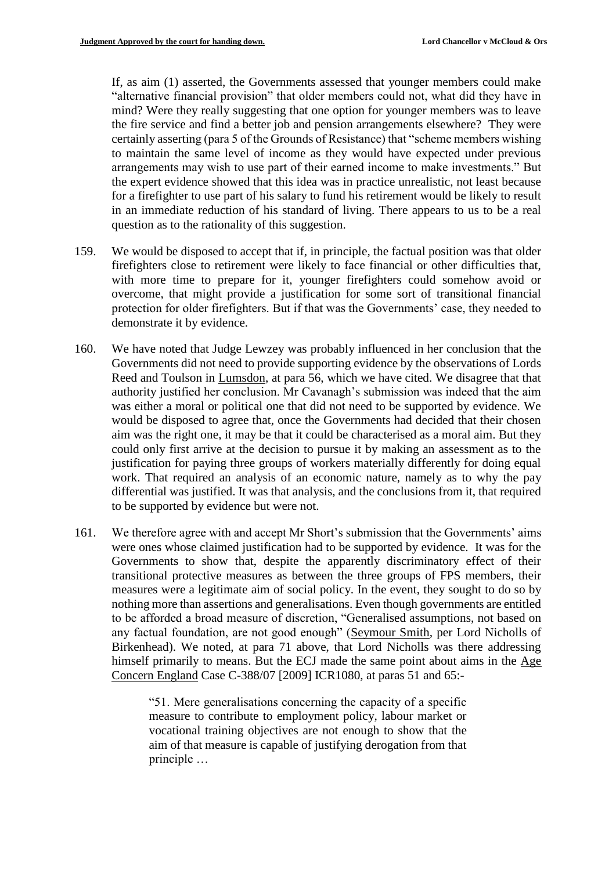If, as aim (1) asserted, the Governments assessed that younger members could make "alternative financial provision" that older members could not, what did they have in mind? Were they really suggesting that one option for younger members was to leave the fire service and find a better job and pension arrangements elsewhere? They were certainly asserting (para 5 of the Grounds of Resistance) that "scheme members wishing to maintain the same level of income as they would have expected under previous arrangements may wish to use part of their earned income to make investments." But the expert evidence showed that this idea was in practice unrealistic, not least because for a firefighter to use part of his salary to fund his retirement would be likely to result in an immediate reduction of his standard of living. There appears to us to be a real question as to the rationality of this suggestion.

- 159. We would be disposed to accept that if, in principle, the factual position was that older firefighters close to retirement were likely to face financial or other difficulties that, with more time to prepare for it, younger firefighters could somehow avoid or overcome, that might provide a justification for some sort of transitional financial protection for older firefighters. But if that was the Governments' case, they needed to demonstrate it by evidence.
- 160. We have noted that Judge Lewzey was probably influenced in her conclusion that the Governments did not need to provide supporting evidence by the observations of Lords Reed and Toulson in Lumsdon, at para 56, which we have cited. We disagree that that authority justified her conclusion. Mr Cavanagh's submission was indeed that the aim was either a moral or political one that did not need to be supported by evidence. We would be disposed to agree that, once the Governments had decided that their chosen aim was the right one, it may be that it could be characterised as a moral aim. But they could only first arrive at the decision to pursue it by making an assessment as to the justification for paying three groups of workers materially differently for doing equal work. That required an analysis of an economic nature, namely as to why the pay differential was justified. It was that analysis, and the conclusions from it, that required to be supported by evidence but were not.
- 161. We therefore agree with and accept Mr Short's submission that the Governments' aims were ones whose claimed justification had to be supported by evidence. It was for the Governments to show that, despite the apparently discriminatory effect of their transitional protective measures as between the three groups of FPS members, their measures were a legitimate aim of social policy. In the event, they sought to do so by nothing more than assertions and generalisations. Even though governments are entitled to be afforded a broad measure of discretion, "Generalised assumptions, not based on any factual foundation, are not good enough" (Seymour Smith*,* per Lord Nicholls of Birkenhead). We noted, at para 71 above, that Lord Nicholls was there addressing himself primarily to means. But the ECJ made the same point about aims in the Age Concern England Case C-388/07 [2009] ICR1080, at paras 51 and 65:-

"51. Mere generalisations concerning the capacity of a specific measure to contribute to employment policy, labour market or vocational training objectives are not enough to show that the aim of that measure is capable of justifying derogation from that principle …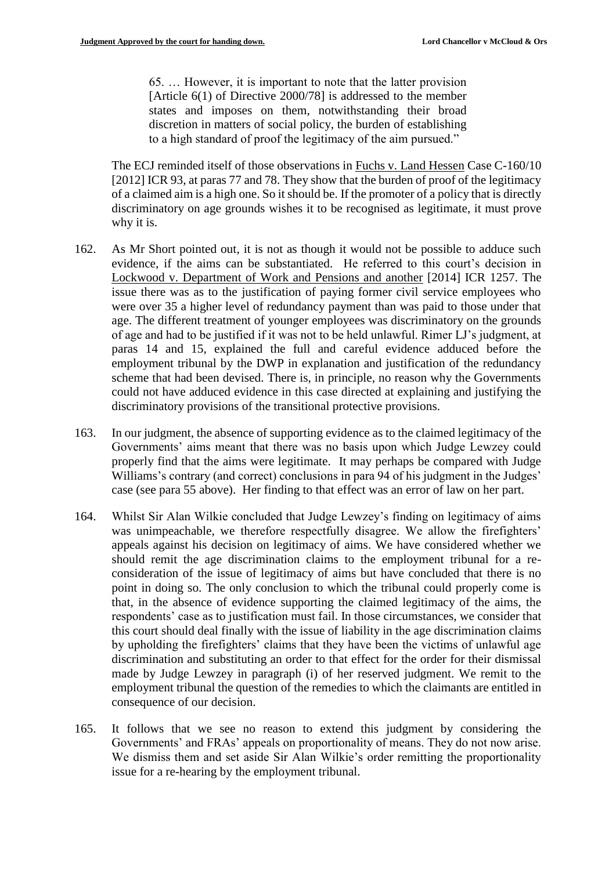65. … However, it is important to note that the latter provision [Article 6(1) of Directive 2000/78] is addressed to the member states and imposes on them, notwithstanding their broad discretion in matters of social policy, the burden of establishing to a high standard of proof the legitimacy of the aim pursued."

The ECJ reminded itself of those observations in Fuchs v. Land Hessen Case C-160/10 [2012] ICR 93, at paras 77 and 78. They show that the burden of proof of the legitimacy of a claimed aim is a high one. So it should be. If the promoter of a policy that is directly discriminatory on age grounds wishes it to be recognised as legitimate, it must prove why it is.

- 162. As Mr Short pointed out, it is not as though it would not be possible to adduce such evidence, if the aims can be substantiated. He referred to this court's decision in Lockwood v. Department of Work and Pensions and another [2014] ICR 1257. The issue there was as to the justification of paying former civil service employees who were over 35 a higher level of redundancy payment than was paid to those under that age. The different treatment of younger employees was discriminatory on the grounds of age and had to be justified if it was not to be held unlawful. Rimer LJ's judgment, at paras 14 and 15, explained the full and careful evidence adduced before the employment tribunal by the DWP in explanation and justification of the redundancy scheme that had been devised. There is, in principle, no reason why the Governments could not have adduced evidence in this case directed at explaining and justifying the discriminatory provisions of the transitional protective provisions.
- 163. In our judgment, the absence of supporting evidence as to the claimed legitimacy of the Governments' aims meant that there was no basis upon which Judge Lewzey could properly find that the aims were legitimate. It may perhaps be compared with Judge Williams's contrary (and correct) conclusions in para 94 of his judgment in the Judges' case (see para 55 above). Her finding to that effect was an error of law on her part.
- 164. Whilst Sir Alan Wilkie concluded that Judge Lewzey's finding on legitimacy of aims was unimpeachable, we therefore respectfully disagree. We allow the firefighters' appeals against his decision on legitimacy of aims. We have considered whether we should remit the age discrimination claims to the employment tribunal for a reconsideration of the issue of legitimacy of aims but have concluded that there is no point in doing so. The only conclusion to which the tribunal could properly come is that, in the absence of evidence supporting the claimed legitimacy of the aims, the respondents' case as to justification must fail. In those circumstances, we consider that this court should deal finally with the issue of liability in the age discrimination claims by upholding the firefighters' claims that they have been the victims of unlawful age discrimination and substituting an order to that effect for the order for their dismissal made by Judge Lewzey in paragraph (i) of her reserved judgment. We remit to the employment tribunal the question of the remedies to which the claimants are entitled in consequence of our decision.
- 165. It follows that we see no reason to extend this judgment by considering the Governments' and FRAs' appeals on proportionality of means. They do not now arise. We dismiss them and set aside Sir Alan Wilkie's order remitting the proportionality issue for a re-hearing by the employment tribunal.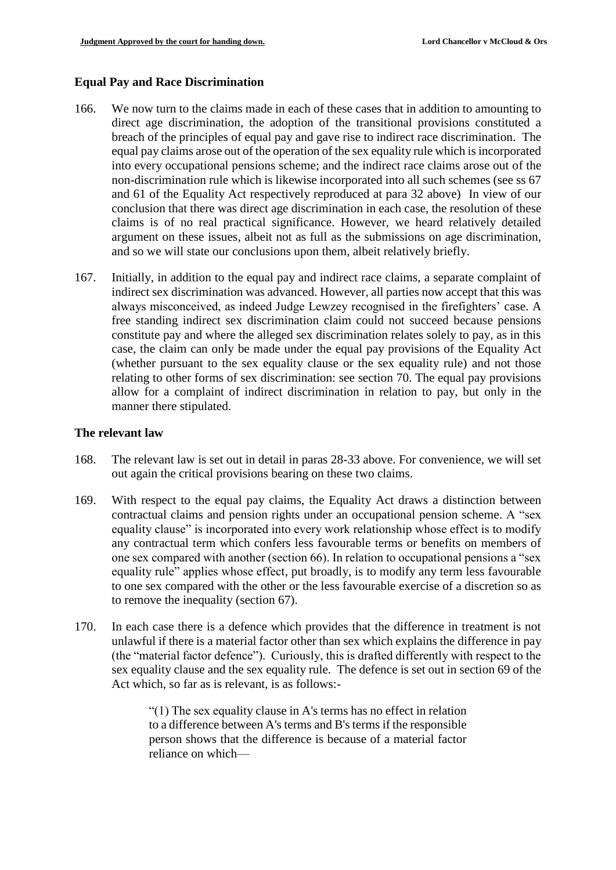## **Equal Pay and Race Discrimination**

- 166. We now turn to the claims made in each of these cases that in addition to amounting to direct age discrimination, the adoption of the transitional provisions constituted a breach of the principles of equal pay and gave rise to indirect race discrimination. The equal pay claims arose out of the operation of the sex equality rule which is incorporated into every occupational pensions scheme; and the indirect race claims arose out of the non-discrimination rule which is likewise incorporated into all such schemes (see ss 67 and 61 of the Equality Act respectively reproduced at para 32 above) In view of our conclusion that there was direct age discrimination in each case, the resolution of these claims is of no real practical significance. However, we heard relatively detailed argument on these issues, albeit not as full as the submissions on age discrimination, and so we will state our conclusions upon them, albeit relatively briefly.
- 167. Initially, in addition to the equal pay and indirect race claims, a separate complaint of indirect sex discrimination was advanced. However, all parties now accept that this was always misconceived, as indeed Judge Lewzey recognised in the firefighters' case. A free standing indirect sex discrimination claim could not succeed because pensions constitute pay and where the alleged sex discrimination relates solely to pay, as in this case, the claim can only be made under the equal pay provisions of the Equality Act (whether pursuant to the sex equality clause or the sex equality rule) and not those relating to other forms of sex discrimination: see section 70. The equal pay provisions allow for a complaint of indirect discrimination in relation to pay, but only in the manner there stipulated.

#### **The relevant law**

- 168. The relevant law is set out in detail in paras 28-33 above. For convenience, we will set out again the critical provisions bearing on these two claims.
- 169. With respect to the equal pay claims, the Equality Act draws a distinction between contractual claims and pension rights under an occupational pension scheme. A "sex equality clause" is incorporated into every work relationship whose effect is to modify any contractual term which confers less favourable terms or benefits on members of one sex compared with another (section 66). In relation to occupational pensions a "sex equality rule" applies whose effect, put broadly, is to modify any term less favourable to one sex compared with the other or the less favourable exercise of a discretion so as to remove the inequality (section 67).
- 170. In each case there is a defence which provides that the difference in treatment is not unlawful if there is a material factor other than sex which explains the difference in pay (the "material factor defence"). Curiously, this is drafted differently with respect to the sex equality clause and the sex equality rule. The defence is set out in section 69 of the Act which, so far as is relevant, is as follows:-

"(1) The sex equality clause in A's terms has no effect in relation to a difference between A's terms and B's terms if the responsible person shows that the difference is because of a material factor reliance on which—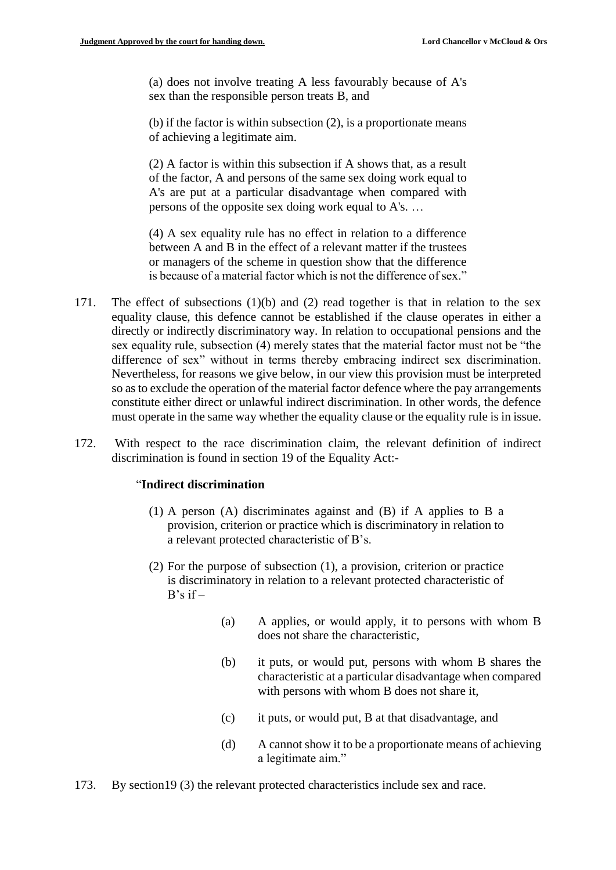(a) does not involve treating A less favourably because of A's sex than the responsible person treats B, and

(b) if the factor is within subsection (2), is a proportionate means of achieving a legitimate aim.

(2) A factor is within this subsection if A shows that, as a result of the factor, A and persons of the same sex doing work equal to A's are put at a particular disadvantage when compared with persons of the opposite sex doing work equal to A's. …

(4) A sex equality rule has no effect in relation to a difference between A and B in the effect of a relevant matter if the trustees or managers of the scheme in question show that the difference is because of a material factor which is not the difference of sex."

- 171. The effect of subsections (1)(b) and (2) read together is that in relation to the sex equality clause, this defence cannot be established if the clause operates in either a directly or indirectly discriminatory way. In relation to occupational pensions and the sex equality rule, subsection (4) merely states that the material factor must not be "the difference of sex" without in terms thereby embracing indirect sex discrimination. Nevertheless, for reasons we give below, in our view this provision must be interpreted so as to exclude the operation of the material factor defence where the pay arrangements constitute either direct or unlawful indirect discrimination. In other words, the defence must operate in the same way whether the equality clause or the equality rule is in issue.
- 172. With respect to the race discrimination claim, the relevant definition of indirect discrimination is found in section 19 of the Equality Act:-

#### "**Indirect discrimination**

- (1) A person (A) discriminates against and (B) if A applies to B a provision, criterion or practice which is discriminatory in relation to a relevant protected characteristic of B's.
- (2) For the purpose of subsection (1), a provision, criterion or practice is discriminatory in relation to a relevant protected characteristic of  $B's$  if  $-$ 
	- (a) A applies, or would apply, it to persons with whom B does not share the characteristic,
	- (b) it puts, or would put, persons with whom B shares the characteristic at a particular disadvantage when compared with persons with whom B does not share it,
	- (c) it puts, or would put, B at that disadvantage, and
	- (d) A cannot show it to be a proportionate means of achieving a legitimate aim."
- 173. By section19 (3) the relevant protected characteristics include sex and race.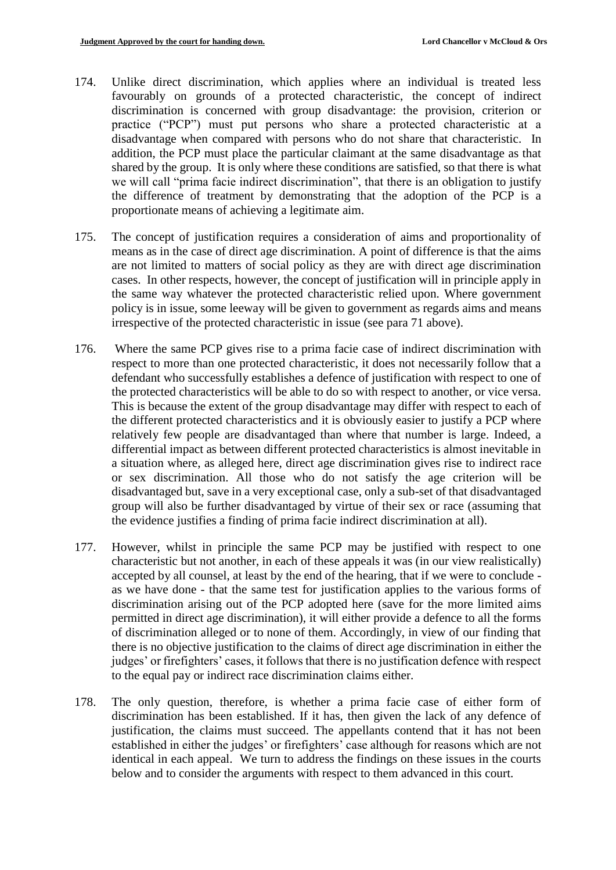- 174. Unlike direct discrimination, which applies where an individual is treated less favourably on grounds of a protected characteristic, the concept of indirect discrimination is concerned with group disadvantage: the provision, criterion or practice ("PCP") must put persons who share a protected characteristic at a disadvantage when compared with persons who do not share that characteristic. In addition, the PCP must place the particular claimant at the same disadvantage as that shared by the group. It is only where these conditions are satisfied, so that there is what we will call "prima facie indirect discrimination", that there is an obligation to justify the difference of treatment by demonstrating that the adoption of the PCP is a proportionate means of achieving a legitimate aim.
- 175. The concept of justification requires a consideration of aims and proportionality of means as in the case of direct age discrimination. A point of difference is that the aims are not limited to matters of social policy as they are with direct age discrimination cases. In other respects, however, the concept of justification will in principle apply in the same way whatever the protected characteristic relied upon. Where government policy is in issue, some leeway will be given to government as regards aims and means irrespective of the protected characteristic in issue (see para 71 above).
- 176. Where the same PCP gives rise to a prima facie case of indirect discrimination with respect to more than one protected characteristic, it does not necessarily follow that a defendant who successfully establishes a defence of justification with respect to one of the protected characteristics will be able to do so with respect to another, or vice versa. This is because the extent of the group disadvantage may differ with respect to each of the different protected characteristics and it is obviously easier to justify a PCP where relatively few people are disadvantaged than where that number is large. Indeed, a differential impact as between different protected characteristics is almost inevitable in a situation where, as alleged here, direct age discrimination gives rise to indirect race or sex discrimination. All those who do not satisfy the age criterion will be disadvantaged but, save in a very exceptional case, only a sub-set of that disadvantaged group will also be further disadvantaged by virtue of their sex or race (assuming that the evidence justifies a finding of prima facie indirect discrimination at all).
- 177. However, whilst in principle the same PCP may be justified with respect to one characteristic but not another, in each of these appeals it was (in our view realistically) accepted by all counsel, at least by the end of the hearing, that if we were to conclude as we have done - that the same test for justification applies to the various forms of discrimination arising out of the PCP adopted here (save for the more limited aims permitted in direct age discrimination), it will either provide a defence to all the forms of discrimination alleged or to none of them. Accordingly, in view of our finding that there is no objective justification to the claims of direct age discrimination in either the judges' or firefighters' cases, it follows that there is no justification defence with respect to the equal pay or indirect race discrimination claims either.
- 178. The only question, therefore, is whether a prima facie case of either form of discrimination has been established. If it has, then given the lack of any defence of justification, the claims must succeed. The appellants contend that it has not been established in either the judges' or firefighters' case although for reasons which are not identical in each appeal. We turn to address the findings on these issues in the courts below and to consider the arguments with respect to them advanced in this court.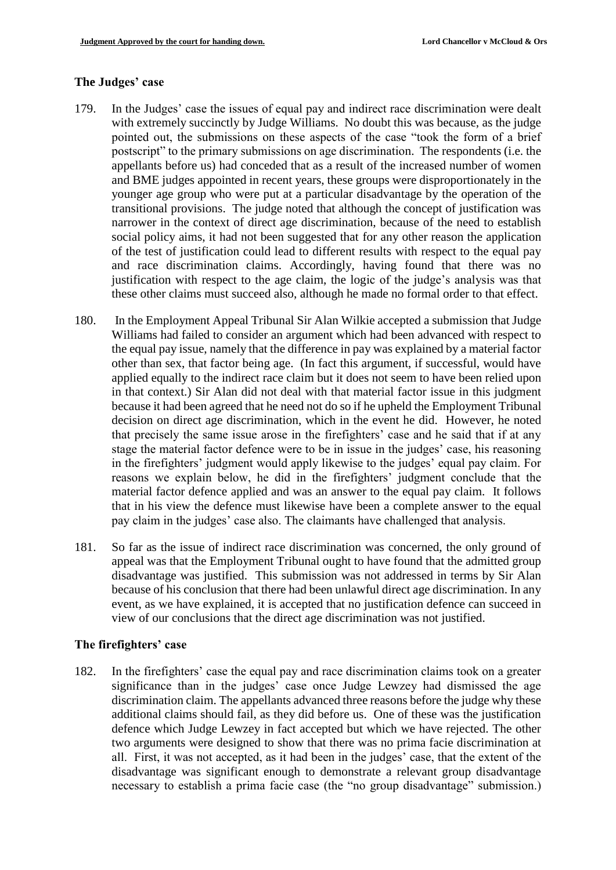## **The Judges' case**

- 179. In the Judges' case the issues of equal pay and indirect race discrimination were dealt with extremely succinctly by Judge Williams. No doubt this was because, as the judge pointed out, the submissions on these aspects of the case "took the form of a brief postscript" to the primary submissions on age discrimination. The respondents (i.e. the appellants before us) had conceded that as a result of the increased number of women and BME judges appointed in recent years, these groups were disproportionately in the younger age group who were put at a particular disadvantage by the operation of the transitional provisions. The judge noted that although the concept of justification was narrower in the context of direct age discrimination, because of the need to establish social policy aims, it had not been suggested that for any other reason the application of the test of justification could lead to different results with respect to the equal pay and race discrimination claims. Accordingly, having found that there was no justification with respect to the age claim, the logic of the judge's analysis was that these other claims must succeed also, although he made no formal order to that effect.
- 180. In the Employment Appeal Tribunal Sir Alan Wilkie accepted a submission that Judge Williams had failed to consider an argument which had been advanced with respect to the equal pay issue, namely that the difference in pay was explained by a material factor other than sex, that factor being age. (In fact this argument, if successful, would have applied equally to the indirect race claim but it does not seem to have been relied upon in that context.) Sir Alan did not deal with that material factor issue in this judgment because it had been agreed that he need not do so if he upheld the Employment Tribunal decision on direct age discrimination, which in the event he did. However, he noted that precisely the same issue arose in the firefighters' case and he said that if at any stage the material factor defence were to be in issue in the judges' case, his reasoning in the firefighters' judgment would apply likewise to the judges' equal pay claim. For reasons we explain below, he did in the firefighters' judgment conclude that the material factor defence applied and was an answer to the equal pay claim. It follows that in his view the defence must likewise have been a complete answer to the equal pay claim in the judges' case also. The claimants have challenged that analysis.
- 181. So far as the issue of indirect race discrimination was concerned, the only ground of appeal was that the Employment Tribunal ought to have found that the admitted group disadvantage was justified. This submission was not addressed in terms by Sir Alan because of his conclusion that there had been unlawful direct age discrimination. In any event, as we have explained, it is accepted that no justification defence can succeed in view of our conclusions that the direct age discrimination was not justified.

## **The firefighters' case**

182. In the firefighters' case the equal pay and race discrimination claims took on a greater significance than in the judges' case once Judge Lewzey had dismissed the age discrimination claim. The appellants advanced three reasons before the judge why these additional claims should fail, as they did before us. One of these was the justification defence which Judge Lewzey in fact accepted but which we have rejected. The other two arguments were designed to show that there was no prima facie discrimination at all. First, it was not accepted, as it had been in the judges' case, that the extent of the disadvantage was significant enough to demonstrate a relevant group disadvantage necessary to establish a prima facie case (the "no group disadvantage" submission.)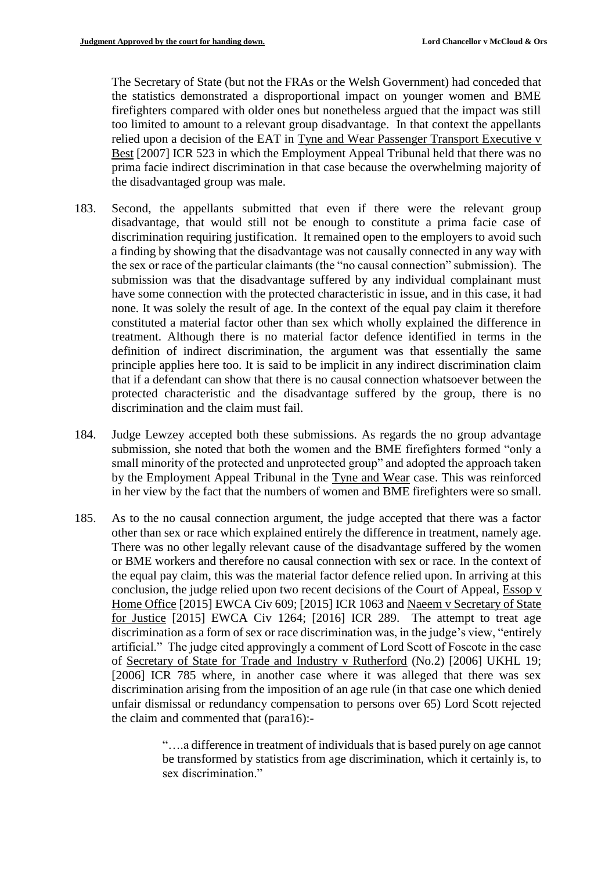The Secretary of State (but not the FRAs or the Welsh Government) had conceded that the statistics demonstrated a disproportional impact on younger women and BME firefighters compared with older ones but nonetheless argued that the impact was still too limited to amount to a relevant group disadvantage. In that context the appellants relied upon a decision of the EAT in Tyne and Wear Passenger Transport Executive v Best [2007] ICR 523 in which the Employment Appeal Tribunal held that there was no prima facie indirect discrimination in that case because the overwhelming majority of the disadvantaged group was male.

- 183. Second, the appellants submitted that even if there were the relevant group disadvantage, that would still not be enough to constitute a prima facie case of discrimination requiring justification. It remained open to the employers to avoid such a finding by showing that the disadvantage was not causally connected in any way with the sex or race of the particular claimants (the "no causal connection" submission). The submission was that the disadvantage suffered by any individual complainant must have some connection with the protected characteristic in issue, and in this case, it had none. It was solely the result of age. In the context of the equal pay claim it therefore constituted a material factor other than sex which wholly explained the difference in treatment. Although there is no material factor defence identified in terms in the definition of indirect discrimination, the argument was that essentially the same principle applies here too. It is said to be implicit in any indirect discrimination claim that if a defendant can show that there is no causal connection whatsoever between the protected characteristic and the disadvantage suffered by the group, there is no discrimination and the claim must fail.
- 184. Judge Lewzey accepted both these submissions. As regards the no group advantage submission, she noted that both the women and the BME firefighters formed "only a small minority of the protected and unprotected group" and adopted the approach taken by the Employment Appeal Tribunal in the Tyne and Wear case. This was reinforced in her view by the fact that the numbers of women and BME firefighters were so small.
- 185. As to the no causal connection argument, the judge accepted that there was a factor other than sex or race which explained entirely the difference in treatment, namely age. There was no other legally relevant cause of the disadvantage suffered by the women or BME workers and therefore no causal connection with sex or race. In the context of the equal pay claim, this was the material factor defence relied upon. In arriving at this conclusion, the judge relied upon two recent decisions of the Court of Appeal, Essop v Home Office [2015] EWCA Civ 609; [2015] ICR 1063 and Naeem v Secretary of State for Justice [2015] EWCA Civ 1264; [2016] ICR 289. The attempt to treat age discrimination as a form of sex or race discrimination was, in the judge's view, "entirely artificial." The judge cited approvingly a comment of Lord Scott of Foscote in the case of Secretary of State for Trade and Industry v Rutherford (No.2) [2006] UKHL 19; [2006] ICR 785 where, in another case where it was alleged that there was sex discrimination arising from the imposition of an age rule (in that case one which denied unfair dismissal or redundancy compensation to persons over 65) Lord Scott rejected the claim and commented that (para16):-

"….a difference in treatment of individuals that is based purely on age cannot be transformed by statistics from age discrimination, which it certainly is, to sex discrimination."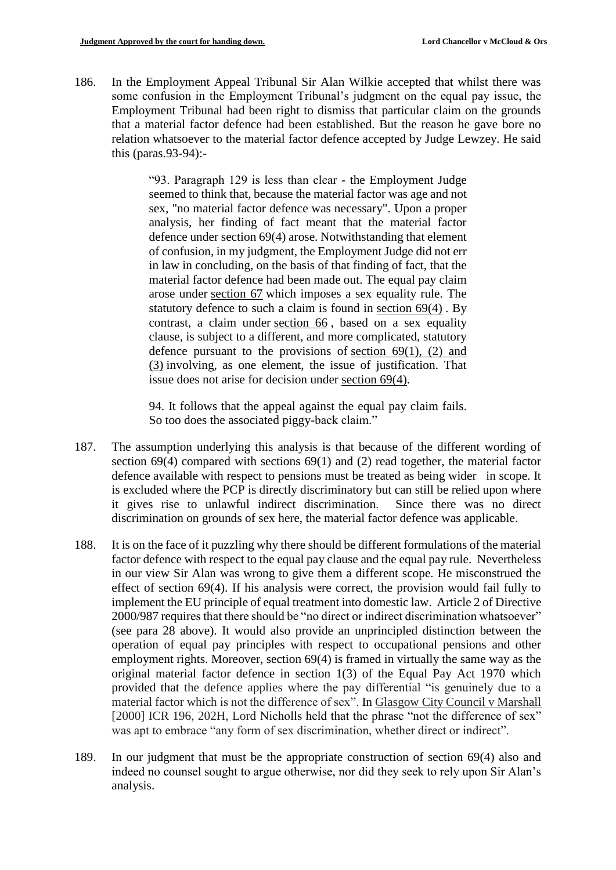186. In the Employment Appeal Tribunal Sir Alan Wilkie accepted that whilst there was some confusion in the Employment Tribunal's judgment on the equal pay issue, the Employment Tribunal had been right to dismiss that particular claim on the grounds that a material factor defence had been established. But the reason he gave bore no relation whatsoever to the material factor defence accepted by Judge Lewzey. He said this (paras.93-94):-

> "93. Paragraph 129 is less than clear - the Employment Judge seemed to think that, because the material factor was age and not sex, "no material factor defence was necessary". Upon a proper analysis, her finding of fact meant that the material factor defence under section 69(4) arose. Notwithstanding that element of confusion, in my judgment, the Employment Judge did not err in law in concluding, on the basis of that finding of fact, that the material factor defence had been made out. The equal pay claim arose under [section 67](https://login.westlaw.co.uk/maf/wluk/app/document?src=doc&linktype=ref&context=54&crumb-action=replace&docguid=IC699B891491811DFA52897A37C152D8C) which imposes a sex equality rule. The statutory defence to such a claim is found in [section 69\(4\)](https://login.westlaw.co.uk/maf/wluk/app/document?src=doc&linktype=ref&context=54&crumb-action=replace&docguid=IC699DFA1491811DFA52897A37C152D8C) . By contrast, a claim under [section 66](https://login.westlaw.co.uk/maf/wluk/app/document?src=doc&linktype=ref&context=54&crumb-action=replace&docguid=IC6999181491811DFA52897A37C152D8C) , based on a sex equality clause, is subject to a different, and more complicated, statutory defence pursuant to the provisions of section  $69(1)$ ,  $(2)$  and [\(3\)](https://login.westlaw.co.uk/maf/wluk/app/document?src=doc&linktype=ref&context=54&crumb-action=replace&docguid=IC699DFA1491811DFA52897A37C152D8C) involving, as one element, the issue of justification. That issue does not arise for decision under [section 69\(4\).](https://login.westlaw.co.uk/maf/wluk/app/document?src=doc&linktype=ref&context=54&crumb-action=replace&docguid=IC699DFA1491811DFA52897A37C152D8C)

> 94. It follows that the appeal against the equal pay claim fails. So too does the associated piggy-back claim."

- 187. The assumption underlying this analysis is that because of the different wording of section 69(4) compared with sections 69(1) and (2) read together, the material factor defence available with respect to pensions must be treated as being wider in scope. It is excluded where the PCP is directly discriminatory but can still be relied upon where it gives rise to unlawful indirect discrimination. Since there was no direct discrimination on grounds of sex here, the material factor defence was applicable.
- 188. It is on the face of it puzzling why there should be different formulations of the material factor defence with respect to the equal pay clause and the equal pay rule. Nevertheless in our view Sir Alan was wrong to give them a different scope. He misconstrued the effect of section 69(4). If his analysis were correct, the provision would fail fully to implement the EU principle of equal treatment into domestic law. Article 2 of Directive 2000/987 requires that there should be "no direct or indirect discrimination whatsoever" (see para 28 above). It would also provide an unprincipled distinction between the operation of equal pay principles with respect to occupational pensions and other employment rights. Moreover, section 69(4) is framed in virtually the same way as the original material factor defence in section 1(3) of the Equal Pay Act 1970 which provided that the defence applies where the pay differential "is genuinely due to a material factor which is not the difference of sex". In Glasgow City Council v Marshall [2000] ICR 196, 202H, Lord Nicholls held that the phrase "not the difference of sex" was apt to embrace "any form of sex discrimination, whether direct or indirect".
- 189. In our judgment that must be the appropriate construction of section 69(4) also and indeed no counsel sought to argue otherwise, nor did they seek to rely upon Sir Alan's analysis.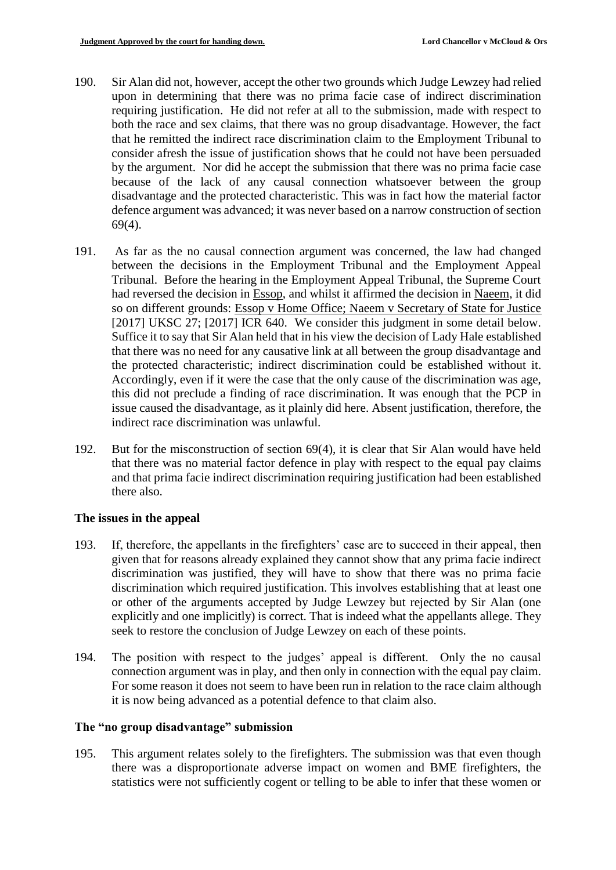- 190. Sir Alan did not, however, accept the other two grounds which Judge Lewzey had relied upon in determining that there was no prima facie case of indirect discrimination requiring justification. He did not refer at all to the submission, made with respect to both the race and sex claims, that there was no group disadvantage. However, the fact that he remitted the indirect race discrimination claim to the Employment Tribunal to consider afresh the issue of justification shows that he could not have been persuaded by the argument. Nor did he accept the submission that there was no prima facie case because of the lack of any causal connection whatsoever between the group disadvantage and the protected characteristic. This was in fact how the material factor defence argument was advanced; it was never based on a narrow construction of section 69(4).
- 191. As far as the no causal connection argument was concerned, the law had changed between the decisions in the Employment Tribunal and the Employment Appeal Tribunal. Before the hearing in the Employment Appeal Tribunal, the Supreme Court had reversed the decision in Essop, and whilst it affirmed the decision in Naeem, it did so on different grounds: Essop v Home Office; Naeem v Secretary of State for Justice [2017] UKSC 27; [2017] ICR 640. We consider this judgment in some detail below. Suffice it to say that Sir Alan held that in his view the decision of Lady Hale established that there was no need for any causative link at all between the group disadvantage and the protected characteristic; indirect discrimination could be established without it. Accordingly, even if it were the case that the only cause of the discrimination was age, this did not preclude a finding of race discrimination. It was enough that the PCP in issue caused the disadvantage, as it plainly did here. Absent justification, therefore, the indirect race discrimination was unlawful.
- 192. But for the misconstruction of section 69(4), it is clear that Sir Alan would have held that there was no material factor defence in play with respect to the equal pay claims and that prima facie indirect discrimination requiring justification had been established there also.

# **The issues in the appeal**

- 193. If, therefore, the appellants in the firefighters' case are to succeed in their appeal, then given that for reasons already explained they cannot show that any prima facie indirect discrimination was justified, they will have to show that there was no prima facie discrimination which required justification. This involves establishing that at least one or other of the arguments accepted by Judge Lewzey but rejected by Sir Alan (one explicitly and one implicitly) is correct. That is indeed what the appellants allege. They seek to restore the conclusion of Judge Lewzey on each of these points.
- 194. The position with respect to the judges' appeal is different. Only the no causal connection argument was in play, and then only in connection with the equal pay claim. For some reason it does not seem to have been run in relation to the race claim although it is now being advanced as a potential defence to that claim also.

## **The "no group disadvantage" submission**

195. This argument relates solely to the firefighters. The submission was that even though there was a disproportionate adverse impact on women and BME firefighters, the statistics were not sufficiently cogent or telling to be able to infer that these women or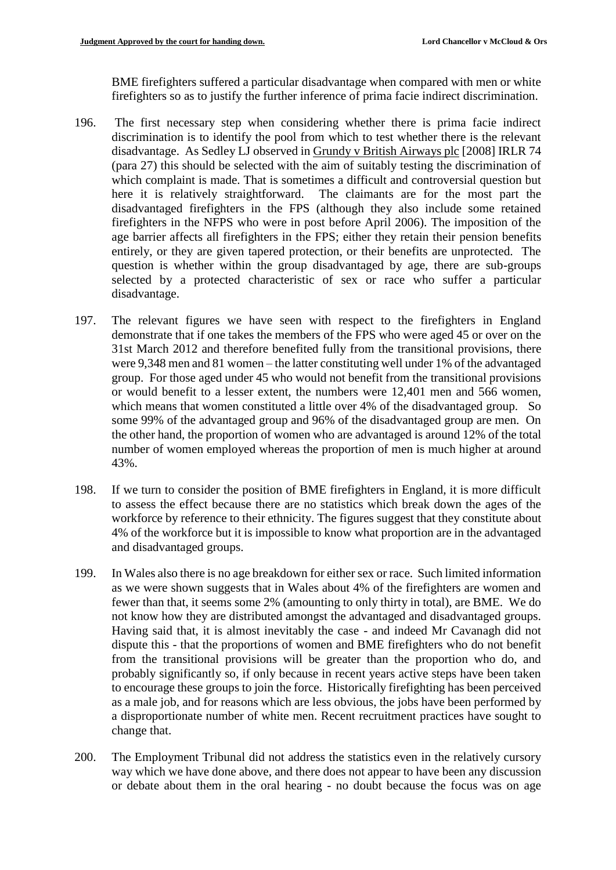BME firefighters suffered a particular disadvantage when compared with men or white firefighters so as to justify the further inference of prima facie indirect discrimination.

- 196. The first necessary step when considering whether there is prima facie indirect discrimination is to identify the pool from which to test whether there is the relevant disadvantage. As Sedley LJ observed in Grundy v British Airways plc [2008] IRLR 74 (para 27) this should be selected with the aim of suitably testing the discrimination of which complaint is made. That is sometimes a difficult and controversial question but here it is relatively straightforward. The claimants are for the most part the disadvantaged firefighters in the FPS (although they also include some retained firefighters in the NFPS who were in post before April 2006). The imposition of the age barrier affects all firefighters in the FPS; either they retain their pension benefits entirely, or they are given tapered protection, or their benefits are unprotected. The question is whether within the group disadvantaged by age, there are sub-groups selected by a protected characteristic of sex or race who suffer a particular disadvantage.
- 197. The relevant figures we have seen with respect to the firefighters in England demonstrate that if one takes the members of the FPS who were aged 45 or over on the 31st March 2012 and therefore benefited fully from the transitional provisions, there were 9,348 men and 81 women – the latter constituting well under 1% of the advantaged group. For those aged under 45 who would not benefit from the transitional provisions or would benefit to a lesser extent, the numbers were 12,401 men and 566 women, which means that women constituted a little over 4% of the disadvantaged group. So some 99% of the advantaged group and 96% of the disadvantaged group are men. On the other hand, the proportion of women who are advantaged is around 12% of the total number of women employed whereas the proportion of men is much higher at around 43%.
- 198. If we turn to consider the position of BME firefighters in England, it is more difficult to assess the effect because there are no statistics which break down the ages of the workforce by reference to their ethnicity. The figures suggest that they constitute about 4% of the workforce but it is impossible to know what proportion are in the advantaged and disadvantaged groups.
- 199. In Wales also there is no age breakdown for either sex or race. Such limited information as we were shown suggests that in Wales about 4% of the firefighters are women and fewer than that, it seems some 2% (amounting to only thirty in total), are BME. We do not know how they are distributed amongst the advantaged and disadvantaged groups. Having said that, it is almost inevitably the case - and indeed Mr Cavanagh did not dispute this - that the proportions of women and BME firefighters who do not benefit from the transitional provisions will be greater than the proportion who do, and probably significantly so, if only because in recent years active steps have been taken to encourage these groups to join the force. Historically firefighting has been perceived as a male job, and for reasons which are less obvious, the jobs have been performed by a disproportionate number of white men. Recent recruitment practices have sought to change that.
- 200. The Employment Tribunal did not address the statistics even in the relatively cursory way which we have done above, and there does not appear to have been any discussion or debate about them in the oral hearing - no doubt because the focus was on age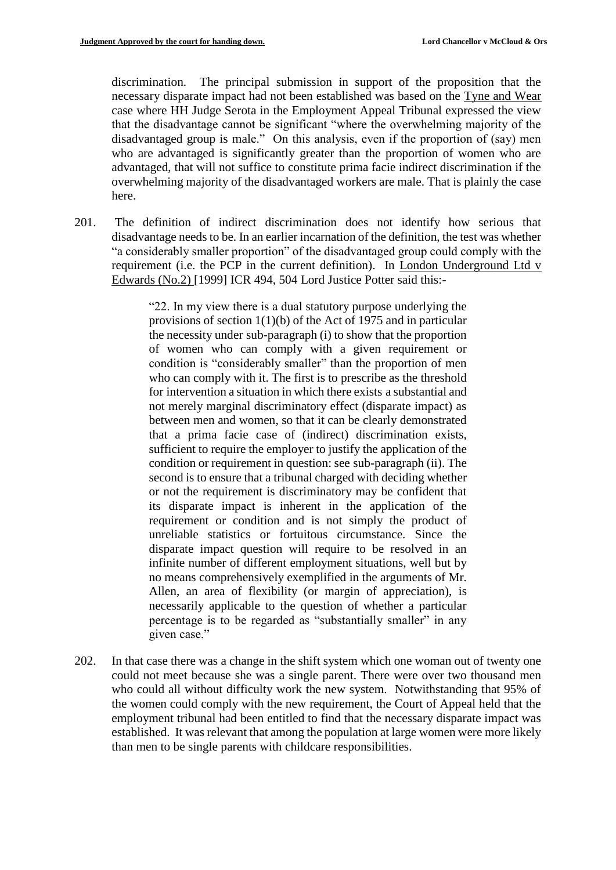discrimination. The principal submission in support of the proposition that the necessary disparate impact had not been established was based on the Tyne and Wear case where HH Judge Serota in the Employment Appeal Tribunal expressed the view that the disadvantage cannot be significant "where the overwhelming majority of the disadvantaged group is male." On this analysis, even if the proportion of (say) men who are advantaged is significantly greater than the proportion of women who are advantaged, that will not suffice to constitute prima facie indirect discrimination if the overwhelming majority of the disadvantaged workers are male. That is plainly the case here.

201. The definition of indirect discrimination does not identify how serious that disadvantage needs to be. In an earlier incarnation of the definition, the test was whether "a considerably smaller proportion" of the disadvantaged group could comply with the requirement (i.e. the PCP in the current definition). In London Underground Ltd v Edwards (No.2) [1999] ICR 494, 504 Lord Justice Potter said this:-

> "22. In my view there is a dual statutory purpose underlying the provisions of section 1(1)(b) of the Act of 1975 and in particular the necessity under sub-paragraph (i) to show that the proportion of women who can comply with a given requirement or condition is "considerably smaller" than the proportion of men who can comply with it. The first is to prescribe as the threshold for intervention a situation in which there exists a substantial and not merely marginal discriminatory effect (disparate impact) as between men and women, so that it can be clearly demonstrated that a prima facie case of (indirect) discrimination exists, sufficient to require the employer to justify the application of the condition or requirement in question: see sub-paragraph (ii). The second is to ensure that a tribunal charged with deciding whether or not the requirement is discriminatory may be confident that its disparate impact is inherent in the application of the requirement or condition and is not simply the product of unreliable statistics or fortuitous circumstance. Since the disparate impact question will require to be resolved in an infinite number of different employment situations, well but by no means comprehensively exemplified in the arguments of Mr. Allen, an area of flexibility (or margin of appreciation), is necessarily applicable to the question of whether a particular percentage is to be regarded as "substantially smaller" in any given case."

202. In that case there was a change in the shift system which one woman out of twenty one could not meet because she was a single parent. There were over two thousand men who could all without difficulty work the new system. Notwithstanding that 95% of the women could comply with the new requirement, the Court of Appeal held that the employment tribunal had been entitled to find that the necessary disparate impact was established. It was relevant that among the population at large women were more likely than men to be single parents with childcare responsibilities.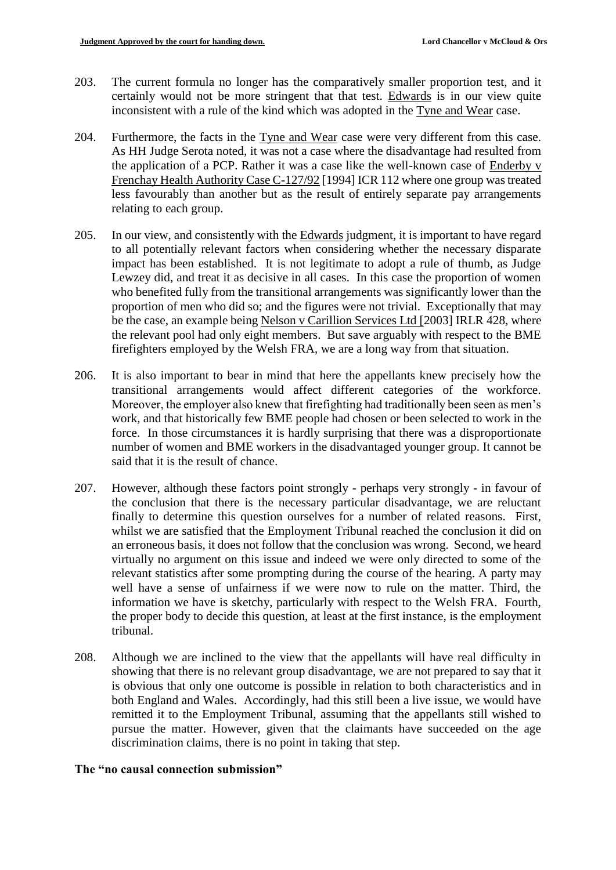- 203. The current formula no longer has the comparatively smaller proportion test, and it certainly would not be more stringent that that test. Edwards is in our view quite inconsistent with a rule of the kind which was adopted in the Tyne and Wear case.
- 204. Furthermore, the facts in the Tyne and Wear case were very different from this case. As HH Judge Serota noted, it was not a case where the disadvantage had resulted from the application of a PCP. Rather it was a case like the well-known case of Enderby v Frenchay Health Authority Case C-127/92 [1994] ICR 112 where one group was treated less favourably than another but as the result of entirely separate pay arrangements relating to each group.
- 205. In our view, and consistently with the Edwards judgment, it is important to have regard to all potentially relevant factors when considering whether the necessary disparate impact has been established. It is not legitimate to adopt a rule of thumb, as Judge Lewzey did, and treat it as decisive in all cases. In this case the proportion of women who benefited fully from the transitional arrangements was significantly lower than the proportion of men who did so; and the figures were not trivial. Exceptionally that may be the case, an example being Nelson v Carillion Services Ltd [2003] IRLR 428, where the relevant pool had only eight members. But save arguably with respect to the BME firefighters employed by the Welsh FRA, we are a long way from that situation.
- 206. It is also important to bear in mind that here the appellants knew precisely how the transitional arrangements would affect different categories of the workforce. Moreover, the employer also knew that firefighting had traditionally been seen as men's work, and that historically few BME people had chosen or been selected to work in the force. In those circumstances it is hardly surprising that there was a disproportionate number of women and BME workers in the disadvantaged younger group. It cannot be said that it is the result of chance.
- 207. However, although these factors point strongly perhaps very strongly in favour of the conclusion that there is the necessary particular disadvantage, we are reluctant finally to determine this question ourselves for a number of related reasons. First, whilst we are satisfied that the Employment Tribunal reached the conclusion it did on an erroneous basis, it does not follow that the conclusion was wrong. Second, we heard virtually no argument on this issue and indeed we were only directed to some of the relevant statistics after some prompting during the course of the hearing. A party may well have a sense of unfairness if we were now to rule on the matter. Third, the information we have is sketchy, particularly with respect to the Welsh FRA. Fourth, the proper body to decide this question, at least at the first instance, is the employment tribunal.
- 208. Although we are inclined to the view that the appellants will have real difficulty in showing that there is no relevant group disadvantage, we are not prepared to say that it is obvious that only one outcome is possible in relation to both characteristics and in both England and Wales. Accordingly, had this still been a live issue, we would have remitted it to the Employment Tribunal, assuming that the appellants still wished to pursue the matter. However, given that the claimants have succeeded on the age discrimination claims, there is no point in taking that step.

#### **The "no causal connection submission"**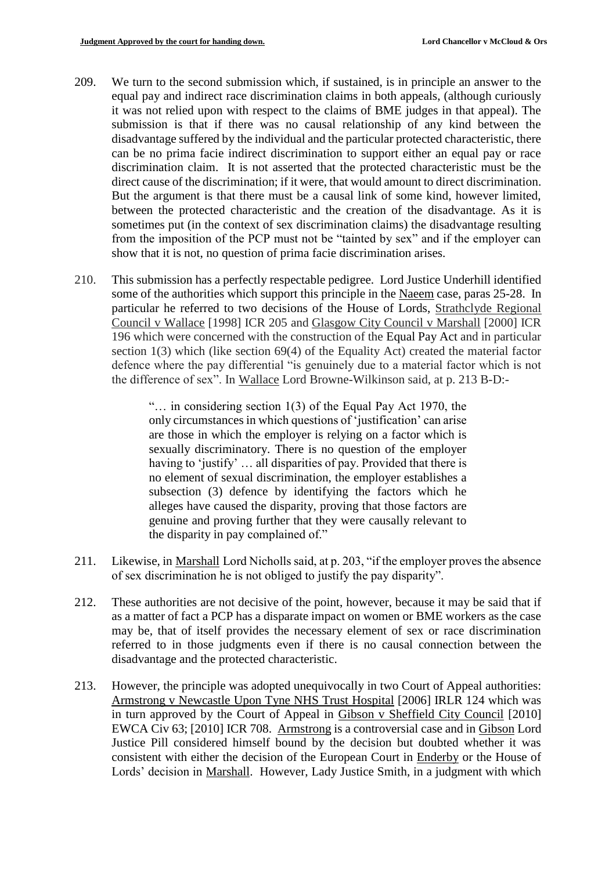- 209. We turn to the second submission which, if sustained, is in principle an answer to the equal pay and indirect race discrimination claims in both appeals, (although curiously it was not relied upon with respect to the claims of BME judges in that appeal). The submission is that if there was no causal relationship of any kind between the disadvantage suffered by the individual and the particular protected characteristic, there can be no prima facie indirect discrimination to support either an equal pay or race discrimination claim. It is not asserted that the protected characteristic must be the direct cause of the discrimination; if it were, that would amount to direct discrimination. But the argument is that there must be a causal link of some kind, however limited, between the protected characteristic and the creation of the disadvantage. As it is sometimes put (in the context of sex discrimination claims) the disadvantage resulting from the imposition of the PCP must not be "tainted by sex" and if the employer can show that it is not, no question of prima facie discrimination arises.
- 210. This submission has a perfectly respectable pedigree. Lord Justice Underhill identified some of the authorities which support this principle in the Naeem case, paras 25-28. In particular he referred to two decisions of the House of Lords, Strathclyde Regional Council v Wallace [1998] ICR 205 and Glasgow City Council v Marshall [2000] ICR 196 which were concerned with the construction of the Equal Pay Act and in particular section 1(3) which (like section 69(4) of the Equality Act) created the material factor defence where the pay differential "is genuinely due to a material factor which is not the difference of sex". In Wallace Lord Browne-Wilkinson said, at p. 213 B-D:-

"… in considering section 1(3) of the Equal Pay Act 1970, the only circumstances in which questions of 'justification' can arise are those in which the employer is relying on a factor which is sexually discriminatory. There is no question of the employer having to 'justify' … all disparities of pay. Provided that there is no element of sexual discrimination, the employer establishes a subsection (3) defence by identifying the factors which he alleges have caused the disparity, proving that those factors are genuine and proving further that they were causally relevant to the disparity in pay complained of."

- 211. Likewise, in Marshall Lord Nicholls said, at p. 203, "if the employer proves the absence of sex discrimination he is not obliged to justify the pay disparity".
- 212. These authorities are not decisive of the point, however, because it may be said that if as a matter of fact a PCP has a disparate impact on women or BME workers as the case may be, that of itself provides the necessary element of sex or race discrimination referred to in those judgments even if there is no causal connection between the disadvantage and the protected characteristic.
- 213. However, the principle was adopted unequivocally in two Court of Appeal authorities: Armstrong v Newcastle Upon Tyne NHS Trust Hospital [2006] IRLR 124 which was in turn approved by the Court of Appeal in Gibson v Sheffield City Council [2010] EWCA Civ 63; [2010] ICR 708. Armstrong is a controversial case and in Gibson Lord Justice Pill considered himself bound by the decision but doubted whether it was consistent with either the decision of the European Court in Enderby or the House of Lords' decision in Marshall. However, Lady Justice Smith, in a judgment with which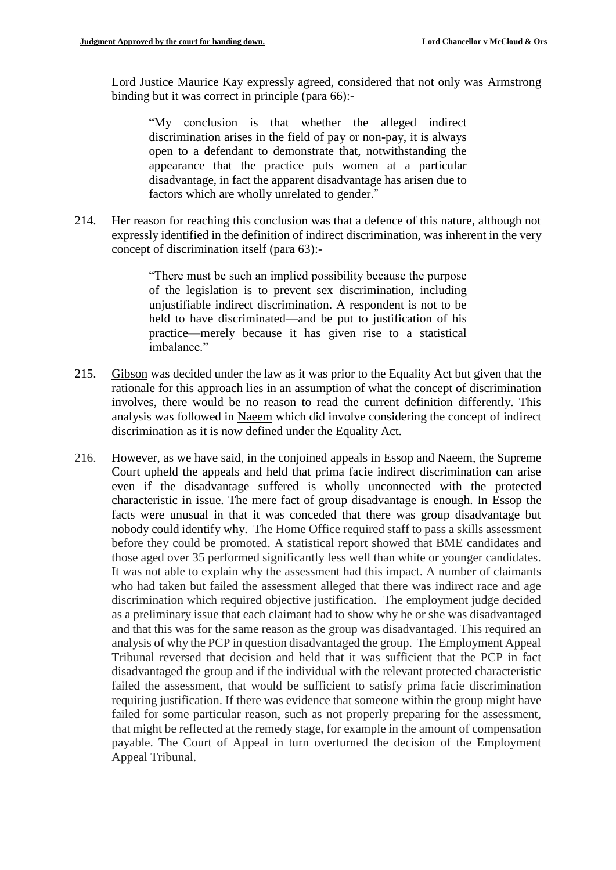Lord Justice Maurice Kay expressly agreed, considered that not only was Armstrong binding but it was correct in principle (para 66):-

"My conclusion is that whether the alleged indirect discrimination arises in the field of pay or non-pay, it is always open to a defendant to demonstrate that, notwithstanding the appearance that the practice puts women at a particular disadvantage, in fact the apparent disadvantage has arisen due to factors which are wholly unrelated to gender."

214. Her reason for reaching this conclusion was that a defence of this nature, although not expressly identified in the definition of indirect discrimination, was inherent in the very concept of discrimination itself (para 63):-

> "There must be such an implied possibility because the purpose of the legislation is to prevent sex discrimination, including unjustifiable indirect discrimination. A respondent is not to be held to have discriminated—and be put to justification of his practice—merely because it has given rise to a statistical imbalance."

- 215. Gibson was decided under the law as it was prior to the Equality Act but given that the rationale for this approach lies in an assumption of what the concept of discrimination involves, there would be no reason to read the current definition differently. This analysis was followed in Naeem which did involve considering the concept of indirect discrimination as it is now defined under the Equality Act.
- 216. However, as we have said, in the conjoined appeals in Essop and Naeem, the Supreme Court upheld the appeals and held that prima facie indirect discrimination can arise even if the disadvantage suffered is wholly unconnected with the protected characteristic in issue. The mere fact of group disadvantage is enough. In Essop the facts were unusual in that it was conceded that there was group disadvantage but nobody could identify why. The Home Office required staff to pass a skills assessment before they could be promoted. A statistical report showed that BME candidates and those aged over 35 performed significantly less well than white or younger candidates. It was not able to explain why the assessment had this impact. A number of claimants who had taken but failed the assessment alleged that there was indirect race and age discrimination which required objective justification. The employment judge decided as a preliminary issue that each claimant had to show why he or she was disadvantaged and that this was for the same reason as the group was disadvantaged. This required an analysis of why the PCP in question disadvantaged the group. The Employment Appeal Tribunal reversed that decision and held that it was sufficient that the PCP in fact disadvantaged the group and if the individual with the relevant protected characteristic failed the assessment, that would be sufficient to satisfy prima facie discrimination requiring justification. If there was evidence that someone within the group might have failed for some particular reason, such as not properly preparing for the assessment, that might be reflected at the remedy stage, for example in the amount of compensation payable. The Court of Appeal in turn overturned the decision of the Employment Appeal Tribunal.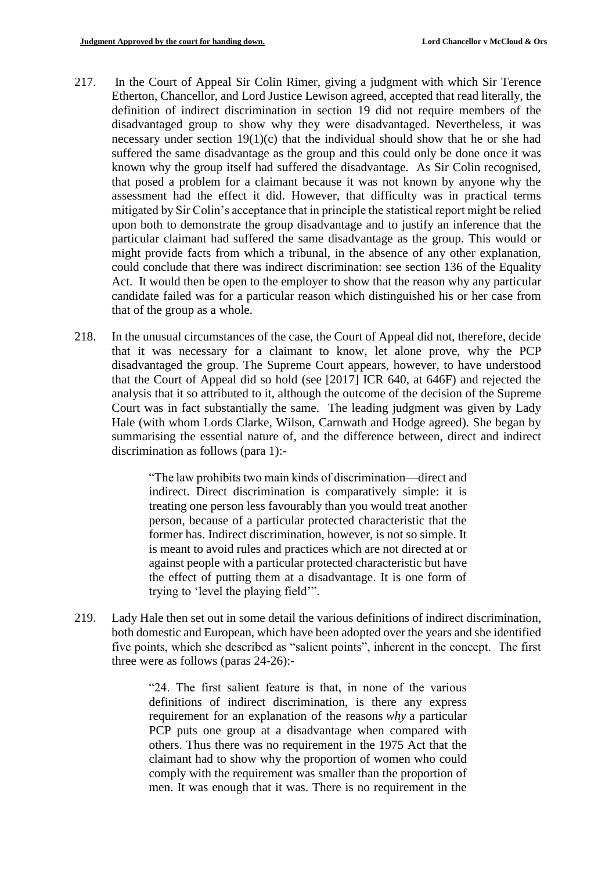- 217. In the Court of Appeal Sir Colin Rimer, giving a judgment with which Sir Terence Etherton, Chancellor, and Lord Justice Lewison agreed, accepted that read literally, the definition of indirect discrimination in section 19 did not require members of the disadvantaged group to show why they were disadvantaged. Nevertheless, it was necessary under section  $19(1)(c)$  that the individual should show that he or she had suffered the same disadvantage as the group and this could only be done once it was known why the group itself had suffered the disadvantage. As Sir Colin recognised, that posed a problem for a claimant because it was not known by anyone why the assessment had the effect it did. However, that difficulty was in practical terms mitigated by Sir Colin's acceptance that in principle the statistical report might be relied upon both to demonstrate the group disadvantage and to justify an inference that the particular claimant had suffered the same disadvantage as the group. This would or might provide facts from which a tribunal, in the absence of any other explanation, could conclude that there was indirect discrimination: see section 136 of the Equality Act. It would then be open to the employer to show that the reason why any particular candidate failed was for a particular reason which distinguished his or her case from that of the group as a whole.
- 218. In the unusual circumstances of the case, the Court of Appeal did not, therefore, decide that it was necessary for a claimant to know, let alone prove, why the PCP disadvantaged the group. The Supreme Court appears, however, to have understood that the Court of Appeal did so hold (see [2017] ICR 640, at 646F) and rejected the analysis that it so attributed to it, although the outcome of the decision of the Supreme Court was in fact substantially the same. The leading judgment was given by Lady Hale (with whom Lords Clarke, Wilson, Carnwath and Hodge agreed). She began by summarising the essential nature of, and the difference between, direct and indirect discrimination as follows (para 1):-

"The law prohibits two main kinds of discrimination—direct and indirect. Direct discrimination is comparatively simple: it is treating one person less favourably than you would treat another person, because of a particular protected characteristic that the former has. Indirect discrimination, however, is not so simple. It is meant to avoid rules and practices which are not directed at or against people with a particular protected characteristic but have the effect of putting them at a disadvantage. It is one form of trying to 'level the playing field'".

219. Lady Hale then set out in some detail the various definitions of indirect discrimination, both domestic and European, which have been adopted over the years and she identified five points, which she described as "salient points", inherent in the concept. The first three were as follows (paras 24-26):-

> "24. The first salient feature is that, in none of the various definitions of indirect discrimination, is there any express requirement for an explanation of the reasons *why* a particular PCP puts one group at a disadvantage when compared with others. Thus there was no requirement in the 1975 Act that the claimant had to show why the proportion of women who could comply with the requirement was smaller than the proportion of men. It was enough that it was. There is no requirement in the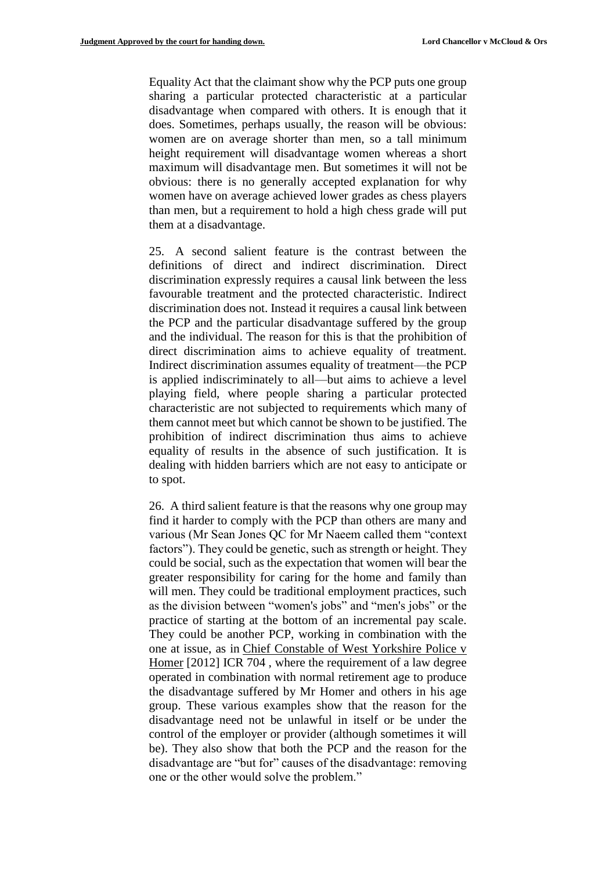Equality Act that the claimant show why the PCP puts one group sharing a particular protected characteristic at a particular disadvantage when compared with others. It is enough that it does. Sometimes, perhaps usually, the reason will be obvious: women are on average shorter than men, so a tall minimum height requirement will disadvantage women whereas a short maximum will disadvantage men. But sometimes it will not be obvious: there is no generally accepted explanation for why women have on average achieved lower grades as chess players than men, but a requirement to hold a high chess grade will put them at a disadvantage.

25. A second salient feature is the contrast between the definitions of direct and indirect discrimination. Direct discrimination expressly requires a causal link between the less favourable treatment and the protected characteristic. Indirect discrimination does not. Instead it requires a causal link between the PCP and the particular disadvantage suffered by the group and the individual. The reason for this is that the prohibition of direct discrimination aims to achieve equality of treatment. Indirect discrimination assumes equality of treatment—the PCP is applied indiscriminately to all—but aims to achieve a level playing field, where people sharing a particular protected characteristic are not subjected to requirements which many of them cannot meet but which cannot be shown to be justified. The prohibition of indirect discrimination thus aims to achieve equality of results in the absence of such justification. It is dealing with hidden barriers which are not easy to anticipate or to spot.

26. A third salient feature is that the reasons why one group may find it harder to comply with the PCP than others are many and various (Mr Sean Jones QC for Mr Naeem called them "context factors"). They could be genetic, such as strength or height. They could be social, such as the expectation that women will bear the greater responsibility for caring for the home and family than will men. They could be traditional employment practices, such as the division between "women's jobs" and "men's jobs" or the practice of starting at the bottom of an incremental pay scale. They could be another PCP, working in combination with the one at issue, as in [Chief Constable of West Yorkshire Police v](https://uk.practicallaw.thomsonreuters.com/Document/I9EAFCEE08ECC11E18149E3B4DD29E271/View/FullText.html?originationContext=document&transitionType=DocumentItem&contextData=(sc.Search))  Homer [\[2012\] ICR 704](https://uk.practicallaw.thomsonreuters.com/Document/I9EAFCEE08ECC11E18149E3B4DD29E271/View/FullText.html?originationContext=document&transitionType=DocumentItem&contextData=(sc.Search)) , where the requirement of a law degree operated in combination with normal retirement age to produce the disadvantage suffered by Mr Homer and others in his age group. These various examples show that the reason for the disadvantage need not be unlawful in itself or be under the control of the employer or provider (although sometimes it will be). They also show that both the PCP and the reason for the disadvantage are "but for" causes of the disadvantage: removing one or the other would solve the problem."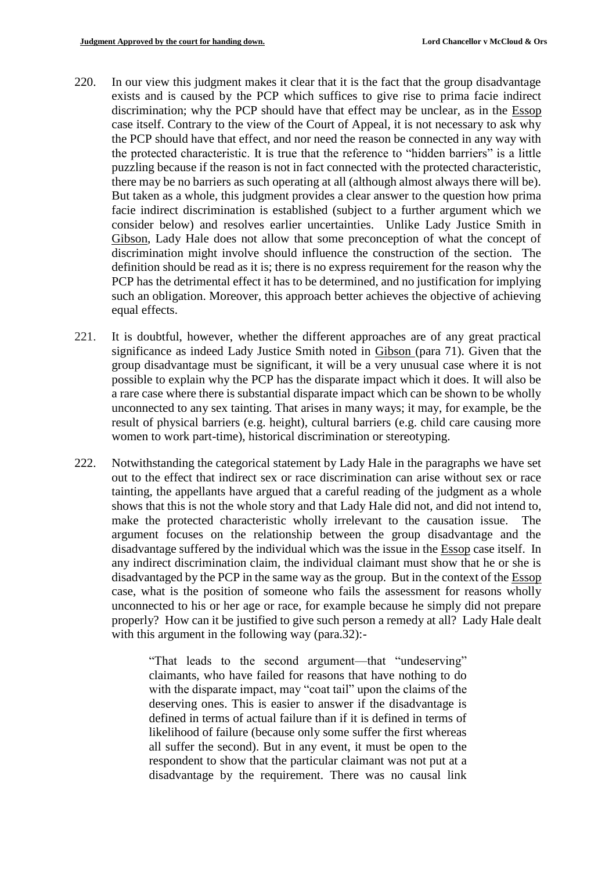- 220. In our view this judgment makes it clear that it is the fact that the group disadvantage exists and is caused by the PCP which suffices to give rise to prima facie indirect discrimination; why the PCP should have that effect may be unclear, as in the Essop case itself. Contrary to the view of the Court of Appeal, it is not necessary to ask why the PCP should have that effect, and nor need the reason be connected in any way with the protected characteristic. It is true that the reference to "hidden barriers" is a little puzzling because if the reason is not in fact connected with the protected characteristic, there may be no barriers as such operating at all (although almost always there will be). But taken as a whole, this judgment provides a clear answer to the question how prima facie indirect discrimination is established (subject to a further argument which we consider below) and resolves earlier uncertainties. Unlike Lady Justice Smith in Gibson, Lady Hale does not allow that some preconception of what the concept of discrimination might involve should influence the construction of the section. The definition should be read as it is; there is no express requirement for the reason why the PCP has the detrimental effect it has to be determined, and no justification for implying such an obligation. Moreover, this approach better achieves the objective of achieving equal effects.
- 221. It is doubtful, however, whether the different approaches are of any great practical significance as indeed Lady Justice Smith noted in Gibson (para 71). Given that the group disadvantage must be significant, it will be a very unusual case where it is not possible to explain why the PCP has the disparate impact which it does. It will also be a rare case where there is substantial disparate impact which can be shown to be wholly unconnected to any sex tainting. That arises in many ways; it may, for example, be the result of physical barriers (e.g. height), cultural barriers (e.g. child care causing more women to work part-time), historical discrimination or stereotyping.
- 222. Notwithstanding the categorical statement by Lady Hale in the paragraphs we have set out to the effect that indirect sex or race discrimination can arise without sex or race tainting, the appellants have argued that a careful reading of the judgment as a whole shows that this is not the whole story and that Lady Hale did not, and did not intend to, make the protected characteristic wholly irrelevant to the causation issue. The argument focuses on the relationship between the group disadvantage and the disadvantage suffered by the individual which was the issue in the Essop case itself. In any indirect discrimination claim, the individual claimant must show that he or she is disadvantaged by the PCP in the same way as the group. But in the context of the Essop case, what is the position of someone who fails the assessment for reasons wholly unconnected to his or her age or race, for example because he simply did not prepare properly? How can it be justified to give such person a remedy at all? Lady Hale dealt with this argument in the following way (para.32):-

"That leads to the second argument—that "undeserving" claimants, who have failed for reasons that have nothing to do with the disparate impact, may "coat tail" upon the claims of the deserving ones. This is easier to answer if the disadvantage is defined in terms of actual failure than if it is defined in terms of likelihood of failure (because only some suffer the first whereas all suffer the second). But in any event, it must be open to the respondent to show that the particular claimant was not put at a disadvantage by the requirement. There was no causal link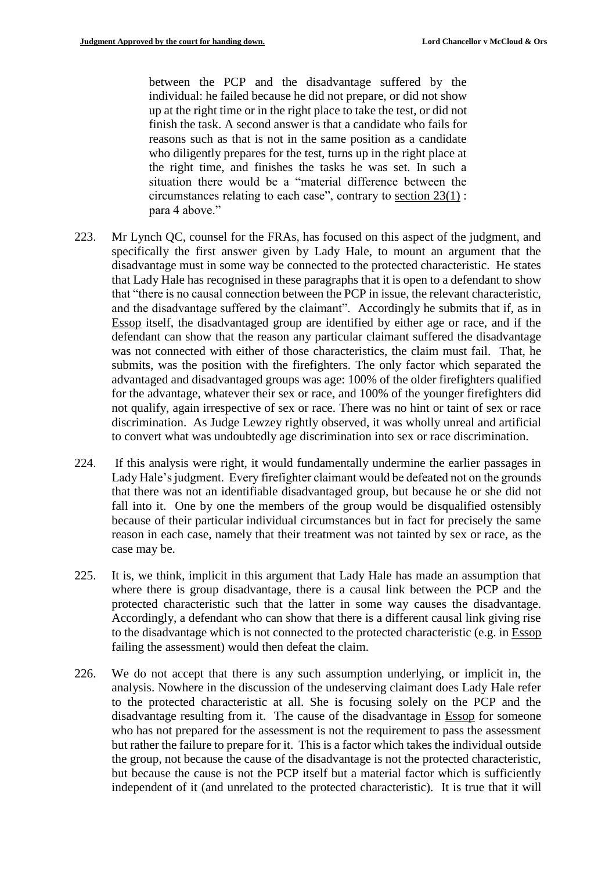between the PCP and the disadvantage suffered by the individual: he failed because he did not prepare, or did not show up at the right time or in the right place to take the test, or did not finish the task. A second answer is that a candidate who fails for reasons such as that is not in the same position as a candidate who diligently prepares for the test, turns up in the right place at the right time, and finishes the tasks he was set. In such a situation there would be a "material difference between the circumstances relating to each case", contrary to [section 23\(1\)](https://uk.practicallaw.thomsonreuters.com/Document/IC68A7650491811DFA52897A37C152D8C/View/FullText.html?originationContext=document&transitionType=DocumentItem&contextData=(sc.Search)) : para 4 above."

- 223. Mr Lynch QC, counsel for the FRAs, has focused on this aspect of the judgment, and specifically the first answer given by Lady Hale, to mount an argument that the disadvantage must in some way be connected to the protected characteristic. He states that Lady Hale has recognised in these paragraphs that it is open to a defendant to show that "there is no causal connection between the PCP in issue, the relevant characteristic, and the disadvantage suffered by the claimant". Accordingly he submits that if, as in Essop itself, the disadvantaged group are identified by either age or race, and if the defendant can show that the reason any particular claimant suffered the disadvantage was not connected with either of those characteristics, the claim must fail. That, he submits, was the position with the firefighters. The only factor which separated the advantaged and disadvantaged groups was age: 100% of the older firefighters qualified for the advantage, whatever their sex or race, and 100% of the younger firefighters did not qualify, again irrespective of sex or race. There was no hint or taint of sex or race discrimination. As Judge Lewzey rightly observed, it was wholly unreal and artificial to convert what was undoubtedly age discrimination into sex or race discrimination.
- 224. If this analysis were right, it would fundamentally undermine the earlier passages in Lady Hale's judgment. Every firefighter claimant would be defeated not on the grounds that there was not an identifiable disadvantaged group, but because he or she did not fall into it. One by one the members of the group would be disqualified ostensibly because of their particular individual circumstances but in fact for precisely the same reason in each case, namely that their treatment was not tainted by sex or race, as the case may be.
- 225. It is, we think, implicit in this argument that Lady Hale has made an assumption that where there is group disadvantage, there is a causal link between the PCP and the protected characteristic such that the latter in some way causes the disadvantage. Accordingly, a defendant who can show that there is a different causal link giving rise to the disadvantage which is not connected to the protected characteristic (e.g. in Essop failing the assessment) would then defeat the claim.
- 226. We do not accept that there is any such assumption underlying, or implicit in, the analysis. Nowhere in the discussion of the undeserving claimant does Lady Hale refer to the protected characteristic at all. She is focusing solely on the PCP and the disadvantage resulting from it. The cause of the disadvantage in Essop for someone who has not prepared for the assessment is not the requirement to pass the assessment but rather the failure to prepare for it. This is a factor which takes the individual outside the group, not because the cause of the disadvantage is not the protected characteristic, but because the cause is not the PCP itself but a material factor which is sufficiently independent of it (and unrelated to the protected characteristic). It is true that it will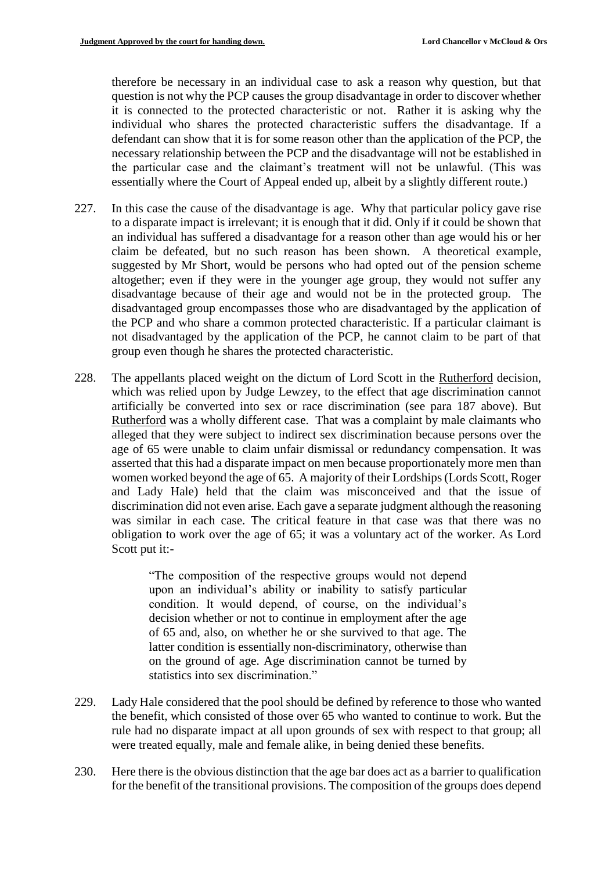therefore be necessary in an individual case to ask a reason why question, but that question is not why the PCP causes the group disadvantage in order to discover whether it is connected to the protected characteristic or not. Rather it is asking why the individual who shares the protected characteristic suffers the disadvantage. If a defendant can show that it is for some reason other than the application of the PCP, the necessary relationship between the PCP and the disadvantage will not be established in the particular case and the claimant's treatment will not be unlawful. (This was essentially where the Court of Appeal ended up, albeit by a slightly different route.)

- 227. In this case the cause of the disadvantage is age. Why that particular policy gave rise to a disparate impact is irrelevant; it is enough that it did. Only if it could be shown that an individual has suffered a disadvantage for a reason other than age would his or her claim be defeated, but no such reason has been shown. A theoretical example, suggested by Mr Short, would be persons who had opted out of the pension scheme altogether; even if they were in the younger age group, they would not suffer any disadvantage because of their age and would not be in the protected group. The disadvantaged group encompasses those who are disadvantaged by the application of the PCP and who share a common protected characteristic. If a particular claimant is not disadvantaged by the application of the PCP, he cannot claim to be part of that group even though he shares the protected characteristic.
- 228. The appellants placed weight on the dictum of Lord Scott in the Rutherford decision, which was relied upon by Judge Lewzey, to the effect that age discrimination cannot artificially be converted into sex or race discrimination (see para 187 above). But Rutherford was a wholly different case. That was a complaint by male claimants who alleged that they were subject to indirect sex discrimination because persons over the age of 65 were unable to claim unfair dismissal or redundancy compensation. It was asserted that this had a disparate impact on men because proportionately more men than women worked beyond the age of 65. A majority of their Lordships (Lords Scott, Roger and Lady Hale) held that the claim was misconceived and that the issue of discrimination did not even arise. Each gave a separate judgment although the reasoning was similar in each case. The critical feature in that case was that there was no obligation to work over the age of 65; it was a voluntary act of the worker. As Lord Scott put it:-

"The composition of the respective groups would not depend upon an individual's ability or inability to satisfy particular condition. It would depend, of course, on the individual's decision whether or not to continue in employment after the age of 65 and, also, on whether he or she survived to that age. The latter condition is essentially non-discriminatory, otherwise than on the ground of age. Age discrimination cannot be turned by statistics into sex discrimination."

- 229. Lady Hale considered that the pool should be defined by reference to those who wanted the benefit, which consisted of those over 65 who wanted to continue to work. But the rule had no disparate impact at all upon grounds of sex with respect to that group; all were treated equally, male and female alike, in being denied these benefits.
- 230. Here there is the obvious distinction that the age bar does act as a barrier to qualification for the benefit of the transitional provisions. The composition of the groups does depend